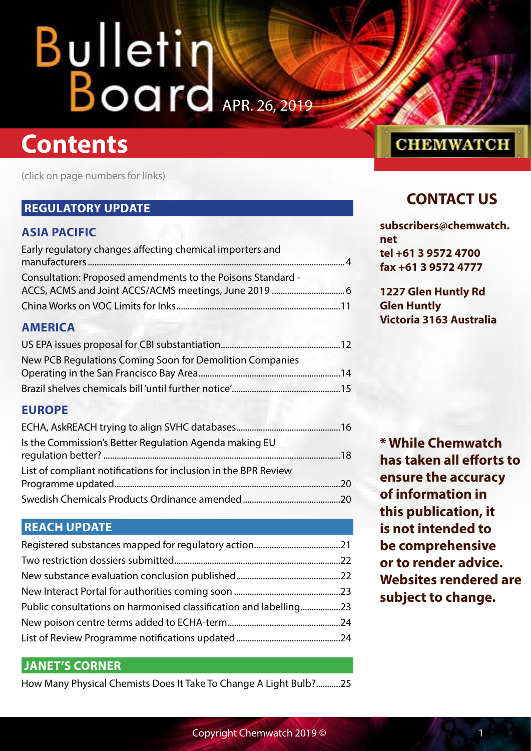## **Contents**

(click on page numbers for links)

## **[REGULATORY UPDATE](#page-3-0)**

## **[ASIA PACIFIC](#page-3-0)**

| Early regulatory changes affecting chemical importers and   |  |
|-------------------------------------------------------------|--|
|                                                             |  |
| Consultation: Proposed amendments to the Poisons Standard - |  |
|                                                             |  |
|                                                             |  |
|                                                             |  |

## **[AMERICA](#page-11-0)**

| New PCB Regulations Coming Soon for Demolition Companies |      |
|----------------------------------------------------------|------|
|                                                          | 14   |
|                                                          | . 15 |
|                                                          |      |

## **[EUROPE](#page-15-0)**

| Is the Commission's Better Regulation Agenda making EU          |  |
|-----------------------------------------------------------------|--|
| List of compliant notifications for inclusion in the BPR Review |  |
|                                                                 |  |
|                                                                 |  |

## **[REACH UPDATE](#page-20-0)**

| Public consultations on harmonised classification and labelling23 |  |
|-------------------------------------------------------------------|--|
|                                                                   |  |
|                                                                   |  |

## **[JANET'S CORNER](#page-24-0)**

[How Many Physical Chemists Does It Take To Change A Light Bulb?...........25](#page-24-0)

## **CHEMWATCH**

## **CONTACT US**

**[subscribers@chemwatch.](mailto:subscribers@chemwatch.net) [net](mailto:subscribers@chemwatch.net) tel +61 3 9572 4700 fax +61 3 9572 4777**

**1227 Glen Huntly Rd Glen Huntly Victoria 3163 Australia**

**\* While Chemwatch has taken all efforts to ensure the accuracy of information in this publication, it is not intended to be comprehensive or to render advice. Websites rendered are subject to change.**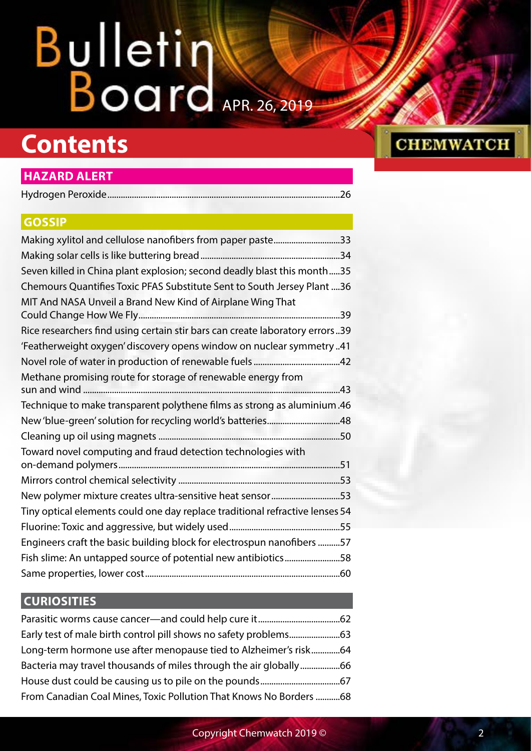## **Contents**

## **[HAZARD ALERT](#page-25-0)**

## **[GOSSIP](#page-32-0)**

## **[CURIOSITIES](#page-61-0)**

| Long-term hormone use after menopause tied to Alzheimer's risk64   |  |
|--------------------------------------------------------------------|--|
| Bacteria may travel thousands of miles through the air globally66  |  |
|                                                                    |  |
| From Canadian Coal Mines, Toxic Pollution That Knows No Borders 68 |  |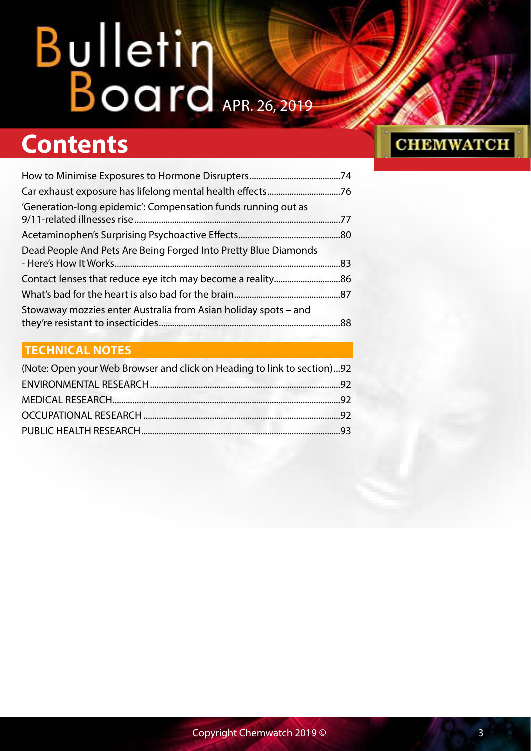## **Contents**

|                                                                 | .74 |
|-----------------------------------------------------------------|-----|
|                                                                 |     |
| 'Generation-long epidemic': Compensation funds running out as   |     |
|                                                                 |     |
| Dead People And Pets Are Being Forged Into Pretty Blue Diamonds | .83 |
| Contact lenses that reduce eye itch may become a reality        | .86 |
|                                                                 |     |
| Stowaway mozzies enter Australia from Asian holiday spots – and | .88 |

## **[TECHNICAL NOTES](#page-91-0)**

| (Note: Open your Web Browser and click on Heading to link to section)92 |  |
|-------------------------------------------------------------------------|--|
|                                                                         |  |
|                                                                         |  |
|                                                                         |  |
|                                                                         |  |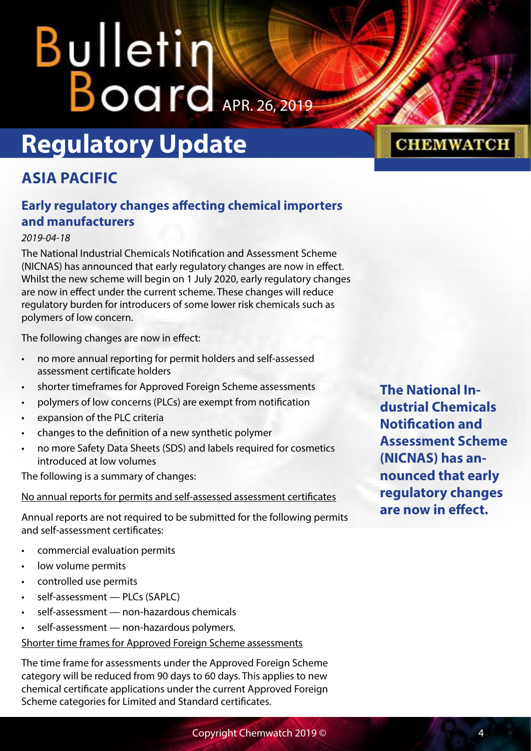## <span id="page-3-0"></span>**Bulletin Board**

## **Regulatory Update**

## **CHEMWATCH**

## **ASIA PACIFIC**

## **Early regulatory changes affecting chemical importers and manufacturers**

### *2019-04-18*

The National Industrial Chemicals Notification and Assessment Scheme (NICNAS) has announced that early regulatory changes are now in effect. Whilst the new scheme will begin on 1 July 2020, early regulatory changes are now in effect under the current scheme. These changes will reduce regulatory burden for introducers of some lower risk chemicals such as polymers of low concern.

The following changes are now in effect:

- no more annual reporting for permit holders and self-assessed assessment certificate holders
- shorter timeframes for Approved Foreign Scheme assessments
- polymers of low concerns (PLCs) are exempt from notification
- expansion of the PLC criteria
- changes to the definition of a new synthetic polymer
- no more Safety Data Sheets (SDS) and labels required for cosmetics introduced at low volumes

The following is a summary of changes:

No annual reports for permits and self-assessed assessment certificates

Annual reports are not required to be submitted for the following permits and self-assessment certificates:

- commercial evaluation permits
- low volume permits
- controlled use permits
- self-assessment PLCs (SAPLC)
- self-assessment non-hazardous chemicals
- self-assessment non-hazardous polymers.

#### Shorter time frames for Approved Foreign Scheme assessments

The time frame for assessments under the Approved Foreign Scheme category will be reduced from 90 days to 60 days. This applies to new chemical certificate applications under the current Approved Foreign Scheme categories for Limited and Standard certificates.

**The National Industrial Chemicals Notification and Assessment Scheme (NICNAS) has announced that early regulatory changes are now in effect.**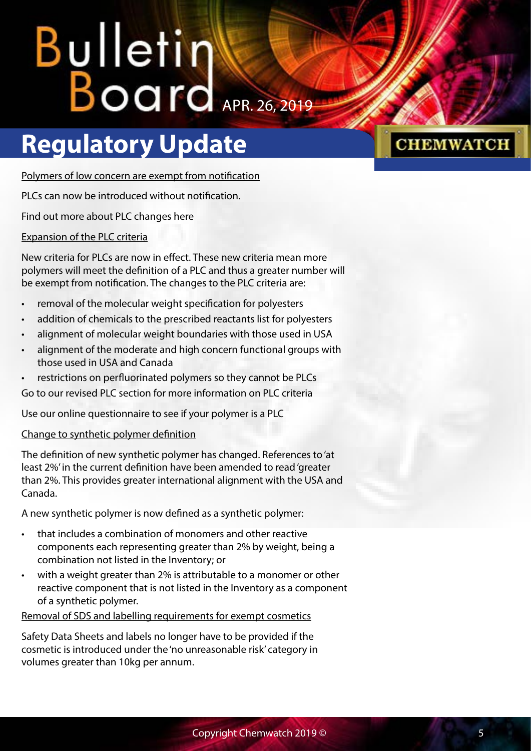## **Regulatory Update**

### Polymers of low concern are exempt from notification

PLCs can now be introduced without notification.

[Find out more about PLC changes here](https://www.nicnas.gov.au/notify-your-chemical/chemicals-exempt-from-notification)

Expansion of the PLC criteria

New criteria for PLCs are now in effect. These new criteria mean more polymers will meet the definition of a PLC and thus a greater number will be exempt from notification. The changes to the PLC criteria are:

- removal of the molecular weight specification for polyesters
- addition of chemicals to the prescribed reactants list for polyesters
- alignment of molecular weight boundaries with those used in USA
- alignment of the moderate and high concern functional groups with those used in USA and Canada
- restrictions on perfluorinated polymers so they cannot be PLCs

[Go to our revised PLC section for more information on PLC criteria](https://www.nicnas.gov.au/New-scheme-1-July-2020/Early-commencement-whats-already-changed-for-importers-and-manufacturers/Polymers-of-low-concern-criteria)

[Use our online questionnaire to see if your polymer is a PLC](https://www.nicnas.gov.au/media/components/decision-trees/plc-notification-decision-tree)

#### Change to synthetic polymer definition

The definition of new synthetic polymer has changed. References to 'at least 2%' in the current definition have been amended to read 'greater than 2%. This provides greater international alignment with the USA and Canada.

A new synthetic polymer is now defined as a synthetic polymer:

- that includes a combination of monomers and other reactive components each representing greater than 2% by weight, being a combination not listed in the Inventory; or
- with a weight greater than 2% is attributable to a monomer or other reactive component that is not listed in the Inventory as a component of a synthetic polymer.

Removal of SDS and labelling requirements for exempt cosmetics

Safety Data Sheets and labels no longer have to be provided if the cosmetic is introduced under the 'no unreasonable risk' category in volumes greater than 10kg per annum.

## Copyright Chemwatch 2019 © 5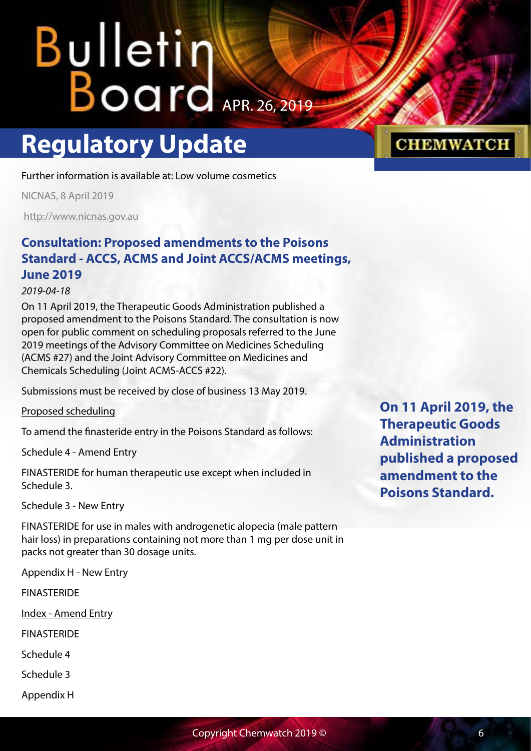## <span id="page-5-0"></span>**Bulletintendents**

## **Regulatory Update**

Further information is available at: [Low volume cosmetics](https://www.nicnas.gov.au/notify-your-chemical/chemicals-exempt-from-notification)

NICNAS, 8 April 2019

<http://www.nicnas.gov.au>

## **Consultation: Proposed amendments to the Poisons Standard - ACCS, ACMS and Joint ACCS/ACMS meetings, June 2019**

#### *2019-04-18*

On 11 April 2019, the Therapeutic Goods Administration published a proposed amendment to the Poisons Standard. The consultation is now open for public comment on scheduling proposals referred to the June 2019 meetings of the Advisory Committee on Medicines Scheduling (ACMS #27) and the Joint Advisory Committee on Medicines and Chemicals Scheduling (Joint ACMS-ACCS #22).

Submissions must be received by close of business 13 May 2019.

#### Proposed scheduling

To amend the finasteride entry in the Poisons Standard as follows:

Schedule 4 - Amend Entry

FINASTERIDE for human therapeutic use except when included in Schedule 3.

Schedule 3 - New Entry

FINASTERIDE for use in males with androgenetic alopecia (male pattern hair loss) in preparations containing not more than 1 mg per dose unit in packs not greater than 30 dosage units.

Appendix H - New Entry

FINASTERIDE

Index - Amend Entry

FINASTERIDE

Schedule 4

Schedule 3

Appendix H

**On 11 April 2019, the Therapeutic Goods Administration published a proposed amendment to the Poisons Standard.**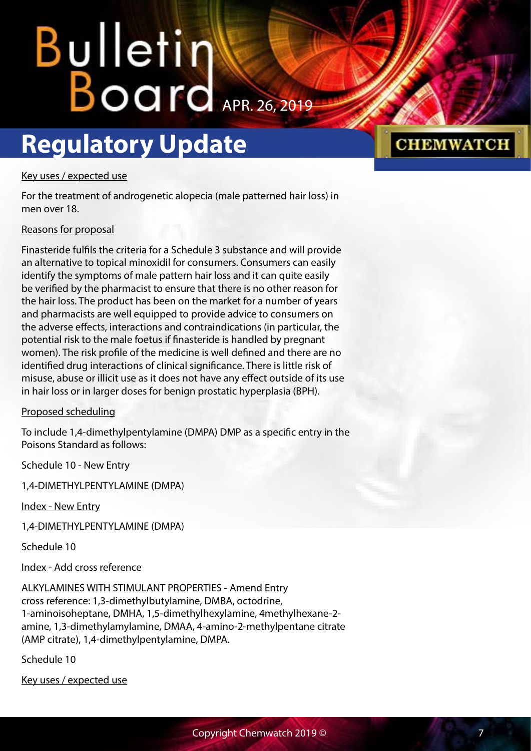## **Regulatory Update**

### Key uses / expected use

For the treatment of androgenetic alopecia (male patterned hair loss) in men over 18.

**CHEMWATCH** 

### Reasons for proposal

Finasteride fulfils the criteria for a Schedule 3 substance and will provide an alternative to topical minoxidil for consumers. Consumers can easily identify the symptoms of male pattern hair loss and it can quite easily be verified by the pharmacist to ensure that there is no other reason for the hair loss. The product has been on the market for a number of years and pharmacists are well equipped to provide advice to consumers on the adverse effects, interactions and contraindications (in particular, the potential risk to the male foetus if finasteride is handled by pregnant women). The risk profile of the medicine is well defined and there are no identified drug interactions of clinical significance. There is little risk of misuse, abuse or illicit use as it does not have any effect outside of its use in hair loss or in larger doses for benign prostatic hyperplasia (BPH).

### Proposed scheduling

To include 1,4-dimethylpentylamine (DMPA) DMP as a specific entry in the Poisons Standard as follows:

Schedule 10 - New Entry

1,4-DIMETHYLPENTYLAMINE (DMPA)

Index - New Entry

1,4-DIMETHYLPENTYLAMINE (DMPA)

Schedule 10

Index - Add cross reference

ALKYLAMINES WITH STIMULANT PROPERTIES - Amend Entry cross reference: 1,3-dimethylbutylamine, DMBA, octodrine, 1-aminoisoheptane, DMHA, 1,5-dimethylhexylamine, 4methylhexane-2 amine, 1,3-dimethylamylamine, DMAA, 4-amino-2-methylpentane citrate (AMP citrate), 1,4-dimethylpentylamine, DMPA.

Schedule 10

Key uses / expected use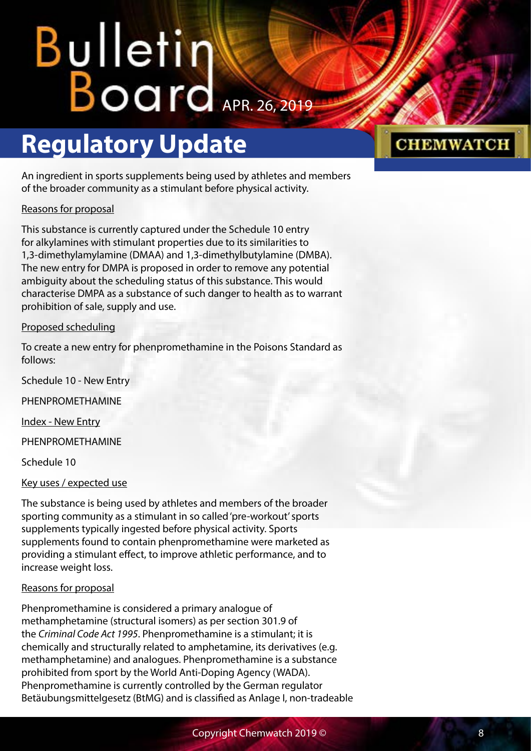## **Regulatory Update**

An ingredient in sports supplements being used by athletes and members of the broader community as a stimulant before physical activity.

### Reasons for proposal

This substance is currently captured under the Schedule 10 entry for alkylamines with stimulant properties due to its similarities to 1,3-dimethylamylamine (DMAA) and 1,3-dimethylbutylamine (DMBA). The new entry for DMPA is proposed in order to remove any potential ambiguity about the scheduling status of this substance. This would characterise DMPA as a substance of such danger to health as to warrant prohibition of sale, supply and use.

### Proposed scheduling

To create a new entry for phenpromethamine in the Poisons Standard as follows:

Schedule 10 - New Entry

PHENPROMETHAMINE

Index - New Entry

PHENPROMETHAMINE

Schedule 10

Key uses / expected use

The substance is being used by athletes and members of the broader sporting community as a stimulant in so called 'pre-workout' sports supplements typically ingested before physical activity. Sports supplements found to contain phenpromethamine were marketed as providing a stimulant effect, to improve athletic performance, and to increase weight loss.

### Reasons for proposal

Phenpromethamine is considered a primary analogue of methamphetamine (structural isomers) as per section 301.9 of the *Criminal Code Act 1995*. Phenpromethamine is a stimulant; it is chemically and structurally related to amphetamine, its derivatives (e.g. methamphetamine) and analogues. Phenpromethamine is a substance prohibited from sport by the World Anti-Doping Agency (WADA). Phenpromethamine is currently controlled by the German regulator Betäubungsmittelgesetz (BtMG) and is classified as Anlage I, non-tradeable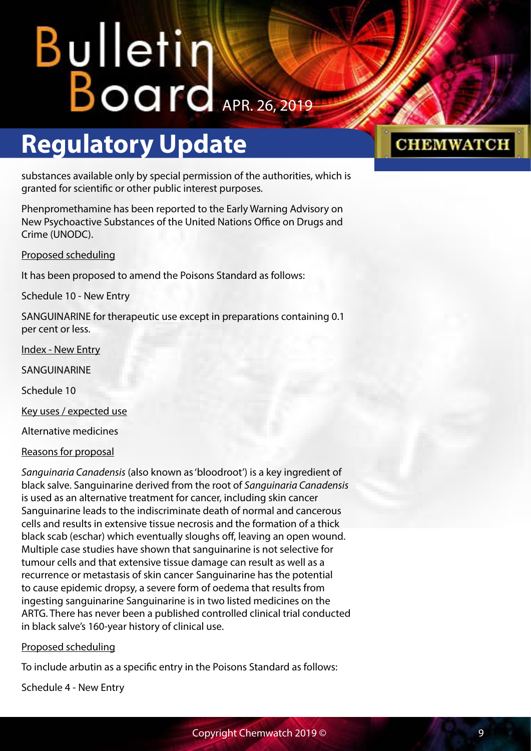## **Bulletintendents**

## **Regulatory Update**

substances available only by special permission of the authorities, which is granted for scientific or other public interest purposes.

Phenpromethamine has been reported to the Early Warning Advisory on New Psychoactive Substances of the United Nations Office on Drugs and Crime (UNODC).

#### Proposed scheduling

It has been proposed to amend the Poisons Standard as follows:

Schedule 10 - New Entry

SANGUINARINE for therapeutic use except in preparations containing 0.1 per cent or less.

Index - New Entry

SANGUINARINE

Schedule 10

Key uses / expected use

Alternative medicines

Reasons for proposal

*Sanguinaria Canadensis* (also known as 'bloodroot') is a key ingredient of black salve. Sanguinarine derived from the root of *Sanguinaria Canadensis* is used as an alternative treatment for cancer, including skin cancer Sanguinarine leads to the indiscriminate death of normal and cancerous cells and results in extensive tissue necrosis and the formation of a thick black scab (eschar) which eventually sloughs off, leaving an open wound. Multiple case studies have shown that sanguinarine is not selective for tumour cells and that extensive tissue damage can result as well as a recurrence or metastasis of skin cancer Sanguinarine has the potential to cause epidemic dropsy, a severe form of oedema that results from ingesting sanguinarine. Sanguinarine is in two listed medicines on the ARTG. There has never been a published controlled clinical trial conducted in black salve's 160-year history of clinical use.

#### Proposed scheduling

To include arbutin as a specific entry in the Poisons Standard as follows:

Schedule 4 - New Entry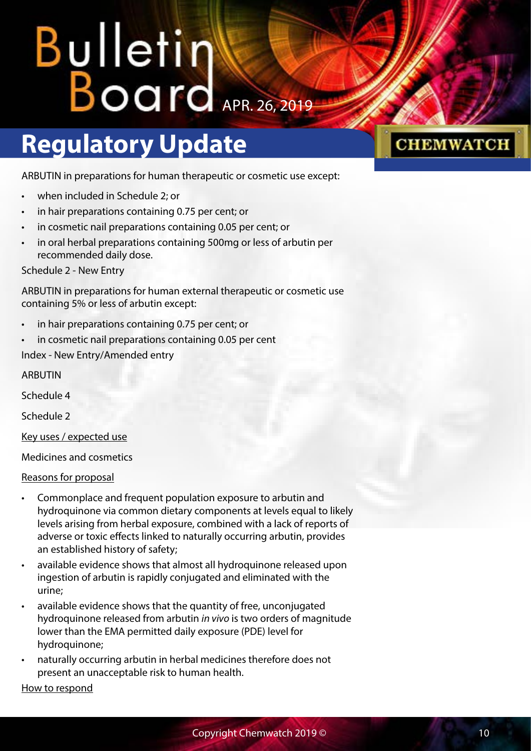## **Regulatory Update**

ARBUTIN in preparations for human therapeutic or cosmetic use except:

- when included in Schedule 2; or
- in hair preparations containing 0.75 per cent; or
- in cosmetic nail preparations containing 0.05 per cent; or
- in oral herbal preparations containing 500mg or less of arbutin per recommended daily dose.

Schedule 2 - New Entry

ARBUTIN in preparations for human external therapeutic or cosmetic use containing 5% or less of arbutin except:

- in hair preparations containing 0.75 per cent; or
- in cosmetic nail preparations containing 0.05 per cent

Index - New Entry/Amended entry

ARBUTIN

Schedule 4

Schedule 2

Key uses / expected use

Medicines and cosmetics

Reasons for proposal

- Commonplace and frequent population exposure to arbutin and hydroquinone via common dietary components at levels equal to likely levels arising from herbal exposure, combined with a lack of reports of adverse or toxic effects linked to naturally occurring arbutin, provides an established history of safety;
- available evidence shows that almost all hydroquinone released upon ingestion of arbutin is rapidly conjugated and eliminated with the urine;
- available evidence shows that the quantity of free, unconjugated hydroquinone released from arbutin *in vivo* is two orders of magnitude lower than the EMA permitted daily exposure (PDE) level for hydroquinone;
- naturally occurring arbutin in herbal medicines therefore does not present an unacceptable risk to human health.

#### How to respond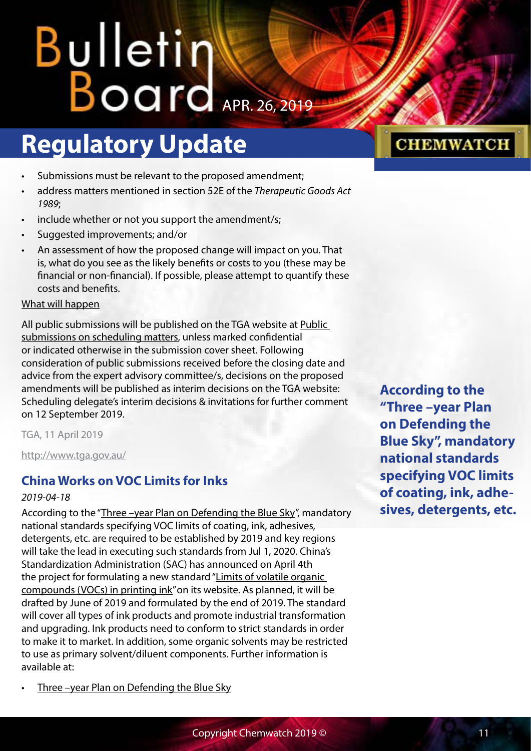## <span id="page-10-0"></span>**Regulatory Update**

- Submissions must be relevant to the proposed amendment;
- address matters mentioned in section 52E of the *Therapeutic Goods Act 1989*;
- include whether or not you support the amendment/s;
- Suggested improvements; and/or
- An assessment of how the proposed change will impact on you. That is, what do you see as the likely benefits or costs to you (these may be financial or non-financial). If possible, please attempt to quantify these costs and benefits.

## What will happen

All public submissions will be published on the TGA website at [Public](https://www.tga.gov.au/public-submissions-scheduling-matters)  [submissions on scheduling matters,](https://www.tga.gov.au/public-submissions-scheduling-matters) unless marked confidential or indicated otherwise in the submission cover sheet. Following consideration of public submissions received before the closing date and advice from the expert advisory committee/s, decisions on the proposed amendments will be published as interim decisions on the TGA website: [Scheduling delegate's interim decisions & invitations for further comment](https://www.tga.gov.au/scheduling-delegates-interim-decisions-invitations-further-comment) on 12 September 2019.

TGA, 11 April 2019

<http://www.tga.gov.au/>

## **China Works on VOC Limits for Inks**

## *2019-04-18*

According to the "[Three –year Plan on Defending the Blue Sky](https://chemlinked.com/news/chemical-news/chinas-three-year-environmental-protection-plan-emphasize-control-vocs)", mandatory national standards specifying VOC limits of coating, ink, adhesives, detergents, etc. are required to be established by 2019 and key regions will take the lead in executing such standards from Jul 1, 2020. China's Standardization Administration (SAC) has announced on April 4th the project for formulating a new standard ["Limits of volatile organic](http://www.std.gov.cn/gb/search/gbDetailed?id=7B38A1F887A8C148E05397BE0A0AE41E)  [compounds \(VOCs\) in printing ink"](http://www.std.gov.cn/gb/search/gbDetailed?id=7B38A1F887A8C148E05397BE0A0AE41E)on its website. As planned, it will be drafted by June of 2019 and formulated by the end of 2019. The standard will cover all types of ink products and promote industrial transformation and upgrading. Ink products need to conform to strict standards in order to make it to market. In addition, some organic solvents may be restricted to use as primary solvent/diluent components. Further information is available at:

Three -year Plan on Defending the Blue Sky

**According to the "Three –year Plan on Defending the Blue Sky", mandatory national standards specifying VOC limits of coating, ink, adhesives, detergents, etc.**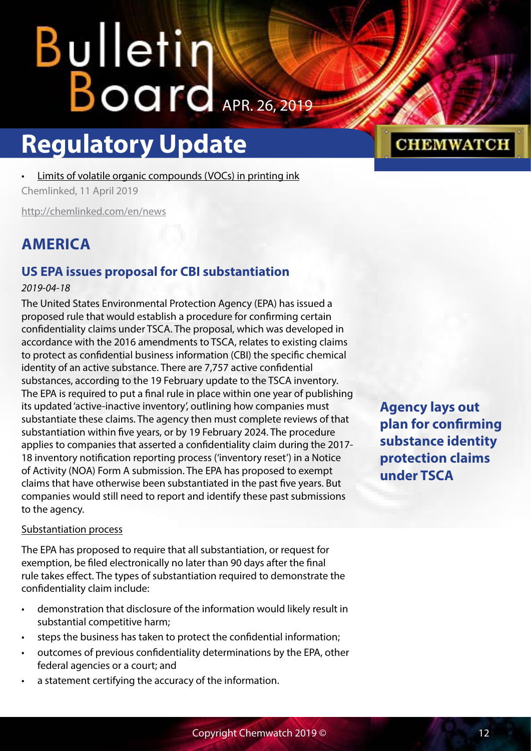## <span id="page-11-0"></span>**Regulatory Update**

[Limits of volatile organic compounds \(VOCs\) in printing ink](http://www.std.gov.cn/gb/search/gbDetailed?id=7B38A1F887A8C148E05397BE0A0AE41E)

Chemlinked, 11 April 2019

<http://chemlinked.com/en/news>

## **AMERICA**

## **US EPA issues proposal for CBI substantiation**

#### *2019-04-18*

The United States Environmental Protection Agency (EPA) has issued a proposed rule that would establish a procedure for confirming certain confidentiality claims under TSCA. The proposal, which was developed in accordance with the 2016 amendments to TSCA, relates to existing claims to protect as confidential business information (CBI) the specific chemical identity of an active substance. There are 7,757 active confidential substances, according to the 19 February update to the TSCA inventory. The EPA is required to put a final rule in place within one year of publishing its updated 'active-inactive inventory', outlining how companies must substantiate these claims. The agency then must complete reviews of that substantiation within five years, or by 19 February 2024. The procedure applies to companies that asserted a confidentiality claim during the 2017- 18 inventory notification reporting process ('[inventory reset'](https://chemicalwatch.com/58178/)) in a Notice of Activity (NOA) Form A submission. The EPA has proposed to exempt claims that have otherwise been substantiated in the past five years. But companies would still need to report and identify these past submissions to the agency.

**Agency lays out plan for confirming substance identity protection claims under TSCA**

**CHEMWATCH** 

### Substantiation process

The EPA has proposed to require that all substantiation, or request for exemption, be filed electronically no later than 90 days after the final rule takes effect. The types of substantiation required to demonstrate the confidentiality claim include:

- demonstration that disclosure of the information would likely result in substantial competitive harm;
- steps the business has taken to protect the confidential information;
- outcomes of previous confidentiality determinations by the EPA, other federal agencies or a court; and
- a statement certifying the accuracy of the information.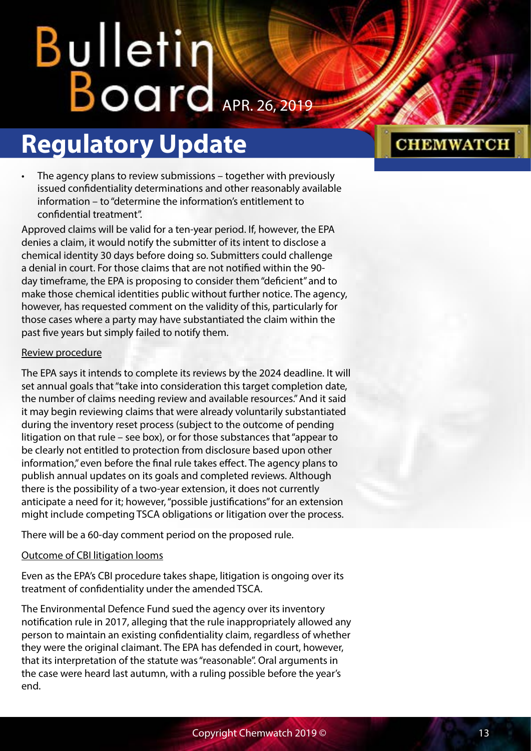## **Regulatory Update**

• The agency plans to review submissions – together with previously issued confidentiality determinations and other reasonably available information – to "determine the information's entitlement to confidential treatment".

Approved claims will be valid for a ten-year period. If, however, the EPA denies a claim, it would notify the submitter of its intent to disclose a chemical identity 30 days before doing so. Submitters could challenge a denial in court. For those claims that are not notified within the 90 day timeframe, the EPA is proposing to consider them "deficient" and to make those chemical identities public without further notice. The agency, however, has requested comment on the validity of this, particularly for those cases where a party may have substantiated the claim within the past five years but simply failed to notify them.

#### Review procedure

The EPA says it intends to complete its reviews by the 2024 deadline. It will set annual goals that "take into consideration this target completion date, the number of claims needing review and available resources." And it said it may begin reviewing claims that were already voluntarily substantiated during the inventory reset process (subject to the outcome of pending litigation on that rule – see box), or for those substances that "appear to be clearly not entitled to protection from disclosure based upon other information," even before the final rule takes effect. The agency plans to publish annual updates on its goals and completed reviews. Although there is the possibility of a two-year extension, it does not currently anticipate a need for it; however, "possible justifications" for an extension might include competing TSCA obligations or litigation over the process.

There will be a 60-day comment period on the proposed rule.

### Outcome of CBI litigation looms

Even as the EPA's CBI procedure takes shape, litigation is ongoing over its treatment of confidentiality under the amended TSCA.

The Environmental Defence Fund sued the agency over its inventory notification rule in 2017, alleging that the rule inappropriately allowed any person to maintain an existing confidentiality claim, regardless of whether they were the original claimant. The EPA has defended in court, however, that its interpretation of the statute was "reasonable". Oral arguments in the case were heard last autumn, with a ruling possible before the year's end.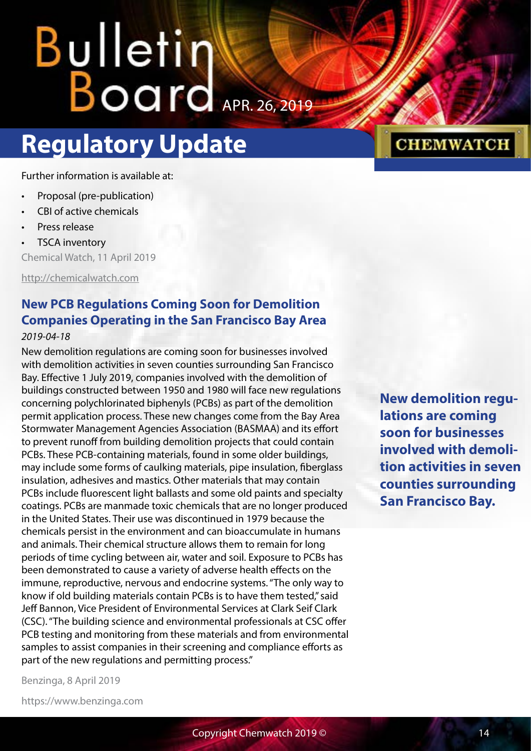## <span id="page-13-0"></span>**Regulatory Update**

Further information is available at:

- [Proposal \(pre-publication\)](https://www.epa.gov/tsca-inventory/chemical-identity-cbi-claims-active-chemicals-tsca-inventory)
- [CBI of active chemicals](https://www.epa.gov/tsca-inventory/chemical-identity-cbi-claims-active-chemicals-tsca-inventory)
- [Press release](https://www.epa.gov/newsreleases/epa-proposes-rule-certain-confidential-business-information-claims-reaching-another)
- **TSCA** inventory

Chemical Watch, 11 April 2019

<http://chemicalwatch.com>

## **New PCB Regulations Coming Soon for Demolition Companies Operating in the San Francisco Bay Area**

#### *2019-04-18*

New demolition regulations are coming soon for businesses involved with demolition activities in seven counties surrounding San Francisco Bay. Effective 1 July 2019, companies involved with the demolition of buildings constructed between 1950 and 1980 will face new regulations concerning polychlorinated biphenyls (PCBs) as part of the demolition permit application process. These new changes come from the Bay Area Stormwater Management Agencies Association (BASMAA) and its effort to prevent runoff from building demolition projects that could contain PCBs. These PCB-containing materials, found in some older buildings, may include some forms of caulking materials, pipe insulation, fiberglass insulation, adhesives and mastics. Other materials that may contain PCBs include fluorescent light ballasts and some old paints and specialty coatings. PCBs are manmade toxic chemicals that are no longer produced in the United States. Their use was discontinued in 1979 because the chemicals persist in the environment and can bioaccumulate in humans and animals. Their chemical structure allows them to remain for long periods of time cycling between air, water and soil. Exposure to PCBs has been demonstrated to cause a variety of adverse health effects on the immune, reproductive, nervous and endocrine systems. "The only way to know if old building materials contain PCBs is to have them tested," said Jeff Bannon, Vice President of Environmental Services at Clark Seif Clark (CSC). "The building science and environmental professionals at CSC offer PCB testing and monitoring from these materials and from environmental samples to assist companies in their screening and compliance efforts as part of the new regulations and permitting process."

Benzinga, 8 April 2019

https://www.benzinga.com

**New demolition regulations are coming soon for businesses involved with demolition activities in seven counties surrounding San Francisco Bay.**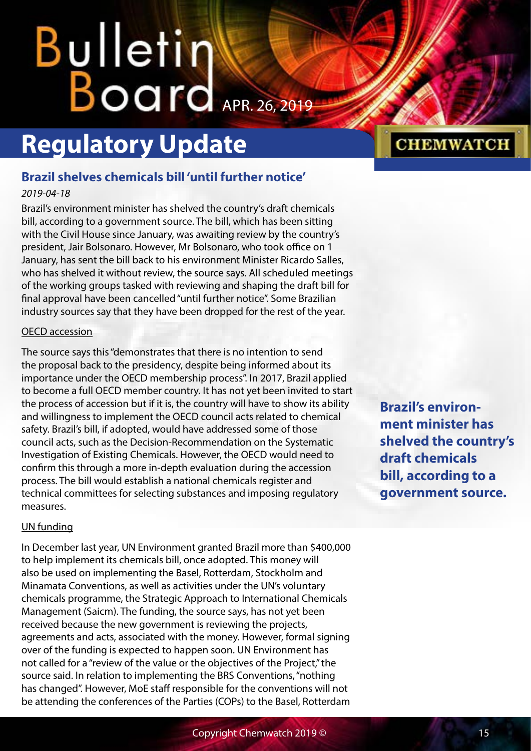## <span id="page-14-0"></span>**Regulatory Update**

## **Brazil shelves chemicals bill 'until further notice'**

### *2019-04-18*

Brazil's environment minister has shelved the country's draft chemicals bill, according to a government source. The bill, which has been sitting with the [Civil House](https://chemicalwatch.com/73245/) since January, was awaiting review by the country's president, Jair Bolsonaro. However, Mr Bolsonaro, who took office on 1 January, has sent the bill back to his environment Minister Ricardo Salles, who has shelved it without review, the source says. All scheduled meetings of the working groups tasked with reviewing and shaping the draft bill for final approval have been cancelled "until further notice". Some Brazilian industry sources say that they have been dropped for the rest of the year.

### OECD accession

The source says this "demonstrates that there is no intention to send the proposal back to the presidency, despite being informed about its importance under the OECD membership process". In 2017, Brazil applied to become a full OECD member country. It has not yet been invited to start the process of accession but if it is, the country will have to show its ability and willingness to implement the OECD council acts related to chemical safety. Brazil's bill, if adopted, would have addressed some of those council acts, such as the Decision-Recommendation on the Systematic Investigation of Existing Chemicals. However, the OECD would need to confirm this through a more in-depth evaluation during the accession process. The bill would establish a national chemicals register and technical committees for selecting substances and imposing regulatory measures.

## **Brazil's environment minister has shelved the country's draft chemicals bill, according to a government source.**

**CHEMWATCH** 

## UN funding

In December last year, UN Environment granted Brazil more than \$400,000 to help implement its chemicals bill, once adopted. This money will also be used on implementing the Basel, Rotterdam, Stockholm and Minamata Conventions, as well as activities under the UN's voluntary chemicals programme, the Strategic Approach to International Chemicals Management (Saicm). The funding, the source says, has not yet been received because the new government is reviewing the projects, agreements and acts, associated with the money. However, formal signing over of the funding is expected to happen soon. UN Environment has not called for a "review of the value or the objectives of the Project," the source said. In relation to implementing the BRS Conventions, "nothing has changed". However, MoE staff responsible for the conventions will not be attending the conferences of the Parties (COPs) to the Basel, Rotterdam

Copyright Chemwatch 2019 © 15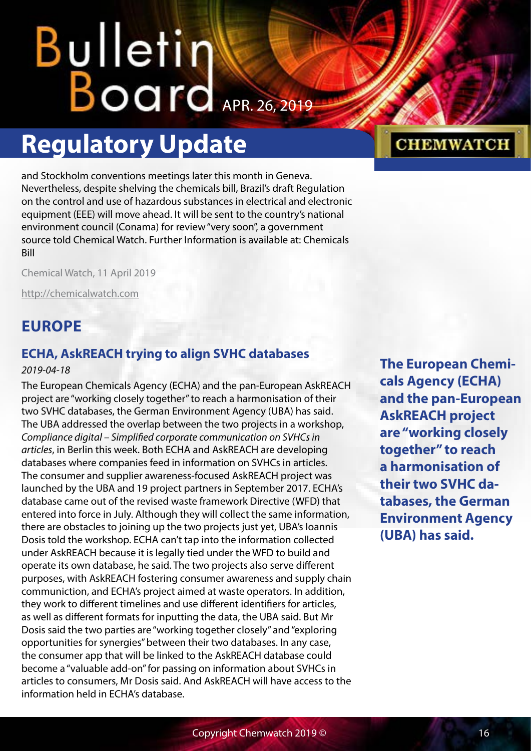## <span id="page-15-0"></span>**Regulatory Update**

and Stockholm conventions meetings later this month in Geneva. Nevertheless, despite shelving the chemicals bill, Brazil's draft Regulation on the control and use of hazardous substances in electrical and electronic equipment (EEE) will move ahead. It will be sent to the country's national environment council (Conama) for review "very soon", a government source told Chemical Watch. Further Information is available at: [Chemicals](http://files.chemicalwatch.com/BrazilDraftLaw.docx)  [Bill](http://files.chemicalwatch.com/BrazilDraftLaw.docx)

Chemical Watch, 11 April 2019

<http://chemicalwatch.com>

## **EUROPE**

## **ECHA, AskREACH trying to align SVHC databases**

#### *2019-04-18*

The European Chemicals Agency (ECHA) and the pan-European AskREACH project are "working closely together" to reach a harmonisation of their two SVHC databases, the German Environment Agency (UBA) has said. The UBA addressed the overlap between the two projects in a workshop, *Compliance digital – Simplified corporate communication on SVHCs in articles*, in Berlin this week. Both ECHA and AskREACH are developing databases where companies feed in information on SVHCs in articles. The consumer and supplier awareness-focused AskREACH project was launched by the UBA and 19 project partners in September 2017. ECHA's database came out of the [revised](https://chemicalwatch.com/64958/) waste framework Directive (WFD) that entered into force in July. Although they will collect the same information, there are obstacles to joining up the two projects just yet, UBA's Ioannis Dosis told the workshop. ECHA can't tap into the information collected under AskREACH because it is legally tied under the WFD to build and operate its own database, he said. The two projects also serve different purposes, with AskREACH fostering consumer awareness and supply chain communiction, and ECHA's project aimed at waste operators. In addition, they work to different timelines and use different identifiers for articles, as well as different formats for inputting the data, the UBA said. But Mr Dosis said the two parties are "working together closely" and "exploring opportunities for synergies" between their two databases. In any case, the consumer app that will be linked to the AskREACH database could become a "valuable add-on" for passing on information about SVHCs in articles to consumers, Mr Dosis said. And AskREACH will have access to the information held in ECHA's database.

**The European Chemicals Agency (ECHA) and the pan-European AskREACH project are "working closely together" to reach a harmonisation of their two SVHC databases, the German Environment Agency (UBA) has said.**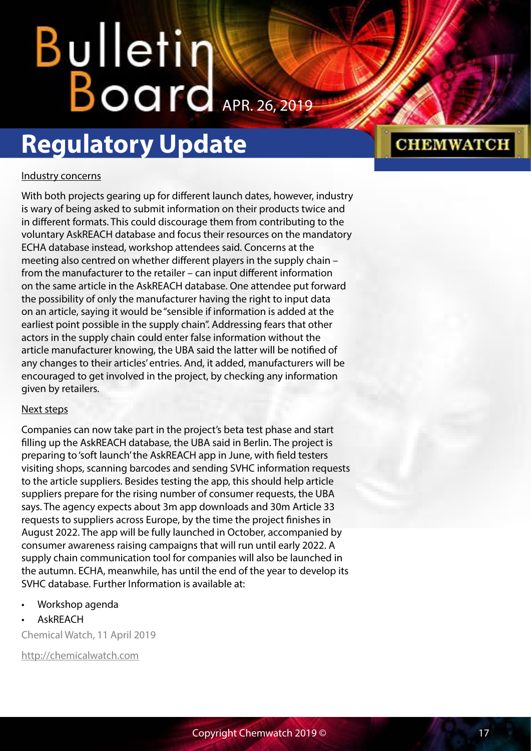## **Bulletintendents**

## **Regulatory Update**

## **CHEMWATCH**

### Industry concerns

With both projects gearing up for different launch dates, however, industry is wary of being asked to submit information on their products twice and in different formats. This could discourage them from contributing to the voluntary AskREACH database and focus their resources on the mandatory ECHA database instead, workshop attendees said. Concerns at the meeting also centred on whether different players in the supply chain – from the manufacturer to the retailer – can input different information on the same article in the AskREACH database. One attendee put forward the possibility of only the manufacturer having the right to input data on an article, saying it would be "sensible if information is added at the earliest point possible in the supply chain". Addressing fears that other actors in the supply chain could enter false information without the article manufacturer knowing, the UBA said the latter will be notified of any changes to their articles' entries. And, it added, manufacturers will be encouraged to get involved in the project, by checking any information given by retailers.

### Next steps

Companies can now take part in the project's beta test phase and start filling up the AskREACH database, the UBA said in Berlin. The project is preparing to 'soft launch' the AskREACH app in June, with field testers visiting shops, scanning barcodes and sending SVHC information requests to the article suppliers. Besides testing the app, this should help article suppliers prepare for the rising number of consumer requests, the UBA says. The agency expects about 3m app downloads and 30m Article 33 requests to suppliers across Europe, by the time the project finishes in August 2022. The app will be fully launched in October, accompanied by consumer awareness raising campaigns that will run until early 2022. A supply chain communication tool for companies will also be launched in the autumn. ECHA, meanwhile, has until the end of the year to develop its SVHC database. Further Information is available at:

• [Workshop agenda](https://www.umweltbundesamt.de/dokument/vorlaeufige-tagesordnung-compliance-digital)

### **[AskREACH](https://www.askreach.eu/)**

Chemical Watch, 11 April 2019

<http://chemicalwatch.com>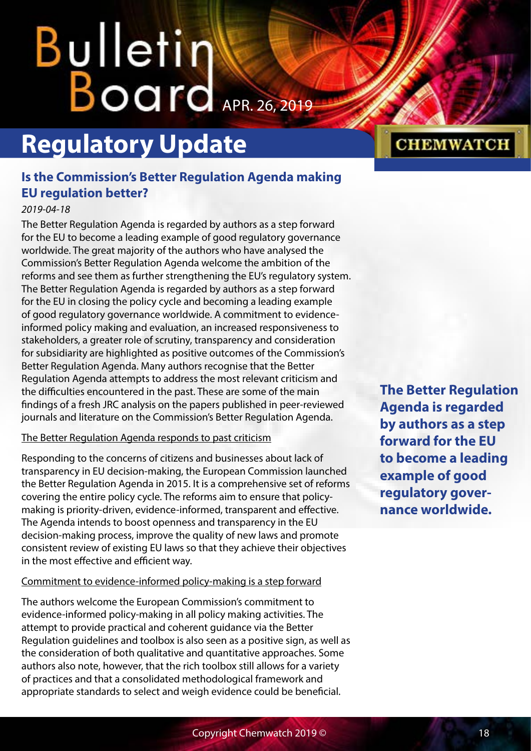## <span id="page-17-0"></span>**Regulatory Update**

## **Is the Commission's Better Regulation Agenda making EU regulation better?**

### *2019-04-18*

The Better Regulation Agenda is regarded by authors as a step forward for the EU to become a leading example of good regulatory governance worldwide. The great majority of the authors who have analysed the Commission's Better Regulation Agenda welcome the ambition of the reforms and see them as further strengthening the EU's regulatory system. The Better Regulation Agenda is regarded by authors as a step forward for the EU in closing the policy cycle and becoming a leading example of good regulatory governance worldwide. A commitment to evidenceinformed policy making and evaluation, an increased responsiveness to stakeholders, a greater role of scrutiny, transparency and consideration for subsidiarity are highlighted as positive outcomes of the Commission's Better Regulation Agenda. Many authors recognise that the Better Regulation Agenda attempts to address the most relevant criticism and the difficulties encountered in the past. These are some of the main findings of a fresh JRC analysis on the papers published in peer-reviewed journals and literature on the Commission's Better Regulation Agenda.

### The Better Regulation Agenda responds to past criticism

Responding to the concerns of citizens and businesses about lack of transparency in EU decision-making, the European Commission launched the Better Regulation Agenda in 2015. It is a comprehensive set of reforms covering the entire policy cycle. The reforms aim to ensure that policymaking is priority-driven, evidence-informed, transparent and effective. The Agenda intends to boost openness and transparency in the EU decision-making process, improve the quality of new laws and promote consistent review of existing EU laws so that they achieve their objectives in the most effective and efficient way.

### Commitment to evidence-informed policy-making is a step forward

The authors welcome the European Commission's commitment to evidence-informed policy-making in all policy making activities. The attempt to provide practical and coherent guidance via the Better Regulation guidelines and toolbox is also seen as a positive sign, as well as the consideration of both qualitative and quantitative approaches. Some authors also note, however, that the rich toolbox still allows for a variety of practices and that a consolidated methodological framework and appropriate standards to select and weigh evidence could be beneficial.

**The Better Regulation Agenda is regarded by authors as a step forward for the EU to become a leading example of good regulatory governance worldwide.**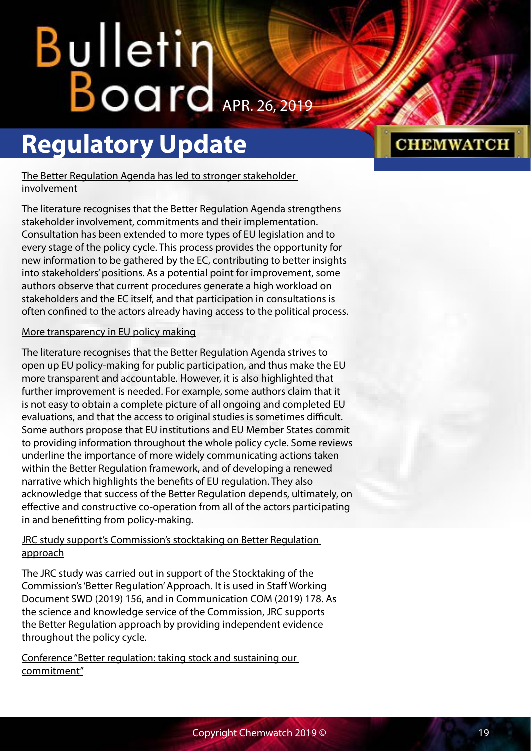## **Regulatory Update**

### The Better Regulation Agenda has led to stronger stakeholder involvement

The literature recognises that the Better Regulation Agenda strengthens stakeholder involvement, commitments and their implementation. Consultation has been extended to more types of EU legislation and to every stage of the policy cycle. This process provides the opportunity for new information to be gathered by the EC, contributing to better insights into stakeholders' positions. As a potential point for improvement, some authors observe that current procedures generate a high workload on stakeholders and the EC itself, and that participation in consultations is often confined to the actors already having access to the political process.

### More transparency in EU policy making

The literature recognises that the Better Regulation Agenda strives to open up EU policy-making for public participation, and thus make the EU more transparent and accountable. However, it is also highlighted that further improvement is needed. For example, some authors claim that it is not easy to obtain a complete picture of all ongoing and completed EU evaluations, and that the access to original studies is sometimes difficult. Some authors propose that EU institutions and EU Member States commit to providing information throughout the whole policy cycle. Some reviews underline the importance of more widely communicating actions taken within the Better Regulation framework, and of developing a renewed narrative which highlights the benefits of EU regulation. They also acknowledge that success of the Better Regulation depends, ultimately, on effective and constructive co-operation from all of the actors participating in and benefitting from policy-making.

### **JRC study support's Commission's stocktaking on Better Regulation** approach

The [JRC study](https://ec.europa.eu/jrc/en/publication/eur-scientific-and-technical-research-reports/debate-eu-better-regulation-agenda-literature-review) was carried out in support of the [Stocktaking of the](https://ec.europa.eu/info/law/law-making-process/planning-and-proposing-law/better-regulation-why-and-how/better-regulation-taking-stock-take-it-forward_en)  [Commission's 'Better Regulation' Approach.](https://ec.europa.eu/info/law/law-making-process/planning-and-proposing-law/better-regulation-why-and-how/better-regulation-taking-stock-take-it-forward_en) It is used in Staff Working Document SWD (2019) 156, and in Communication COM (2019) 178. As the science and knowledge service of the Commission, JRC supports the Better Regulation approach by providing independent evidence throughout the policy cycle.

Conference "Better regulation: taking stock and sustaining our commitment"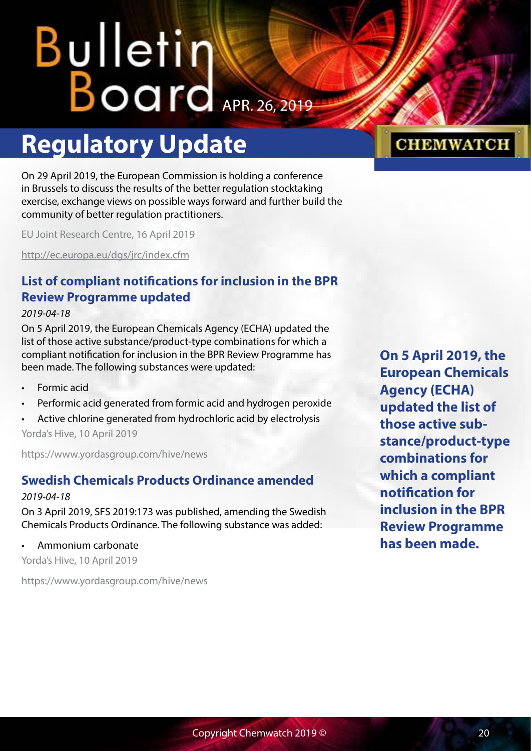## <span id="page-19-0"></span>**Bulletin Warner**

## **Regulatory Update**

On 29 April 2019, [the European Commission is holding a conference](https://ec.europa.eu/info/events/conference-better-regulation-taking-stock-take-it-forward-2019-apr-29_en)  [in Brussels](https://ec.europa.eu/info/events/conference-better-regulation-taking-stock-take-it-forward-2019-apr-29_en) to discuss the results of the better regulation stocktaking exercise, exchange views on possible ways forward and further build the community of better regulation practitioners.

EU Joint Research Centre, 16 April 2019

<http://ec.europa.eu/dgs/jrc/index.cfm>

## **List of compliant notifications for inclusion in the BPR Review Programme updated**

*2019-04-18*

On 5 April 2019, the European Chemicals Agency (ECHA) updated the list of those active substance/product-type combinations for which a compliant notification for inclusion in the BPR Review Programme has been made. The following substances were updated:

- Formic acid
- Performic acid generated from formic acid and hydrogen peroxide
- Active chlorine generated from hydrochloric acid by electrolysis Yorda's Hive, 10 April 2019

https://www.yordasgroup.com/hive/news

## **Swedish Chemicals Products Ordinance amended**

*2019-04-18*

On 3 April 2019, SFS 2019:173 was published, amending the Swedish Chemicals Products Ordinance. The following substance was added:

• Ammonium carbonate

Yorda's Hive, 10 April 2019

https://www.yordasgroup.com/hive/news

**On 5 April 2019, the European Chemicals Agency (ECHA) updated the list of those active substance/product-type combinations for which a compliant notification for inclusion in the BPR Review Programme has been made.**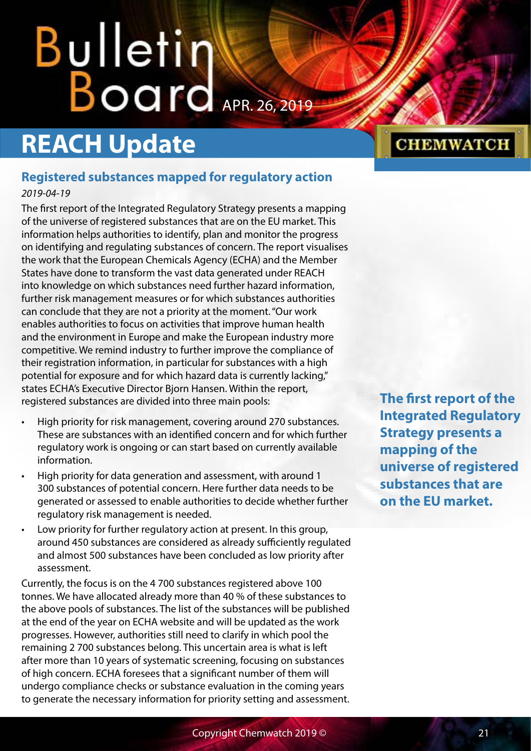## <span id="page-20-0"></span>**REACH Update**

## **Registered substances mapped for regulatory action**

### *2019-04-19*

The first report of the Integrated Regulatory Strategy presents a mapping of the universe of registered substances that are on the EU market. This information helps authorities to identify, plan and monitor the progress on identifying and regulating substances of concern. The report visualises the work that the European Chemicals Agency (ECHA) and the Member States have done to transform the vast data generated under REACH into knowledge on which substances need further hazard information, further risk management measures or for which substances authorities can conclude that they are not a priority at the moment. "Our work enables authorities to focus on activities that improve human health and the environment in Europe and make the European industry more competitive. We remind industry to further improve the compliance of their registration information, in particular for substances with a high potential for exposure and for which hazard data is currently lacking," states ECHA's Executive Director Bjorn Hansen. Within the report, registered substances are divided into three main pools:

- High priority for risk management, covering around 270 substances. These are substances with an identified concern and for which further regulatory work is ongoing or can start based on currently available information.
- High priority for data generation and assessment, with around 1 300 substances of potential concern. Here further data needs to be generated or assessed to enable authorities to decide whether further regulatory risk management is needed.
- Low priority for further regulatory action at present. In this group, around 450 substances are considered as already sufficiently regulated and almost 500 substances have been concluded as low priority after assessment.

Currently, the focus is on the 4 700 substances registered above 100 tonnes. We have allocated already more than 40 % of these substances to the above pools of substances. The list of the substances will be published at the end of the year on ECHA website and will be updated as the work progresses. However, authorities still need to clarify in which pool the remaining 2 700 substances belong. This uncertain area is what is left after more than 10 years of systematic screening, focusing on substances of high concern. ECHA foresees that a significant number of them will undergo compliance checks or substance evaluation in the coming years to generate the necessary information for priority setting and assessment. **The first report of the Integrated Regulatory Strategy presents a mapping of the universe of registered substances that are on the EU market.**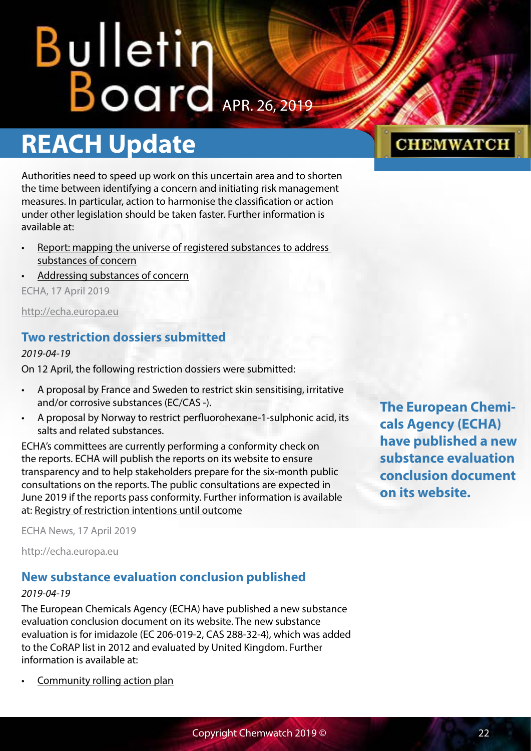## <span id="page-21-0"></span>**REACH Update**

Authorities need to speed up work on this uncertain area and to shorten the time between identifying a concern and initiating risk management measures. In particular, action to harmonise the classification or action under other legislation should be taken faster. Further information is available at:

- Report: mapping the universe of registered substances to address [substances of concern](https://echa.europa.eu/documents/10162/27467748/irs_annual_report_2018_en.pdf/69988046-25cc-b39e-9d43-6bbd4c164425)
- [Addressing substances of concern](https://echa.europa.eu/substances-of-potential-concern)

ECHA, 17 April 2019

<http://echa.europa.eu>

## **Two restriction dossiers submitted**

*2019-04-19*

On 12 April, the following restriction dossiers were submitted:

- A proposal by France and Sweden to restrict [skin sensitising, irritative](http://elmlinks.echa.europa.eu/c/4/?T=OTMzMDcxOTU%3AcDEtYjE5MTA3LTgwYzY4YTBiNDM4YjQ4ODk5NjhmZWYyODVkYWQ2MTBl%3AbmF0QGNoZW13YXRjaC5uZXQ%3AbGVhZC1hMDI0MDJjZmMwZTBlNzExODBmYTAwNTA1Njk1MmIzMS1mOTJjMWZkZGU2ZWY0MTcxYmVkNzMyMzc5YWNkZDliZQ%3AZmFsc2U%3ANA%3A%3AaHR0cHM6Ly9lY2hhLmV1cm9wYS5ldS9yZWdpc3RyeS1vZi1yZXN0cmljdGlvbi1pbnRlbnRpb25zLy0vZGlzbGlzdC9kZXRhaWxzLzBiMDIzNmUxODI0NDYxMzY_X2NsZGVlPWJtRjBRR05vWlcxM1lYUmphQzV1WlhRJTNkJnJlY2lwaWVudGlkPWxlYWQtYTAyNDAyY2ZjMGUwZTcxMTgwZmEwMDUwNTY5NTJiMzEtZjkyYzFmZGRlNmVmNDE3MWJlZDczMjM3OWFjZGQ5YmUmZXNpZD1mM2JjMDk0My1lZDYwLWU5MTEtODEwYi0wMDUwNTY5NTJiMzE&K=29Xcy5uC3QWVXpwV58Cvbg)  [and/or corrosive substances](http://elmlinks.echa.europa.eu/c/4/?T=OTMzMDcxOTU%3AcDEtYjE5MTA3LTgwYzY4YTBiNDM4YjQ4ODk5NjhmZWYyODVkYWQ2MTBl%3AbmF0QGNoZW13YXRjaC5uZXQ%3AbGVhZC1hMDI0MDJjZmMwZTBlNzExODBmYTAwNTA1Njk1MmIzMS1mOTJjMWZkZGU2ZWY0MTcxYmVkNzMyMzc5YWNkZDliZQ%3AZmFsc2U%3ANA%3A%3AaHR0cHM6Ly9lY2hhLmV1cm9wYS5ldS9yZWdpc3RyeS1vZi1yZXN0cmljdGlvbi1pbnRlbnRpb25zLy0vZGlzbGlzdC9kZXRhaWxzLzBiMDIzNmUxODI0NDYxMzY_X2NsZGVlPWJtRjBRR05vWlcxM1lYUmphQzV1WlhRJTNkJnJlY2lwaWVudGlkPWxlYWQtYTAyNDAyY2ZjMGUwZTcxMTgwZmEwMDUwNTY5NTJiMzEtZjkyYzFmZGRlNmVmNDE3MWJlZDczMjM3OWFjZGQ5YmUmZXNpZD1mM2JjMDk0My1lZDYwLWU5MTEtODEwYi0wMDUwNTY5NTJiMzE&K=29Xcy5uC3QWVXpwV58Cvbg) (EC/CAS -).
- A proposal by Norway to restrict [perfluorohexane-1-sulphonic acid, its](http://elmlinks.echa.europa.eu/c/4/?T=OTMzMDcxOTU%3AcDEtYjE5MTA3LTgwYzY4YTBiNDM4YjQ4ODk5NjhmZWYyODVkYWQ2MTBl%3AbmF0QGNoZW13YXRjaC5uZXQ%3AbGVhZC1hMDI0MDJjZmMwZTBlNzExODBmYTAwNTA1Njk1MmIzMS1mOTJjMWZkZGU2ZWY0MTcxYmVkNzMyMzc5YWNkZDliZQ%3AZmFsc2U%3ANQ%3A%3AaHR0cHM6Ly9lY2hhLmV1cm9wYS5ldS9yZWdpc3RyeS1vZi1yZXN0cmljdGlvbi1pbnRlbnRpb25zLy0vZGlzbGlzdC9kZXRhaWxzLzBiMDIzNmUxODI3Zjg3ZGE_X2NsZGVlPWJtRjBRR05vWlcxM1lYUmphQzV1WlhRJTNkJnJlY2lwaWVudGlkPWxlYWQtYTAyNDAyY2ZjMGUwZTcxMTgwZmEwMDUwNTY5NTJiMzEtZjkyYzFmZGRlNmVmNDE3MWJlZDczMjM3OWFjZGQ5YmUmZXNpZD1mM2JjMDk0My1lZDYwLWU5MTEtODEwYi0wMDUwNTY5NTJiMzE&K=GEHSfwgCDAEhm2cjmyDi9g)  [salts and related substances](http://elmlinks.echa.europa.eu/c/4/?T=OTMzMDcxOTU%3AcDEtYjE5MTA3LTgwYzY4YTBiNDM4YjQ4ODk5NjhmZWYyODVkYWQ2MTBl%3AbmF0QGNoZW13YXRjaC5uZXQ%3AbGVhZC1hMDI0MDJjZmMwZTBlNzExODBmYTAwNTA1Njk1MmIzMS1mOTJjMWZkZGU2ZWY0MTcxYmVkNzMyMzc5YWNkZDliZQ%3AZmFsc2U%3ANQ%3A%3AaHR0cHM6Ly9lY2hhLmV1cm9wYS5ldS9yZWdpc3RyeS1vZi1yZXN0cmljdGlvbi1pbnRlbnRpb25zLy0vZGlzbGlzdC9kZXRhaWxzLzBiMDIzNmUxODI3Zjg3ZGE_X2NsZGVlPWJtRjBRR05vWlcxM1lYUmphQzV1WlhRJTNkJnJlY2lwaWVudGlkPWxlYWQtYTAyNDAyY2ZjMGUwZTcxMTgwZmEwMDUwNTY5NTJiMzEtZjkyYzFmZGRlNmVmNDE3MWJlZDczMjM3OWFjZGQ5YmUmZXNpZD1mM2JjMDk0My1lZDYwLWU5MTEtODEwYi0wMDUwNTY5NTJiMzE&K=GEHSfwgCDAEhm2cjmyDi9g).

ECHA's committees are currently performing a conformity check on the reports. ECHA will publish the reports on its website to ensure transparency and to help stakeholders prepare for the six-month public consultations on the reports. The public consultations are expected in June 2019 if the reports pass conformity. Further information is available at: [Registry of restriction intentions until outcome](http://elmlinks.echa.europa.eu/c/4/?T=OTMzMDcxOTU%3AcDEtYjE5MTA3LTgwYzY4YTBiNDM4YjQ4ODk5NjhmZWYyODVkYWQ2MTBl%3AbmF0QGNoZW13YXRjaC5uZXQ%3AbGVhZC1hMDI0MDJjZmMwZTBlNzExODBmYTAwNTA1Njk1MmIzMS1mOTJjMWZkZGU2ZWY0MTcxYmVkNzMyMzc5YWNkZDliZQ%3AZmFsc2U%3ANg%3A%3AaHR0cHM6Ly9lY2hhLmV1cm9wYS5ldS9yZWdpc3RyeS1vZi1yZXN0cmljdGlvbi1pbnRlbnRpb25zP19jbGRlZT1ibUYwUUdOb1pXMTNZWFJqYUM1dVpYUSUzZCZyZWNpcGllbnRpZD1sZWFkLWEwMjQwMmNmYzBlMGU3MTE4MGZhMDA1MDU2OTUyYjMxLWY5MmMxZmRkZTZlZjQxNzFiZWQ3MzIzNzlhY2RkOWJlJmVzaWQ9ZjNiYzA5NDMtZWQ2MC1lOTExLTgxMGItMDA1MDU2OTUyYjMx&K=KjXmdvsF3pbkWZWfyXpT-g)

ECHA News, 17 April 2019

<http://echa.europa.eu>

## **New substance evaluation conclusion published**

### *2019-04-19*

The European Chemicals Agency (ECHA) have published a new substance evaluation conclusion document on its website. The new substance evaluation is for [imidazole](http://elmlinks.echa.europa.eu/c/4/?T=OTMzMDcxOTU%3AcDEtYjE5MTA3LTgwYzY4YTBiNDM4YjQ4ODk5NjhmZWYyODVkYWQ2MTBl%3AbmF0QGNoZW13YXRjaC5uZXQ%3AbGVhZC1hMDI0MDJjZmMwZTBlNzExODBmYTAwNTA1Njk1MmIzMS1mOTJjMWZkZGU2ZWY0MTcxYmVkNzMyMzc5YWNkZDliZQ%3AZmFsc2U%3ANw%3A%3AaHR0cHM6Ly9lY2hhLmV1cm9wYS5ldS9pbmZvcm1hdGlvbi1vbi1jaGVtaWNhbHMvZXZhbHVhdGlvbi9jb21tdW5pdHktcm9sbGluZy1hY3Rpb24tcGxhbi9jb3JhcC10YWJsZS8tL2Rpc2xpc3QvZGV0YWlscy8wYjAyMzZlMTgwN2UzZWUxP19jbGRlZT1ibUYwUUdOb1pXMTNZWFJqYUM1dVpYUSUzZCZyZWNpcGllbnRpZD1sZWFkLWEwMjQwMmNmYzBlMGU3MTE4MGZhMDA1MDU2OTUyYjMxLWY5MmMxZmRkZTZlZjQxNzFiZWQ3MzIzNzlhY2RkOWJlJmVzaWQ9ZjNiYzA5NDMtZWQ2MC1lOTExLTgxMGItMDA1MDU2OTUyYjMx&K=X3m3epq-dm6HS__CcTPvFQ) (EC 206-019-2, CAS 288-32-4), which was added to the CoRAP list in 2012 and evaluated by United Kingdom. Further information is available at:

• [Community rolling action plan](http://elmlinks.echa.europa.eu/c/4/?T=OTMzMDcxOTU%3AcDEtYjE5MTA3LTgwYzY4YTBiNDM4YjQ4ODk5NjhmZWYyODVkYWQ2MTBl%3AbmF0QGNoZW13YXRjaC5uZXQ%3AbGVhZC1hMDI0MDJjZmMwZTBlNzExODBmYTAwNTA1Njk1MmIzMS1mOTJjMWZkZGU2ZWY0MTcxYmVkNzMyMzc5YWNkZDliZQ%3AZmFsc2U%3AOA%3A%3AaHR0cHM6Ly9lY2hhLmV1cm9wYS5ldS9pbmZvcm1hdGlvbi1vbi1jaGVtaWNhbHMvZXZhbHVhdGlvbi9jb21tdW5pdHktcm9sbGluZy1hY3Rpb24tcGxhbi9jb3JhcC10YWJsZT9fY2xkZWU9Ym1GMFFHTm9aVzEzWVhSamFDNXVaWFElM2QmcmVjaXBpZW50aWQ9bGVhZC1hMDI0MDJjZmMwZTBlNzExODBmYTAwNTA1Njk1MmIzMS1mOTJjMWZkZGU2ZWY0MTcxYmVkNzMyMzc5YWNkZDliZSZlc2lkPWYzYmMwOTQzLWVkNjAtZTkxMS04MTBiLTAwNTA1Njk1MmIzMQ&K=RpdF_sJhP51lsW0iYgNQjw)

**CHEMWATCH** 

**The European Chemicals Agency (ECHA) have published a new substance evaluation conclusion document on its website.**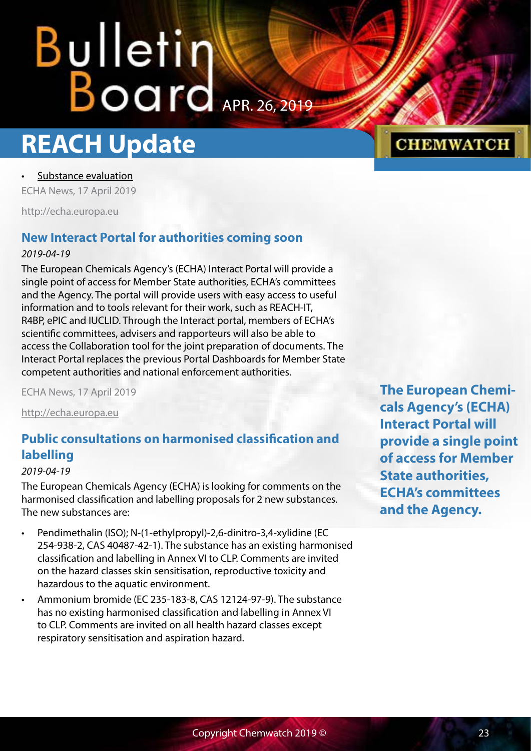## <span id="page-22-0"></span>**REACH Update**

### • [Substance evaluation](http://elmlinks.echa.europa.eu/c/4/?T=OTMzMDcxOTU%3AcDEtYjE5MTA3LTgwYzY4YTBiNDM4YjQ4ODk5NjhmZWYyODVkYWQ2MTBl%3AbmF0QGNoZW13YXRjaC5uZXQ%3AbGVhZC1hMDI0MDJjZmMwZTBlNzExODBmYTAwNTA1Njk1MmIzMS1mOTJjMWZkZGU2ZWY0MTcxYmVkNzMyMzc5YWNkZDliZQ%3AZmFsc2U%3AOQ%3A%3AaHR0cHM6Ly9lY2hhLmV1cm9wYS5ldS9yZWd1bGF0aW9ucy9yZWFjaC9ldmFsdWF0aW9uL3N1YnN0YW5jZS1ldmFsdWF0aW9uP19jbGRlZT1ibUYwUUdOb1pXMTNZWFJqYUM1dVpYUSUzZCZyZWNpcGllbnRpZD1sZWFkLWEwMjQwMmNmYzBlMGU3MTE4MGZhMDA1MDU2OTUyYjMxLWY5MmMxZmRkZTZlZjQxNzFiZWQ3MzIzNzlhY2RkOWJlJmVzaWQ9ZjNiYzA5NDMtZWQ2MC1lOTExLTgxMGItMDA1MDU2OTUyYjMx&K=XzVh2J-zkw3KCzIUZVUnxA)

ECHA News, 17 April 2019

<http://echa.europa.eu>

## **New Interact Portal for authorities coming soon**

#### *2019-04-19*

The European Chemicals Agency's (ECHA) Interact Portal will provide a single point of access for Member State authorities, ECHA's committees and the Agency. The portal will provide users with easy access to useful information and to tools relevant for their work, such as REACH-IT, R4BP, ePIC and IUCLID. Through the Interact portal, members of ECHA's scientific committees, advisers and rapporteurs will also be able to access the Collaboration tool for the joint preparation of documents. The Interact Portal replaces the previous Portal Dashboards for Member State competent authorities and national enforcement authorities.

ECHA News, 17 April 2019

<http://echa.europa.eu>

## **Public consultations on harmonised classification and labelling**

### *2019-04-19*

The European Chemicals Agency (ECHA) is looking for comments on the harmonised classification and labelling proposals for 2 new substances. The new substances are:

- [Pendimethalin](http://elmlinks.echa.europa.eu/c/4/?T=OTMzMDcxOTU%3AcDEtYjE5MTA3LTgwYzY4YTBiNDM4YjQ4ODk5NjhmZWYyODVkYWQ2MTBl%3AbmF0QGNoZW13YXRjaC5uZXQ%3AbGVhZC1hMDI0MDJjZmMwZTBlNzExODBmYTAwNTA1Njk1MmIzMS1mOTJjMWZkZGU2ZWY0MTcxYmVkNzMyMzc5YWNkZDliZQ%3AZmFsc2U%3AMTA%3A%3AaHR0cHM6Ly9lY2hhLmV1cm9wYS5ldS9oYXJtb25pc2VkLWNsYXNzaWZpY2F0aW9uLWFuZC1sYWJlbGxpbmctY29uc3VsdGF0aW9uLy0vc3Vic3RhbmNlLXJldi8yMzEwMS90ZXJtP19jbGRlZT1ibUYwUUdOb1pXMTNZWFJqYUM1dVpYUSUzZCZyZWNpcGllbnRpZD1sZWFkLWEwMjQwMmNmYzBlMGU3MTE4MGZhMDA1MDU2OTUyYjMxLWY5MmMxZmRkZTZlZjQxNzFiZWQ3MzIzNzlhY2RkOWJlJmVzaWQ9ZjNiYzA5NDMtZWQ2MC1lOTExLTgxMGItMDA1MDU2OTUyYjMx&K=-xkC1Qg27Aq318frWeq_VA) (ISO); N-(1-ethylpropyl)-2,6-dinitro-3,4-xylidine (EC 254-938-2, CAS 40487-42-1). The substance has an existing harmonised classification and labelling in Annex VI to CLP. Comments are invited on the hazard classes skin sensitisation, reproductive toxicity and hazardous to the aquatic environment.
- [Ammonium bromide](http://elmlinks.echa.europa.eu/c/4/?T=OTMzMDcxOTU%3AcDEtYjE5MTA3LTgwYzY4YTBiNDM4YjQ4ODk5NjhmZWYyODVkYWQ2MTBl%3AbmF0QGNoZW13YXRjaC5uZXQ%3AbGVhZC1hMDI0MDJjZmMwZTBlNzExODBmYTAwNTA1Njk1MmIzMS1mOTJjMWZkZGU2ZWY0MTcxYmVkNzMyMzc5YWNkZDliZQ%3AZmFsc2U%3AMTE%3A%3AaHR0cHM6Ly9lY2hhLmV1cm9wYS5ldS9oYXJtb25pc2VkLWNsYXNzaWZpY2F0aW9uLWFuZC1sYWJlbGxpbmctY29uc3VsdGF0aW9uLy0vc3Vic3RhbmNlLXJldi8yMzEwMi90ZXJtP19jbGRlZT1ibUYwUUdOb1pXMTNZWFJqYUM1dVpYUSUzZCZyZWNpcGllbnRpZD1sZWFkLWEwMjQwMmNmYzBlMGU3MTE4MGZhMDA1MDU2OTUyYjMxLWY5MmMxZmRkZTZlZjQxNzFiZWQ3MzIzNzlhY2RkOWJlJmVzaWQ9ZjNiYzA5NDMtZWQ2MC1lOTExLTgxMGItMDA1MDU2OTUyYjMx&K=ajF3eO2RxF_grAz6Rzt8Tw) (EC 235-183-8, CAS 12124-97-9). The substance has no existing harmonised classification and labelling in Annex VI to CLP. Comments are invited on all health hazard classes except respiratory sensitisation and aspiration hazard.

**The European Chemicals Agency's (ECHA) Interact Portal will provide a single point of access for Member State authorities, ECHA's committees and the Agency.**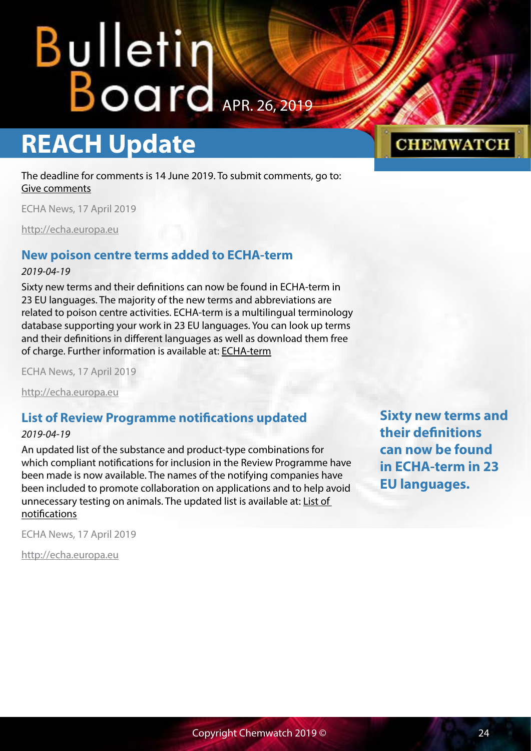## <span id="page-23-0"></span>**REACH Update**

The deadline for comments is 14 June 2019. To submit comments, go to: [Give comments](http://elmlinks.echa.europa.eu/c/4/?T=OTMzMDcxOTU%3AcDEtYjE5MTA3LTgwYzY4YTBiNDM4YjQ4ODk5NjhmZWYyODVkYWQ2MTBl%3AbmF0QGNoZW13YXRjaC5uZXQ%3AbGVhZC1hMDI0MDJjZmMwZTBlNzExODBmYTAwNTA1Njk1MmIzMS1mOTJjMWZkZGU2ZWY0MTcxYmVkNzMyMzc5YWNkZDliZQ%3AZmFsc2U%3AMTI%3A%3AaHR0cDovL2VjaGEuZXVyb3BhLmV1L2hhcm1vbmlzZWQtY2xhc3NpZmljYXRpb24tYW5kLWxhYmVsbGluZy1jb25zdWx0YXRpb24_X2NsZGVlPWJtRjBRR05vWlcxM1lYUmphQzV1WlhRJTNkJnJlY2lwaWVudGlkPWxlYWQtYTAyNDAyY2ZjMGUwZTcxMTgwZmEwMDUwNTY5NTJiMzEtZjkyYzFmZGRlNmVmNDE3MWJlZDczMjM3OWFjZGQ5YmUmZXNpZD1mM2JjMDk0My1lZDYwLWU5MTEtODEwYi0wMDUwNTY5NTJiMzE&K=3taMH-PVJbmB322LermVKw)

ECHA News, 17 April 2019

<http://echa.europa.eu>

## **New poison centre terms added to ECHA-term**

#### *2019-04-19*

Sixty new terms and their definitions can now be found in ECHA-term in 23 EU languages. The majority of the new terms and abbreviations are related to poison centre activities. ECHA-term is a multilingual terminology database supporting your work in 23 EU languages. You can look up terms and their definitions in different languages as well as download them free of charge. Further information is available at: [ECHA-term](http://elmlinks.echa.europa.eu/c/4/?T=OTMzMDcxOTU%3AcDEtYjE5MTA3LTgwYzY4YTBiNDM4YjQ4ODk5NjhmZWYyODVkYWQ2MTBl%3AbmF0QGNoZW13YXRjaC5uZXQ%3AbGVhZC1hMDI0MDJjZmMwZTBlNzExODBmYTAwNTA1Njk1MmIzMS1mOTJjMWZkZGU2ZWY0MTcxYmVkNzMyMzc5YWNkZDliZQ%3AZmFsc2U%3AMTM%3A%3AaHR0cHM6Ly9lY2hhLXRlcm0uZWNoYS5ldXJvcGEuZXUvP19jbGRlZT1ibUYwUUdOb1pXMTNZWFJqYUM1dVpYUSUzZCZyZWNpcGllbnRpZD1sZWFkLWEwMjQwMmNmYzBlMGU3MTE4MGZhMDA1MDU2OTUyYjMxLWY5MmMxZmRkZTZlZjQxNzFiZWQ3MzIzNzlhY2RkOWJlJmVzaWQ9ZjNiYzA5NDMtZWQ2MC1lOTExLTgxMGItMDA1MDU2OTUyYjMx&K=7LK0RoKz8b7glM_56Xhbtw)

ECHA News, 17 April 2019

<http://echa.europa.eu>

## **List of Review Programme notifications updated**

#### *2019-04-19*

An updated list of the substance and product-type combinations for which compliant notifications for inclusion in the Review Programme have been made is now available. The names of the notifying companies have been included to promote collaboration on applications and to help avoid unnecessary testing on animals. The updated list is available at: List of [notifications](http://elmlinks.echa.europa.eu/c/4/?T=OTMzMDcxOTU%3AcDEtYjE5MTA3LTgwYzY4YTBiNDM4YjQ4ODk5NjhmZWYyODVkYWQ2MTBl%3AbmF0QGNoZW13YXRjaC5uZXQ%3AbGVhZC1hMDI0MDJjZmMwZTBlNzExODBmYTAwNTA1Njk1MmIzMS1mOTJjMWZkZGU2ZWY0MTcxYmVkNzMyMzc5YWNkZDliZQ%3AZmFsc2U%3AMTQ%3A%3AaHR0cHM6Ly9lY2hhLmV1cm9wYS5ldS9yZWd1bGF0aW9ucy9iaW9jaWRhbC1wcm9kdWN0cy1yZWd1bGF0aW9uL2FwcHJvdmFsLW9mLWFjdGl2ZS1zdWJzdGFuY2VzL2V4aXN0aW5nLWFjdGl2ZS1zdWJzdGFuY2U_cGFuZWw9Y29tcGxpYW50LW5vdGlmI2NvbXBsaWFudC1ub3RpZiZfY2xkZWU9Ym1GMFFHTm9aVzEzWVhSamFDNXVaWFElM2QmcmVjaXBpZW50aWQ9bGVhZC1hMDI0MDJjZmMwZTBlNzExODBmYTAwNTA1Njk1MmIzMS1mOTJjMWZkZGU2ZWY0MTcxYmVkNzMyMzc5YWNkZDliZSZlc2lkPWYzYmMwOTQzLWVkNjAtZTkxMS04MTBiLTAwNTA1Njk1MmIzMQ&K=EnsUj0NdW5UBru3h4VZKGQ)

ECHA News, 17 April 2019

<http://echa.europa.eu>

**Sixty new terms and their definitions can now be found in ECHA-term in 23 EU languages.**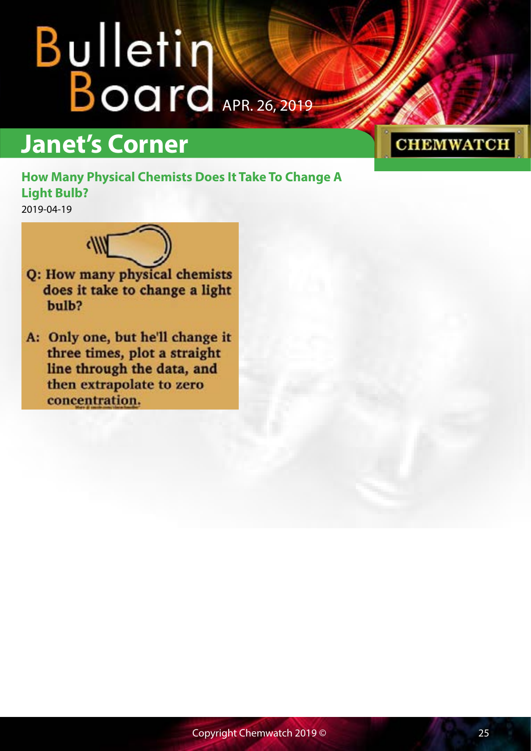## <span id="page-24-0"></span>**Janet's Corner**

**How Many Physical Chemists Does It Take To Change A Light Bulb?**

2019-04-19



- Q: How many physical chemists does it take to change a light bulb?
- A: Only one, but he'll change it three times, plot a straight line through the data, and then extrapolate to zero concentration.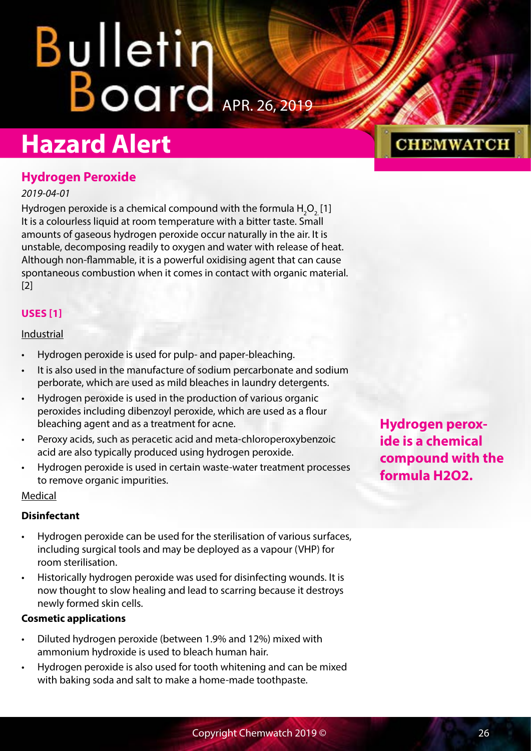## <span id="page-25-0"></span>**Hazard Alert**

## **Hydrogen Peroxide**

### *2019-04-01*

Hydrogen peroxide is a chemical compound with the formula  ${\sf H}_2{\sf O}_2^{\vphantom{\dagger}}[1]$ It is a colourless liquid at room temperature with a bitter taste. Small amounts of gaseous hydrogen peroxide occur naturally in the air. It is unstable, decomposing readily to oxygen and water with release of heat. Although non-flammable, it is a powerful oxidising agent that can cause spontaneous combustion when it comes in contact with organic material. [2]

## **USES [1]**

### Industrial

- Hydrogen peroxide is used for pulp- and paper-bleaching.
- It is also used in the manufacture of sodium percarbonate and sodium perborate, which are used as mild bleaches in laundry detergents.
- Hydrogen peroxide is used in the production of various organic peroxides including dibenzoyl peroxide, which are used as a flour bleaching agent and as a treatment for acne.
- Peroxy acids, such as peracetic acid and meta-chloroperoxybenzoic acid are also typically produced using hydrogen peroxide.
- Hydrogen peroxide is used in certain waste-water treatment processes to remove organic impurities.

### Medical

### **Disinfectant**

- Hydrogen peroxide can be used for the sterilisation of various surfaces, including surgical tools and may be deployed as a vapour (VHP) for room sterilisation.
- Historically hydrogen peroxide was used for disinfecting wounds. It is now thought to slow healing and lead to scarring because it destroys newly formed skin cells.

#### **Cosmetic applications**

- Diluted hydrogen peroxide (between 1.9% and 12%) mixed with ammonium hydroxide is used to bleach human hair.
- Hydrogen peroxide is also used for tooth whitening and can be mixed with baking soda and salt to make a home-made toothpaste.

**Hydrogen peroxide is a chemical compound with the formula H2O2.**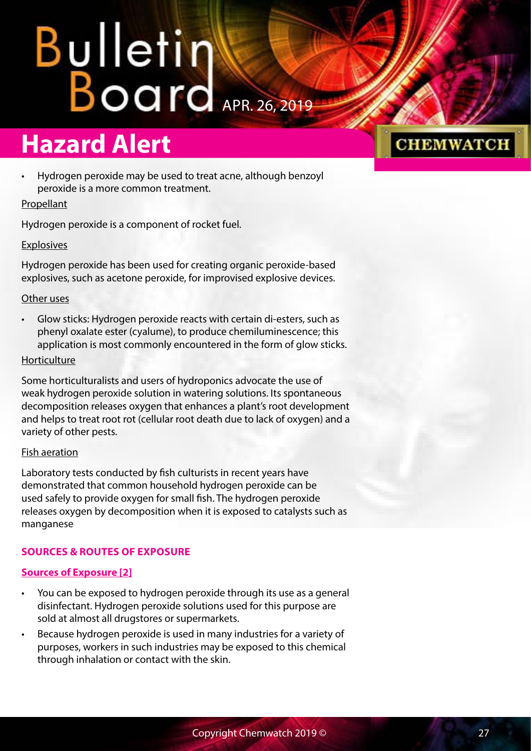## **Hazard Alert**

• Hydrogen peroxide may be used to treat acne, although benzoyl peroxide is a more common treatment.

### Propellant

Hydrogen peroxide is a component of rocket fuel.

### Explosives

Hydrogen peroxide has been used for creating organic peroxide-based explosives, such as acetone peroxide, for improvised explosive devices.

#### Other uses

• Glow sticks: Hydrogen peroxide reacts with certain di-esters, such as phenyl oxalate ester (cyalume), to produce chemiluminescence; this application is most commonly encountered in the form of glow sticks.

### **Horticulture**

Some horticulturalists and users of hydroponics advocate the use of weak hydrogen peroxide solution in watering solutions. Its spontaneous decomposition releases oxygen that enhances a plant's root development and helps to treat root rot (cellular root death due to lack of oxygen) and a variety of other pests.

#### Fish aeration

Laboratory tests conducted by fish culturists in recent years have demonstrated that common household hydrogen peroxide can be used safely to provide oxygen for small fish. The hydrogen peroxide releases oxygen by decomposition when it is exposed to catalysts such as manganese

### **SOURCES & ROUTES OF EXPOSURE**

### **Sources of Exposure [2]**

- You can be exposed to hydrogen peroxide through its use as a general disinfectant. Hydrogen peroxide solutions used for this purpose are sold at almost all drugstores or supermarkets.
- Because hydrogen peroxide is used in many industries for a variety of purposes, workers in such industries may be exposed to this chemical through inhalation or contact with the skin.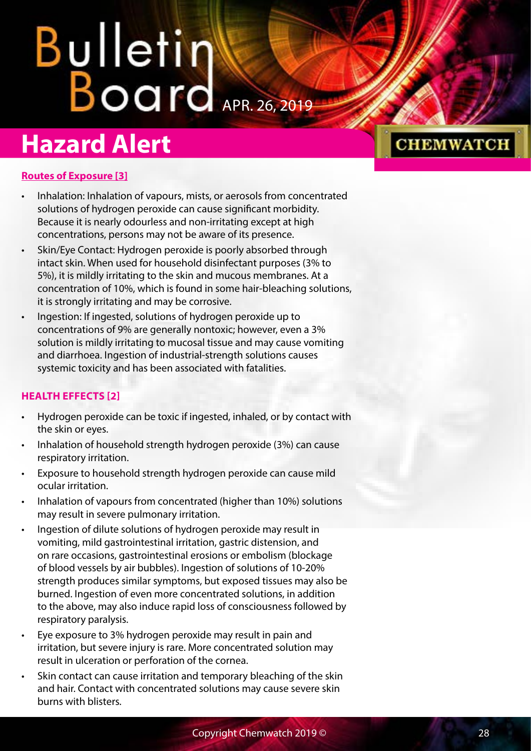## **Hazard Alert**

## **CHEMWATCH**

### **Routes of Exposure [3]**

- Inhalation: Inhalation of vapours, mists, or aerosols from concentrated solutions of hydrogen peroxide can cause significant morbidity. Because it is nearly odourless and non-irritating except at high concentrations, persons may not be aware of its presence.
- Skin/Eye Contact: Hydrogen peroxide is poorly absorbed through intact skin. When used for household disinfectant purposes (3% to 5%), it is mildly irritating to the skin and mucous membranes. At a concentration of 10%, which is found in some hair-bleaching solutions, it is strongly irritating and may be corrosive.
- Ingestion: If ingested, solutions of hydrogen peroxide up to concentrations of 9% are generally nontoxic; however, even a 3% solution is mildly irritating to mucosal tissue and may cause vomiting and diarrhoea. Ingestion of industrial-strength solutions causes systemic toxicity and has been associated with fatalities.

### **HEALTH EFFECTS [2]**

- Hydrogen peroxide can be toxic if ingested, inhaled, or by contact with the skin or eyes.
- Inhalation of household strength hydrogen peroxide (3%) can cause respiratory irritation.
- Exposure to household strength hydrogen peroxide can cause mild ocular irritation.
- Inhalation of vapours from concentrated (higher than 10%) solutions may result in severe pulmonary irritation.
- Ingestion of dilute solutions of hydrogen peroxide may result in vomiting, mild gastrointestinal irritation, gastric distension, and on rare occasions, gastrointestinal erosions or embolism (blockage of blood vessels by air bubbles). Ingestion of solutions of 10-20% strength produces similar symptoms, but exposed tissues may also be burned. Ingestion of even more concentrated solutions, in addition to the above, may also induce rapid loss of consciousness followed by respiratory paralysis.
- Eye exposure to 3% hydrogen peroxide may result in pain and irritation, but severe injury is rare. More concentrated solution may result in ulceration or perforation of the cornea.
- Skin contact can cause irritation and temporary bleaching of the skin and hair. Contact with concentrated solutions may cause severe skin burns with blisters.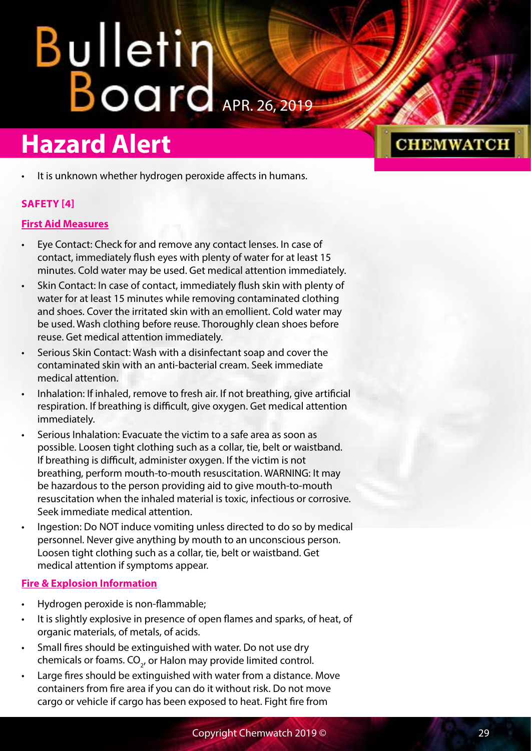## **Hazard Alert**

It is unknown whether hydrogen peroxide affects in humans.

## **SAFETY [4]**

### **First Aid Measures**

- Eye Contact: Check for and remove any contact lenses. In case of contact, immediately flush eyes with plenty of water for at least 15 minutes. Cold water may be used. Get medical attention immediately.
- Skin Contact: In case of contact, immediately flush skin with plenty of water for at least 15 minutes while removing contaminated clothing and shoes. Cover the irritated skin with an emollient. Cold water may be used. Wash clothing before reuse. Thoroughly clean shoes before reuse. Get medical attention immediately.
- Serious Skin Contact: Wash with a disinfectant soap and cover the contaminated skin with an anti-bacterial cream. Seek immediate medical attention.
- Inhalation: If inhaled, remove to fresh air. If not breathing, give artificial respiration. If breathing is difficult, give oxygen. Get medical attention immediately.
- Serious Inhalation: Evacuate the victim to a safe area as soon as possible. Loosen tight clothing such as a collar, tie, belt or waistband. If breathing is difficult, administer oxygen. If the victim is not breathing, perform mouth-to-mouth resuscitation. WARNING: It may be hazardous to the person providing aid to give mouth-to-mouth resuscitation when the inhaled material is toxic, infectious or corrosive. Seek immediate medical attention.
- Ingestion: Do NOT induce vomiting unless directed to do so by medical personnel. Never give anything by mouth to an unconscious person. Loosen tight clothing such as a collar, tie, belt or waistband. Get medical attention if symptoms appear.

### **Fire & Explosion Information**

- Hydrogen peroxide is non-flammable;
- It is slightly explosive in presence of open flames and sparks, of heat, of organic materials, of metals, of acids.
- Small fires should be extinguished with water. Do not use dry chemicals or foams. CO<sub>2</sub>, or Halon may provide limited control.
- Large fires should be extinguished with water from a distance. Move containers from fire area if you can do it without risk. Do not move cargo or vehicle if cargo has been exposed to heat. Fight fire from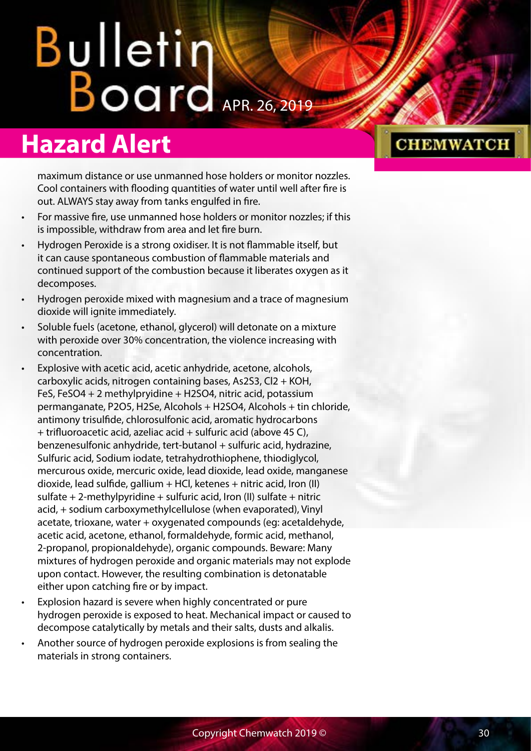## **Hazard Alert**

maximum distance or use unmanned hose holders or monitor nozzles. Cool containers with flooding quantities of water until well after fire is out. ALWAYS stay away from tanks engulfed in fire.

- For massive fire, use unmanned hose holders or monitor nozzles; if this is impossible, withdraw from area and let fire burn.
- Hydrogen Peroxide is a strong oxidiser. It is not flammable itself, but it can cause spontaneous combustion of flammable materials and continued support of the combustion because it liberates oxygen as it decomposes.
- Hydrogen peroxide mixed with magnesium and a trace of magnesium dioxide will ignite immediately.
- Soluble fuels (acetone, ethanol, glycerol) will detonate on a mixture with peroxide over 30% concentration, the violence increasing with concentration.
- Explosive with acetic acid, acetic anhydride, acetone, alcohols, carboxylic acids, nitrogen containing bases, As2S3, Cl2 + KOH, FeS, FeSO4 + 2 methylpryidine + H2SO4, nitric acid, potassium permanganate, P2O5, H2Se, Alcohols + H2SO4, Alcohols + tin chloride, antimony trisulfide, chlorosulfonic acid, aromatic hydrocarbons + trifluoroacetic acid, azeliac acid + sulfuric acid (above 45 C), benzenesulfonic anhydride, tert-butanol + sulfuric acid, hydrazine, Sulfuric acid, Sodium iodate, tetrahydrothiophene, thiodiglycol, mercurous oxide, mercuric oxide, lead dioxide, lead oxide, manganese dioxide, lead sulfide, gallium + HCl, ketenes + nitric acid, Iron (II) sulfate  $+$  2-methylpyridine  $+$  sulfuric acid, Iron (II) sulfate  $+$  nitric acid, + sodium carboxymethylcellulose (when evaporated), Vinyl acetate, trioxane, water + oxygenated compounds (eg: acetaldehyde, acetic acid, acetone, ethanol, formaldehyde, formic acid, methanol, 2-propanol, propionaldehyde), organic compounds. Beware: Many mixtures of hydrogen peroxide and organic materials may not explode upon contact. However, the resulting combination is detonatable either upon catching fire or by impact.
- Explosion hazard is severe when highly concentrated or pure hydrogen peroxide is exposed to heat. Mechanical impact or caused to decompose catalytically by metals and their salts, dusts and alkalis.
- Another source of hydrogen peroxide explosions is from sealing the materials in strong containers.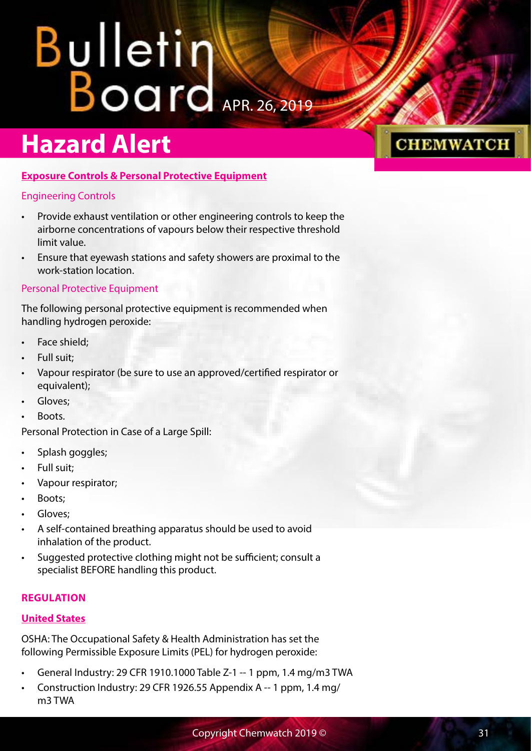## **Hazard Alert**

### **Exposure Controls & Personal Protective Equipment**

### Engineering Controls

- Provide exhaust ventilation or other engineering controls to keep the airborne concentrations of vapours below their respective threshold limit value.
- Ensure that eyewash stations and safety showers are proximal to the work-station location.

### Personal Protective Equipment

The following personal protective equipment is recommended when handling hydrogen peroxide:

- Face shield:
- Full suit;
- Vapour respirator (be sure to use an approved/certified respirator or equivalent);
- Gloves:
- Boots.

Personal Protection in Case of a Large Spill:

- Splash goggles;
- Full suit;
- Vapour respirator;
- Boots;
- Gloves:
- A self-contained breathing apparatus should be used to avoid inhalation of the product.
- Suggested protective clothing might not be sufficient; consult a specialist BEFORE handling this product.

### **REGULATION**

### **United States**

OSHA: The Occupational Safety & Health Administration has set the following Permissible Exposure Limits (PEL) for hydrogen peroxide:

- General Industry: 29 CFR 1910.1000 Table Z-1 -- 1 ppm, 1.4 mg/m3 TWA
- Construction Industry: 29 CFR 1926.55 Appendix A -- 1 ppm, 1.4 mg/ m3 TWA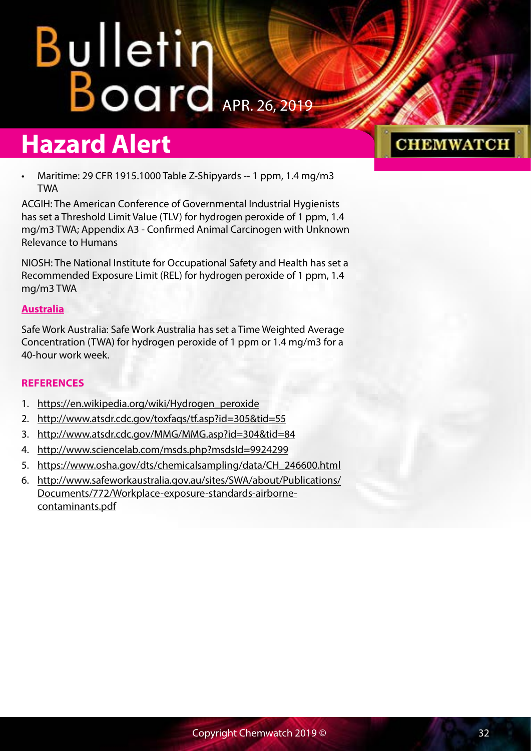## **Hazard Alert**

• Maritime: 29 CFR 1915.1000 Table Z-Shipyards -- 1 ppm, 1.4 mg/m3 TWA

ACGIH: The American Conference of Governmental Industrial Hygienists has set a Threshold Limit Value (TLV) for hydrogen peroxide of 1 ppm, 1.4 mg/m3 TWA; Appendix A3 - Confirmed Animal Carcinogen with Unknown Relevance to Humans

NIOSH: The National Institute for Occupational Safety and Health has set a Recommended Exposure Limit (REL) for hydrogen peroxide of 1 ppm, 1.4 mg/m3 TWA

### **Australia**

Safe Work Australia: Safe Work Australia has set a Time Weighted Average Concentration (TWA) for hydrogen peroxide of 1 ppm or 1.4 mg/m3 for a 40-hour work week.

### **REFERENCES**

- 1. [https://en.wikipedia.org/wiki/Hydrogen\\_peroxide](https://en.wikipedia.org/wiki/Hydrogen_peroxide)
- 2. <http://www.atsdr.cdc.gov/toxfaqs/tf.asp?id=305&tid=55>
- 3. <http://www.atsdr.cdc.gov/MMG/MMG.asp?id=304&tid=84>
- 4. <http://www.sciencelab.com/msds.php?msdsId=9924299>
- 5. [https://www.osha.gov/dts/chemicalsampling/data/CH\\_246600.html](https://www.osha.gov/dts/chemicalsampling/data/CH_246600.html)
- 6. [http://www.safeworkaustralia.gov.au/sites/SWA/about/Publications/](http://www.safeworkaustralia.gov.au/sites/SWA/about/Publications/Documents/772/Workplace-exposure-standards-airborne-contaminants.pdf) [Documents/772/Workplace-exposure-standards-airborne](http://www.safeworkaustralia.gov.au/sites/SWA/about/Publications/Documents/772/Workplace-exposure-standards-airborne-contaminants.pdf)[contaminants.pdf](http://www.safeworkaustralia.gov.au/sites/SWA/about/Publications/Documents/772/Workplace-exposure-standards-airborne-contaminants.pdf)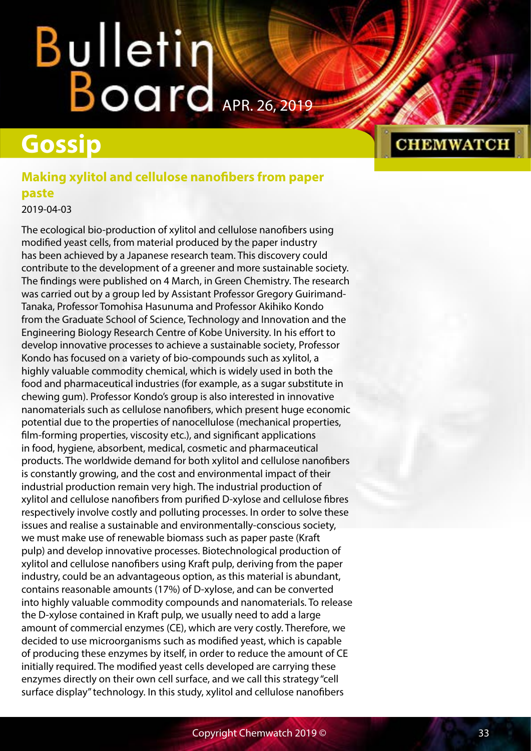## <span id="page-32-0"></span>**Gossip**

## **Making xylitol and cellulose nanofibers from paper paste**

2019-04-03

The ecological bio-production of xylitol and cellulose nanofibers using modified yeast cells, from material produced by the paper industry has been achieved by a Japanese research team. This discovery could contribute to the development of a greener and more sustainable society. The findings were published on 4 March, in Green Chemistry. The research was carried out by a group led by Assistant Professor Gregory Guirimand-Tanaka, Professor Tomohisa Hasunuma and Professor Akihiko Kondo from the Graduate School of Science, Technology and Innovation and the Engineering Biology Research Centre of Kobe University. In his effort to develop innovative processes to achieve a sustainable society, Professor Kondo has focused on a variety of bio-compounds such as xylitol, a highly valuable commodity chemical, which is widely used in both the food and pharmaceutical industries (for example, as a sugar substitute in chewing gum). Professor Kondo's group is also interested in innovative nanomaterials such as cellulose nanofibers, which present huge economic potential due to the properties of nanocellulose (mechanical properties, film-forming properties, viscosity etc.), and significant applications in food, hygiene, absorbent, medical, cosmetic and pharmaceutical products. The worldwide demand for both xylitol and cellulose nanofibers is constantly growing, and the cost and environmental impact of their industrial production remain very high. The industrial production of xylitol and cellulose nanofibers from purified D-xylose and cellulose fibres respectively involve costly and polluting processes. In order to solve these issues and realise a sustainable and environmentally-conscious society, we must make use of renewable biomass such as paper paste (Kraft pulp) and develop innovative processes. Biotechnological production of xylitol and cellulose nanofibers using Kraft pulp, deriving from the paper industry, could be an advantageous option, as this material is abundant, contains reasonable amounts (17%) of D-xylose, and can be converted into highly valuable commodity compounds and nanomaterials. To release the D-xylose contained in Kraft pulp, we usually need to add a large amount of commercial enzymes (CE), which are very costly. Therefore, we decided to use microorganisms such as modified yeast, which is capable of producing these enzymes by itself, in order to reduce the amount of CE initially required. The modified yeast cells developed are carrying these enzymes directly on their own cell surface, and we call this strategy "cell surface display" technology. In this study, xylitol and cellulose nanofibers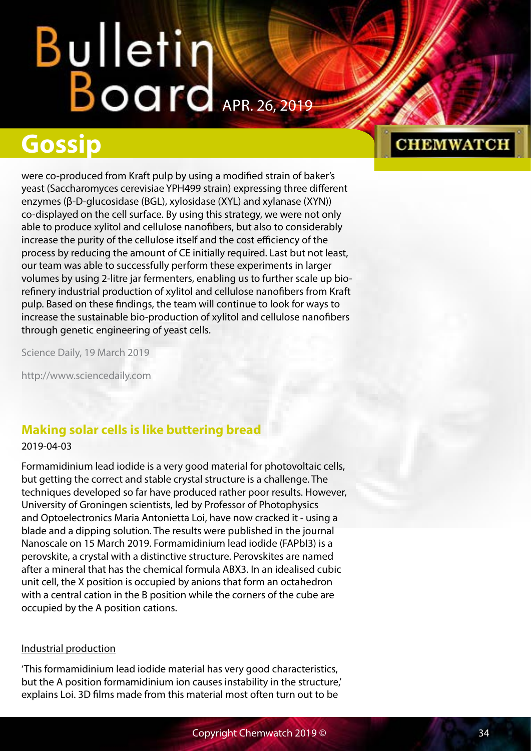## **Gossip**

were co-produced from Kraft pulp by using a modified strain of baker's yeast (Saccharomyces cerevisiae YPH499 strain) expressing three different enzymes (β-D-glucosidase (BGL), xylosidase (XYL) and xylanase (XYN)) co-displayed on the cell surface. By using this strategy, we were not only able to produce xylitol and cellulose nanofibers, but also to considerably increase the purity of the cellulose itself and the cost efficiency of the process by reducing the amount of CE initially required. Last but not least, our team was able to successfully perform these experiments in larger volumes by using 2-litre jar fermenters, enabling us to further scale up biorefinery industrial production of xylitol and cellulose nanofibers from Kraft pulp. Based on these findings, the team will continue to look for ways to increase the sustainable bio-production of xylitol and cellulose nanofibers through genetic engineering of yeast cells.

Science Daily, 19 March 2019

http://www.sciencedaily.com

## **Making solar cells is like buttering bread**

#### 2019-04-03

Formamidinium lead iodide is a very good material for photovoltaic cells, but getting the correct and stable crystal structure is a challenge. The techniques developed so far have produced rather poor results. However, University of Groningen scientists, led by Professor of Photophysics and Optoelectronics Maria Antonietta Loi, have now cracked it - using a blade and a dipping solution. The results were published in the journal Nanoscale on 15 March 2019. Formamidinium lead iodide (FAPbI3) is a perovskite, a crystal with a distinctive structure. Perovskites are named after a mineral that has the chemical formula ABX3. In an idealised cubic unit cell, the X position is occupied by anions that form an octahedron with a central cation in the B position while the corners of the cube are occupied by the A position cations.

### Industrial production

'This formamidinium lead iodide material has very good characteristics, but the A position formamidinium ion causes instability in the structure,' explains Loi. 3D films made from this material most often turn out to be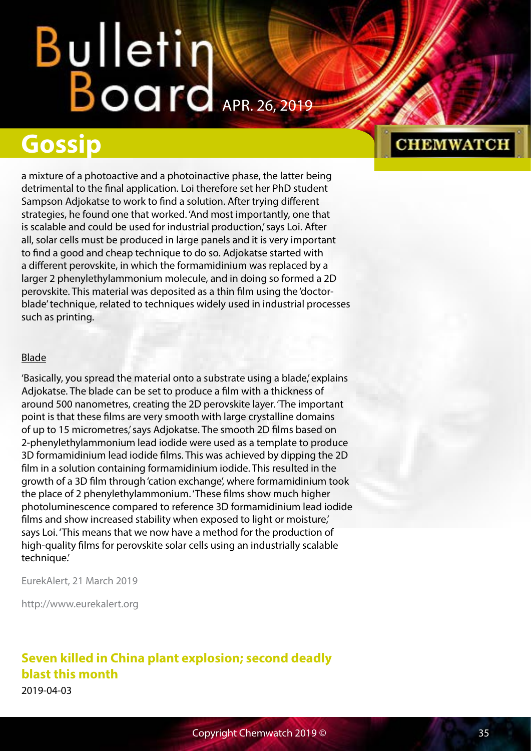## **Bulleting Board**

## **Gossip**

a mixture of a photoactive and a photoinactive phase, the latter being detrimental to the final application. Loi therefore set her PhD student Sampson Adjokatse to work to find a solution. After trying different strategies, he found one that worked. 'And most importantly, one that is scalable and could be used for industrial production,' says Loi. After all, solar cells must be produced in large panels and it is very important to find a good and cheap technique to do so. Adjokatse started with a different perovskite, in which the formamidinium was replaced by a larger 2 phenylethylammonium molecule, and in doing so formed a 2D perovskite. This material was deposited as a thin film using the 'doctorblade' technique, related to techniques widely used in industrial processes such as printing.

### Blade

'Basically, you spread the material onto a substrate using a blade,' explains Adjokatse. The blade can be set to produce a film with a thickness of around 500 nanometres, creating the 2D perovskite layer. 'The important point is that these films are very smooth with large crystalline domains of up to 15 micrometres,' says Adjokatse. The smooth 2D films based on 2-phenylethylammonium lead iodide were used as a template to produce 3D formamidinium lead iodide films. This was achieved by dipping the 2D film in a solution containing formamidinium iodide. This resulted in the growth of a 3D film through 'cation exchange', where formamidinium took the place of 2 phenylethylammonium. 'These films show much higher photoluminescence compared to reference 3D formamidinium lead iodide films and show increased stability when exposed to light or moisture,' says Loi. 'This means that we now have a method for the production of high-quality films for perovskite solar cells using an industrially scalable technique.'

EurekAlert, 21 March 2019

http://www.eurekalert.org

## **Seven killed in China plant explosion; second deadly blast this month**

2019-04-03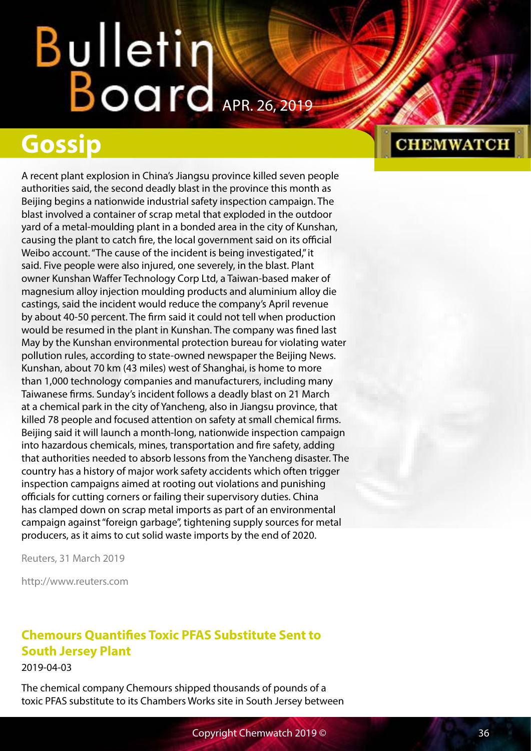## **Gossip**

A recent plant explosion in China's Jiangsu province killed seven people authorities said, the second deadly blast in the province this month as Beijing begins a nationwide industrial safety inspection campaign. The blast involved a container of scrap metal that exploded in the outdoor yard of a metal-moulding plant in a bonded area in the city of Kunshan, causing the plant to catch fire, the local government said on its official Weibo account. "The cause of the incident is being investigated," it said. Five people were also injured, one severely, in the blast. Plant owner Kunshan Waffer Technology Corp Ltd, a Taiwan-based maker of magnesium alloy injection moulding products and aluminium alloy die castings, said the incident would reduce the company's April revenue by about 40-50 percent. The firm said it could not tell when production would be resumed in the plant in Kunshan. The company was fined last May by the Kunshan environmental protection bureau for violating water pollution rules, according to state-owned newspaper the Beijing News. Kunshan, about 70 km (43 miles) west of Shanghai, is home to more than 1,000 technology companies and manufacturers, including many Taiwanese firms. Sunday's incident follows a deadly blast on 21 March at a chemical park in the city of Yancheng, also in Jiangsu province, that killed 78 people and focused attention on safety at small chemical firms. Beijing said it will launch a month-long, nationwide inspection campaign into hazardous chemicals, mines, transportation and fire safety, adding that authorities needed to absorb lessons from the Yancheng disaster. The country has a history of major work safety accidents which often trigger inspection campaigns aimed at rooting out violations and punishing officials for cutting corners or failing their supervisory duties. China has clamped down on scrap metal imports as part of an environmental campaign against "foreign garbage", tightening supply sources for metal producers, as it aims to cut solid waste imports by the end of 2020.

Reuters, 31 March 2019

http://www.reuters.com

## **Chemours Quantifies Toxic PFAS Substitute Sent to South Jersey Plant**

2019-04-03

The chemical company Chemours shipped thousands of pounds of a toxic PFAS substitute to its Chambers Works site in South Jersey between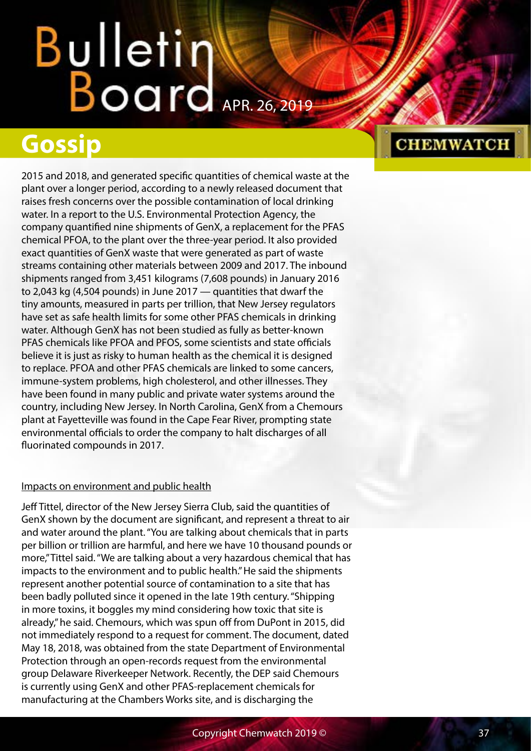## **Gossip**

2015 and 2018, and generated specific quantities of chemical waste at the plant over a longer period, according to a newly released document that raises fresh concerns over the possible contamination of local drinking water. In a report to the U.S. Environmental Protection Agency, the company quantified nine shipments of GenX, a replacement for the PFAS chemical PFOA, to the plant over the three-year period. It also provided exact quantities of GenX waste that were generated as part of waste streams containing other materials between 2009 and 2017. The inbound shipments ranged from 3,451 kilograms (7,608 pounds) in January 2016 to 2,043 kg (4,504 pounds) in June 2017 — quantities that dwarf the tiny amounts, measured in parts per trillion, that New Jersey regulators have set as safe health limits for some other PFAS chemicals in drinking water. Although GenX has not been studied as fully as better-known PFAS chemicals like PFOA and PFOS, some scientists and state officials believe it is just as risky to human health as the chemical it is designed to replace. PFOA and other PFAS chemicals are linked to some cancers, immune-system problems, high cholesterol, and other illnesses. They have been found in many public and private water systems around the country, including New Jersey. In North Carolina, GenX from a Chemours plant at Fayetteville was found in the Cape Fear River, prompting state environmental officials to order the company to halt discharges of all fluorinated compounds in 2017.

#### Impacts on environment and public health

Jeff Tittel, director of the New Jersey Sierra Club, said the quantities of GenX shown by the document are significant, and represent a threat to air and water around the plant. "You are talking about chemicals that in parts per billion or trillion are harmful, and here we have 10 thousand pounds or more," Tittel said. "We are talking about a very hazardous chemical that has impacts to the environment and to public health." He said the shipments represent another potential source of contamination to a site that has been badly polluted since it opened in the late 19th century. "Shipping in more toxins, it boggles my mind considering how toxic that site is already," he said. Chemours, which was spun off from DuPont in 2015, did not immediately respond to a request for comment. The document, dated May 18, 2018, was obtained from the state Department of Environmental Protection through an open-records request from the environmental group Delaware Riverkeeper Network. Recently, the DEP said Chemours is currently using GenX and other PFAS-replacement chemicals for manufacturing at the Chambers Works site, and is discharging the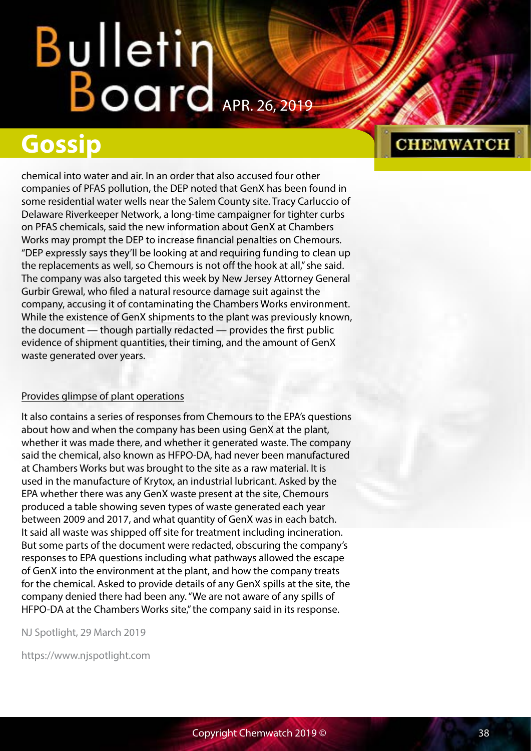# **Bulletintendents**

## **Gossip**

chemical into water and air. In an order that also accused four other companies of PFAS pollution, the DEP noted that GenX has been found in some residential water wells near the Salem County site. Tracy Carluccio of Delaware Riverkeeper Network, a long-time campaigner for tighter curbs on PFAS chemicals, said the new information about GenX at Chambers Works may prompt the DEP to increase financial penalties on Chemours. "DEP expressly says they'll be looking at and requiring funding to clean up the replacements as well, so Chemours is not off the hook at all," she said. The company was also targeted this week by New Jersey Attorney General Gurbir Grewal, who filed a natural resource damage suit against the company, accusing it of contaminating the Chambers Works environment. While the existence of GenX shipments to the plant was previously known, the document — though partially redacted — provides the first public evidence of shipment quantities, their timing, and the amount of GenX waste generated over years.

#### Provides glimpse of plant operations

It also contains a series of responses from Chemours to the EPA's questions about how and when the company has been using GenX at the plant, whether it was made there, and whether it generated waste. The company said the chemical, also known as HFPO-DA, had never been manufactured at Chambers Works but was brought to the site as a raw material. It is used in the manufacture of Krytox, an industrial lubricant. Asked by the EPA whether there was any GenX waste present at the site, Chemours produced a table showing seven types of waste generated each year between 2009 and 2017, and what quantity of GenX was in each batch. It said all waste was shipped off site for treatment including incineration. But some parts of the document were redacted, obscuring the company's responses to EPA questions including what pathways allowed the escape of GenX into the environment at the plant, and how the company treats for the chemical. Asked to provide details of any GenX spills at the site, the company denied there had been any. "We are not aware of any spills of HFPO-DA at the Chambers Works site," the company said in its response.

NJ Spotlight, 29 March 2019

https://www.njspotlight.com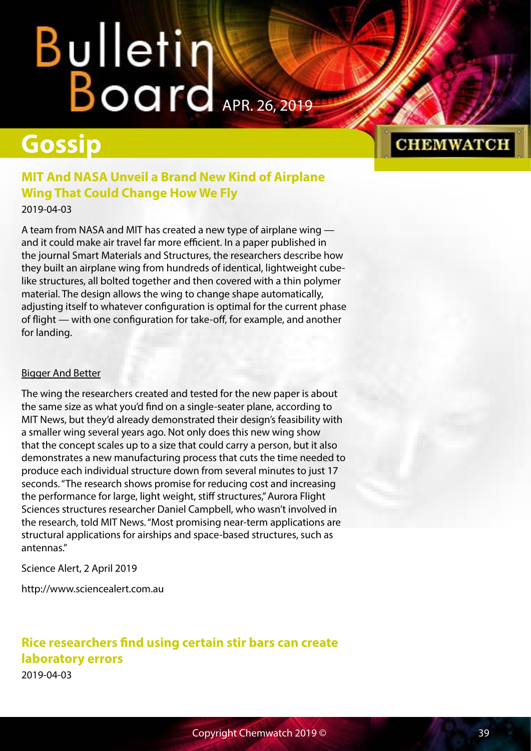## **Gossip**

### **CHEMWATCH**

#### **MIT And NASA Unveil a Brand New Kind of Airplane Wing That Could Change How We Fly** 2019-04-03

A team from NASA and MIT has created a new type of airplane wing and it could make air travel far more efficient. In a paper published in the journal Smart Materials and Structures, the researchers describe how they built an airplane wing from hundreds of identical, lightweight cubelike structures, all bolted together and then covered with a thin polymer material. The design allows the wing to change shape automatically, adjusting itself to whatever configuration is optimal for the current phase of flight — with one configuration for take-off, for example, and another for landing.

#### **Bigger And Better**

The wing the researchers created and tested for the new paper is about the same size as what you'd find on a single-seater plane, according to MIT News, but they'd already demonstrated their design's feasibility with a smaller wing several years ago. Not only does this new wing show that the concept scales up to a size that could carry a person, but it also demonstrates a new manufacturing process that cuts the time needed to produce each individual structure down from several minutes to just 17 seconds. "The research shows promise for reducing cost and increasing the performance for large, light weight, stiff structures," Aurora Flight Sciences structures researcher Daniel Campbell, who wasn't involved in the research, told MIT News. "Most promising near-term applications are structural applications for airships and space-based structures, such as antennas."

Science Alert, 2 April 2019

http://www.sciencealert.com.au

### **Rice researchers find using certain stir bars can create laboratory errors**

2019-04-03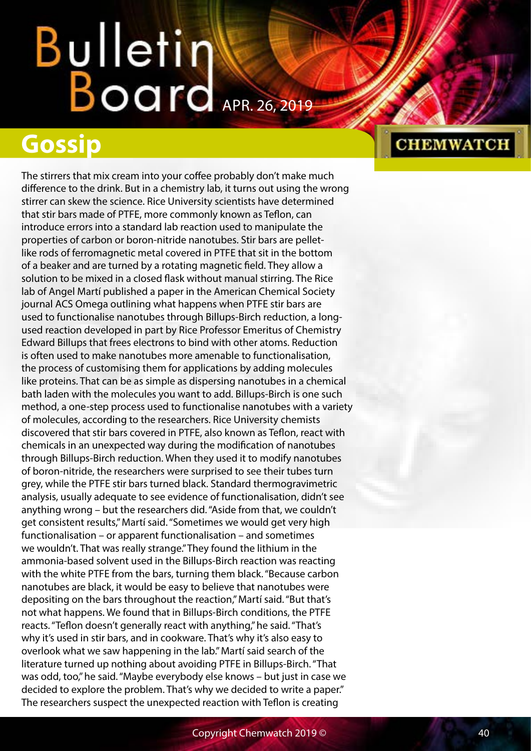## **Gossip**

The stirrers that mix cream into your coffee probably don't make much difference to the drink. But in a chemistry lab, it turns out using the wrong stirrer can skew the science. Rice University scientists have determined that stir bars made of PTFE, more commonly known as Teflon, can introduce errors into a standard lab reaction used to manipulate the properties of carbon or boron-nitride nanotubes. Stir bars are pelletlike rods of ferromagnetic metal covered in PTFE that sit in the bottom of a beaker and are turned by a rotating magnetic field. They allow a solution to be mixed in a closed flask without manual stirring. The Rice lab of Angel Martí published a paper in the American Chemical Society journal ACS Omega outlining what happens when PTFE stir bars are used to functionalise nanotubes through Billups-Birch reduction, a longused reaction developed in part by Rice Professor Emeritus of Chemistry Edward Billups that frees electrons to bind with other atoms. Reduction is often used to make nanotubes more amenable to functionalisation, the process of customising them for applications by adding molecules like proteins. That can be as simple as dispersing nanotubes in a chemical bath laden with the molecules you want to add. Billups-Birch is one such method, a one-step process used to functionalise nanotubes with a variety of molecules, according to the researchers. Rice University chemists discovered that stir bars covered in PTFE, also known as Teflon, react with chemicals in an unexpected way during the modification of nanotubes through Billups-Birch reduction. When they used it to modify nanotubes of boron-nitride, the researchers were surprised to see their tubes turn grey, while the PTFE stir bars turned black. Standard thermogravimetric analysis, usually adequate to see evidence of functionalisation, didn't see anything wrong – but the researchers did. "Aside from that, we couldn't get consistent results," Martí said. "Sometimes we would get very high functionalisation – or apparent functionalisation – and sometimes we wouldn't. That was really strange." They found the lithium in the ammonia-based solvent used in the Billups-Birch reaction was reacting with the white PTFE from the bars, turning them black. "Because carbon nanotubes are black, it would be easy to believe that nanotubes were depositing on the bars throughout the reaction," Martí said. "But that's not what happens. We found that in Billups-Birch conditions, the PTFE reacts. "Teflon doesn't generally react with anything," he said. "That's why it's used in stir bars, and in cookware. That's why it's also easy to overlook what we saw happening in the lab." Martí said search of the literature turned up nothing about avoiding PTFE in Billups-Birch. "That was odd, too," he said. "Maybe everybody else knows – but just in case we decided to explore the problem. That's why we decided to write a paper." The researchers suspect the unexpected reaction with Teflon is creating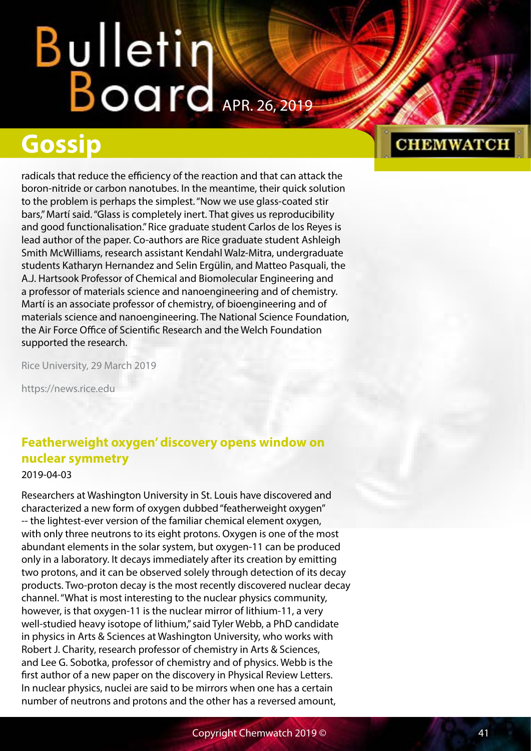## **Gossip**

radicals that reduce the efficiency of the reaction and that can attack the boron-nitride or carbon nanotubes. In the meantime, their quick solution to the problem is perhaps the simplest. "Now we use glass-coated stir bars," Martí said. "Glass is completely inert. That gives us reproducibility and good functionalisation." Rice graduate student Carlos de los Reyes is lead author of the paper. Co-authors are Rice graduate student Ashleigh Smith McWilliams, research assistant Kendahl Walz-Mitra, undergraduate students Katharyn Hernandez and Selin Ergülin, and Matteo Pasquali, the A.J. Hartsook Professor of Chemical and Biomolecular Engineering and a professor of materials science and nanoengineering and of chemistry. Martí is an associate professor of chemistry, of bioengineering and of materials science and nanoengineering. The National Science Foundation, the Air Force Office of Scientific Research and the Welch Foundation supported the research.

Rice University, 29 March 2019

https://news.rice.edu

### **Featherweight oxygen' discovery opens window on nuclear symmetry**

2019-04-03

Researchers at Washington University in St. Louis have discovered and characterized a new form of oxygen dubbed "featherweight oxygen" -- the lightest-ever version of the familiar chemical element oxygen, with only three neutrons to its eight protons. Oxygen is one of the most abundant elements in the solar system, but oxygen-11 can be produced only in a laboratory. It decays immediately after its creation by emitting two protons, and it can be observed solely through detection of its decay products. Two-proton decay is the most recently discovered nuclear decay channel. "What is most interesting to the nuclear physics community, however, is that oxygen-11 is the nuclear mirror of lithium-11, a very well-studied heavy isotope of lithium," said Tyler Webb, a PhD candidate in physics in Arts & Sciences at Washington University, who works with Robert J. Charity, research professor of chemistry in Arts & Sciences, and Lee G. Sobotka, professor of chemistry and of physics. Webb is the first author of a new paper on the discovery in Physical Review Letters. In nuclear physics, nuclei are said to be mirrors when one has a certain number of neutrons and protons and the other has a reversed amount,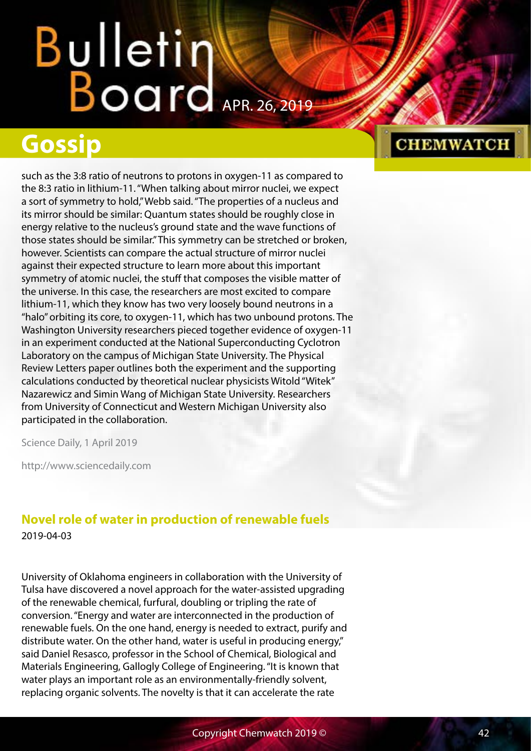## **Gossip**

such as the 3:8 ratio of neutrons to protons in oxygen-11 as compared to the 8:3 ratio in lithium-11. "When talking about mirror nuclei, we expect a sort of symmetry to hold," Webb said. "The properties of a nucleus and its mirror should be similar: Quantum states should be roughly close in energy relative to the nucleus's ground state and the wave functions of those states should be similar." This symmetry can be stretched or broken, however. Scientists can compare the actual structure of mirror nuclei against their expected structure to learn more about this important symmetry of atomic nuclei, the stuff that composes the visible matter of the universe. In this case, the researchers are most excited to compare lithium-11, which they know has two very loosely bound neutrons in a "halo" orbiting its core, to oxygen-11, which has two unbound protons. The Washington University researchers pieced together evidence of oxygen-11 in an experiment conducted at the National Superconducting Cyclotron Laboratory on the campus of Michigan State University. The Physical Review Letters paper outlines both the experiment and the supporting calculations conducted by theoretical nuclear physicists Witold "Witek" Nazarewicz and Simin Wang of Michigan State University. Researchers from University of Connecticut and Western Michigan University also participated in the collaboration.

Science Daily, 1 April 2019

http://www.sciencedaily.com

### **Novel role of water in production of renewable fuels** 2019-04-03

University of Oklahoma engineers in collaboration with the University of Tulsa have discovered a novel approach for the water-assisted upgrading of the renewable chemical, furfural, doubling or tripling the rate of conversion. "Energy and water are interconnected in the production of renewable fuels. On the one hand, energy is needed to extract, purify and distribute water. On the other hand, water is useful in producing energy," said Daniel Resasco, professor in the School of Chemical, Biological and Materials Engineering, Gallogly College of Engineering. "It is known that water plays an important role as an environmentally-friendly solvent, replacing organic solvents. The novelty is that it can accelerate the rate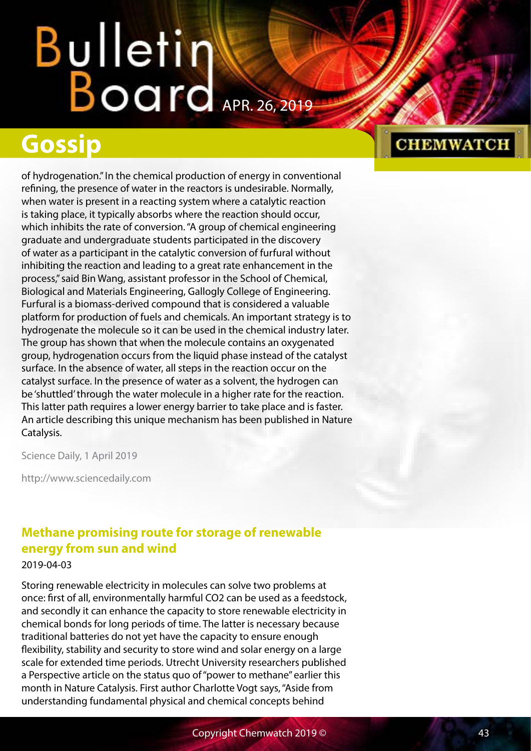# **Bulletin Karl Board**

## **Gossip**

of hydrogenation." In the chemical production of energy in conventional refining, the presence of water in the reactors is undesirable. Normally, when water is present in a reacting system where a catalytic reaction is taking place, it typically absorbs where the reaction should occur, which inhibits the rate of conversion. "A group of chemical engineering graduate and undergraduate students participated in the discovery of water as a participant in the catalytic conversion of furfural without inhibiting the reaction and leading to a great rate enhancement in the process," said Bin Wang, assistant professor in the School of Chemical, Biological and Materials Engineering, Gallogly College of Engineering. Furfural is a biomass-derived compound that is considered a valuable platform for production of fuels and chemicals. An important strategy is to hydrogenate the molecule so it can be used in the chemical industry later. The group has shown that when the molecule contains an oxygenated group, hydrogenation occurs from the liquid phase instead of the catalyst surface. In the absence of water, all steps in the reaction occur on the catalyst surface. In the presence of water as a solvent, the hydrogen can be 'shuttled' through the water molecule in a higher rate for the reaction. This latter path requires a lower energy barrier to take place and is faster. An article describing this unique mechanism has been published in Nature Catalysis.

Science Daily, 1 April 2019

http://www.sciencedaily.com

#### **Methane promising route for storage of renewable energy from sun and wind** 2019-04-03

Storing renewable electricity in molecules can solve two problems at once: first of all, environmentally harmful CO2 can be used as a feedstock, and secondly it can enhance the capacity to store renewable electricity in chemical bonds for long periods of time. The latter is necessary because traditional batteries do not yet have the capacity to ensure enough flexibility, stability and security to store wind and solar energy on a large scale for extended time periods. Utrecht University researchers published a Perspective article on the status quo of "power to methane" earlier this month in Nature Catalysis. First author Charlotte Vogt says, "Aside from understanding fundamental physical and chemical concepts behind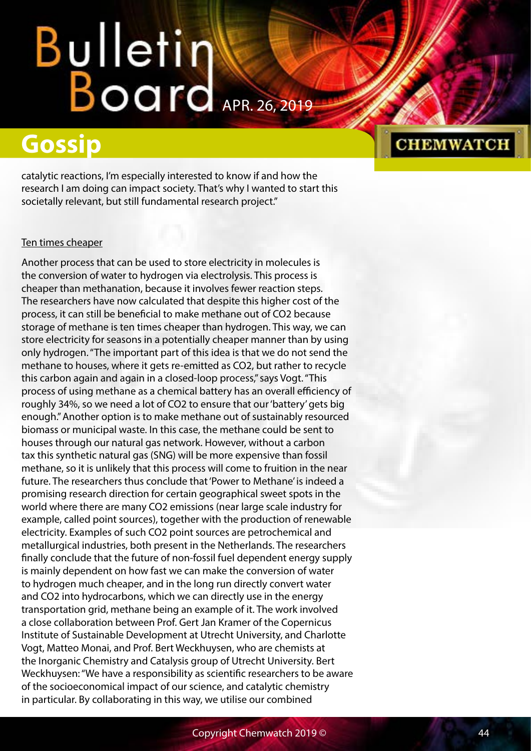# Bulletin<br>Board

## **Gossip**

catalytic reactions, I'm especially interested to know if and how the research I am doing can impact society. That's why I wanted to start this societally relevant, but still fundamental research project."

#### Ten times cheaper

Another process that can be used to store electricity in molecules is the conversion of water to hydrogen via electrolysis. This process is cheaper than methanation, because it involves fewer reaction steps. The researchers have now calculated that despite this higher cost of the process, it can still be beneficial to make methane out of CO2 because storage of methane is ten times cheaper than hydrogen. This way, we can store electricity for seasons in a potentially cheaper manner than by using only hydrogen. "The important part of this idea is that we do not send the methane to houses, where it gets re-emitted as CO2, but rather to recycle this carbon again and again in a closed-loop process," says Vogt. "This process of using methane as a chemical battery has an overall efficiency of roughly 34%, so we need a lot of CO2 to ensure that our 'battery' gets big enough." Another option is to make methane out of sustainably resourced biomass or municipal waste. In this case, the methane could be sent to houses through our natural gas network. However, without a carbon tax this synthetic natural gas (SNG) will be more expensive than fossil methane, so it is unlikely that this process will come to fruition in the near future. The researchers thus conclude that 'Power to Methane' is indeed a promising research direction for certain geographical sweet spots in the world where there are many CO2 emissions (near large scale industry for example, called point sources), together with the production of renewable electricity. Examples of such CO2 point sources are petrochemical and metallurgical industries, both present in the Netherlands. The researchers finally conclude that the future of non-fossil fuel dependent energy supply is mainly dependent on how fast we can make the conversion of water to hydrogen much cheaper, and in the long run directly convert water and CO2 into hydrocarbons, which we can directly use in the energy transportation grid, methane being an example of it. The work involved a close collaboration between Prof. Gert Jan Kramer of the Copernicus Institute of Sustainable Development at Utrecht University, and Charlotte Vogt, Matteo Monai, and Prof. Bert Weckhuysen, who are chemists at the Inorganic Chemistry and Catalysis group of Utrecht University. Bert Weckhuysen: "We have a responsibility as scientific researchers to be aware of the socioeconomical impact of our science, and catalytic chemistry in particular. By collaborating in this way, we utilise our combined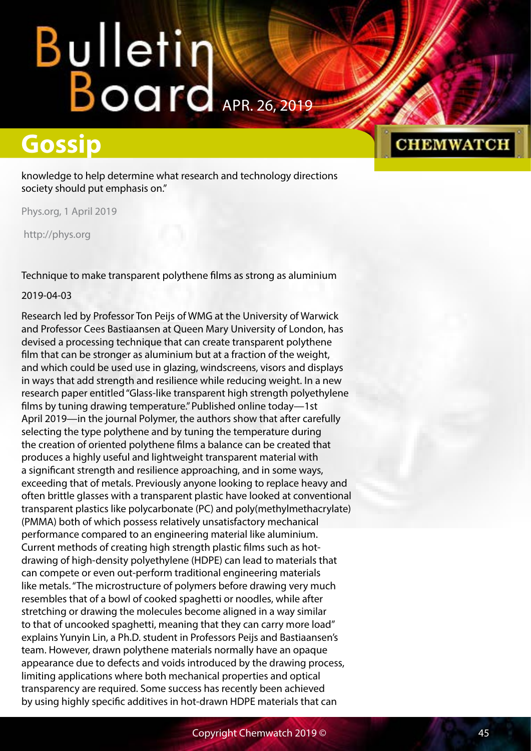## **Gossip**

knowledge to help determine what research and technology directions society should put emphasis on."

Phys.org, 1 April 2019

http://phys.org

Technique to make transparent polythene films as strong as aluminium

#### 2019-04-03

Research led by Professor Ton Peijs of WMG at the University of Warwick and Professor Cees Bastiaansen at Queen Mary University of London, has devised a processing technique that can create transparent polythene film that can be stronger as aluminium but at a fraction of the weight, and which could be used use in glazing, windscreens, visors and displays in ways that add strength and resilience while reducing weight. In a new research paper entitled "Glass-like transparent high strength polyethylene films by tuning drawing temperature." Published online today—1st April 2019—in the journal Polymer, the authors show that after carefully selecting the type polythene and by tuning the temperature during the creation of oriented polythene films a balance can be created that produces a highly useful and lightweight transparent material with a significant strength and resilience approaching, and in some ways, exceeding that of metals. Previously anyone looking to replace heavy and often brittle glasses with a transparent plastic have looked at conventional transparent plastics like polycarbonate (PC) and poly(methylmethacrylate) (PMMA) both of which possess relatively unsatisfactory mechanical performance compared to an engineering material like aluminium. Current methods of creating high strength plastic films such as hotdrawing of high-density polyethylene (HDPE) can lead to materials that can compete or even out-perform traditional engineering materials like metals. "The microstructure of polymers before drawing very much resembles that of a bowl of cooked spaghetti or noodles, while after stretching or drawing the molecules become aligned in a way similar to that of uncooked spaghetti, meaning that they can carry more load" explains Yunyin Lin, a Ph.D. student in Professors Peijs and Bastiaansen's team. However, drawn polythene materials normally have an opaque appearance due to defects and voids introduced by the drawing process, limiting applications where both mechanical properties and optical transparency are required. Some success has recently been achieved by using highly specific additives in hot-drawn HDPE materials that can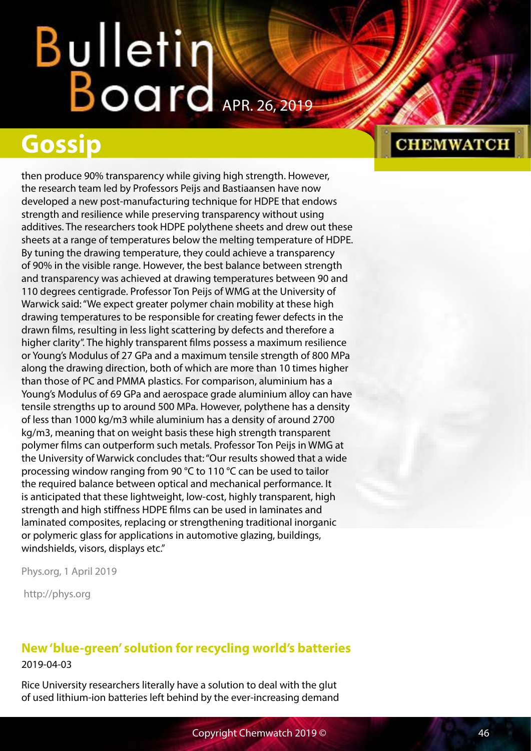# Bulletin Karl 2019

## **Gossip**

then produce 90% transparency while giving high strength. However, the research team led by Professors Peijs and Bastiaansen have now developed a new post-manufacturing technique for HDPE that endows strength and resilience while preserving transparency without using additives. The researchers took HDPE polythene sheets and drew out these sheets at a range of temperatures below the melting temperature of HDPE. By tuning the drawing temperature, they could achieve a transparency of 90% in the visible range. However, the best balance between strength and transparency was achieved at drawing temperatures between 90 and 110 degrees centigrade. Professor Ton Peijs of WMG at the University of Warwick said: "We expect greater polymer chain mobility at these high drawing temperatures to be responsible for creating fewer defects in the drawn films, resulting in less light scattering by defects and therefore a higher clarity". The highly transparent films possess a maximum resilience or Young's Modulus of 27 GPa and a maximum tensile strength of 800 MPa along the drawing direction, both of which are more than 10 times higher than those of PC and PMMA plastics. For comparison, aluminium has a Young's Modulus of 69 GPa and aerospace grade aluminium alloy can have tensile strengths up to around 500 MPa. However, polythene has a density of less than 1000 kg/m3 while aluminium has a density of around 2700 kg/m3, meaning that on weight basis these high strength transparent polymer films can outperform such metals. Professor Ton Peijs in WMG at the University of Warwick concludes that: "Our results showed that a wide processing window ranging from 90 °C to 110 °C can be used to tailor the required balance between optical and mechanical performance. It is anticipated that these lightweight, low-cost, highly transparent, high strength and high stiffness HDPE films can be used in laminates and laminated composites, replacing or strengthening traditional inorganic or polymeric glass for applications in automotive glazing, buildings, windshields, visors, displays etc."

Phys.org, 1 April 2019

http://phys.org

### **New 'blue-green' solution for recycling world's batteries**

2019-04-03

Rice University researchers literally have a solution to deal with the glut of used lithium-ion batteries left behind by the ever-increasing demand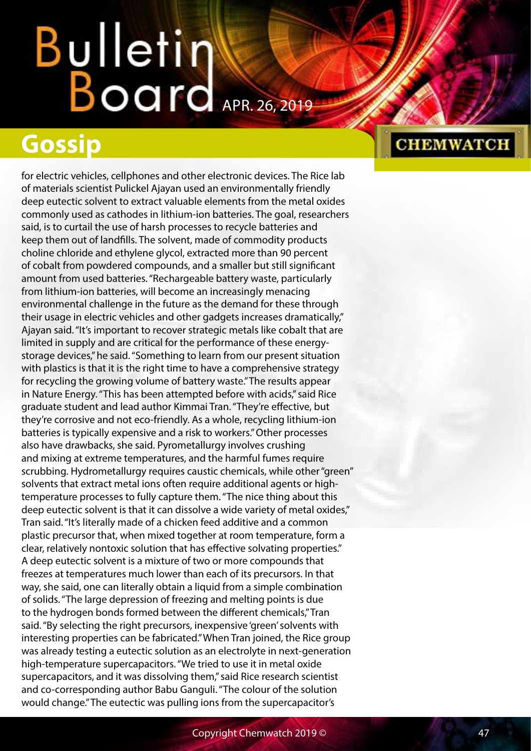## **Gossip**

for electric vehicles, cellphones and other electronic devices. The Rice lab of materials scientist Pulickel Ajayan used an environmentally friendly deep eutectic solvent to extract valuable elements from the metal oxides commonly used as cathodes in lithium-ion batteries. The goal, researchers said, is to curtail the use of harsh processes to recycle batteries and keep them out of landfills. The solvent, made of commodity products choline chloride and ethylene glycol, extracted more than 90 percent of cobalt from powdered compounds, and a smaller but still significant amount from used batteries. "Rechargeable battery waste, particularly from lithium-ion batteries, will become an increasingly menacing environmental challenge in the future as the demand for these through their usage in electric vehicles and other gadgets increases dramatically," Ajayan said. "It's important to recover strategic metals like cobalt that are limited in supply and are critical for the performance of these energystorage devices," he said. "Something to learn from our present situation with plastics is that it is the right time to have a comprehensive strategy for recycling the growing volume of battery waste." The results appear in Nature Energy. "This has been attempted before with acids," said Rice graduate student and lead author Kimmai Tran. "They're effective, but they're corrosive and not eco-friendly. As a whole, recycling lithium-ion batteries is typically expensive and a risk to workers." Other processes also have drawbacks, she said. Pyrometallurgy involves crushing and mixing at extreme temperatures, and the harmful fumes require scrubbing. Hydrometallurgy requires caustic chemicals, while other "green" solvents that extract metal ions often require additional agents or hightemperature processes to fully capture them. "The nice thing about this deep eutectic solvent is that it can dissolve a wide variety of metal oxides," Tran said. "It's literally made of a chicken feed additive and a common plastic precursor that, when mixed together at room temperature, form a clear, relatively nontoxic solution that has effective solvating properties." A deep eutectic solvent is a mixture of two or more compounds that freezes at temperatures much lower than each of its precursors. In that way, she said, one can literally obtain a liquid from a simple combination of solids. "The large depression of freezing and melting points is due to the hydrogen bonds formed between the different chemicals," Tran said. "By selecting the right precursors, inexpensive 'green' solvents with interesting properties can be fabricated." When Tran joined, the Rice group was already testing a eutectic solution as an electrolyte in next-generation high-temperature supercapacitors. "We tried to use it in metal oxide supercapacitors, and it was dissolving them," said Rice research scientist and co-corresponding author Babu Ganguli. "The colour of the solution would change." The eutectic was pulling ions from the supercapacitor's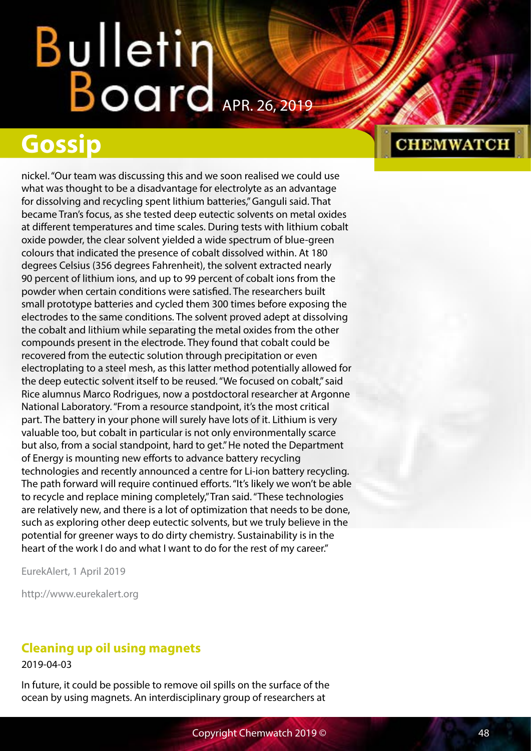# **Bulletin Board**

## **Gossip**

nickel. "Our team was discussing this and we soon realised we could use what was thought to be a disadvantage for electrolyte as an advantage for dissolving and recycling spent lithium batteries," Ganguli said. That became Tran's focus, as she tested deep eutectic solvents on metal oxides at different temperatures and time scales. During tests with lithium cobalt oxide powder, the clear solvent yielded a wide spectrum of blue-green colours that indicated the presence of cobalt dissolved within. At 180 degrees Celsius (356 degrees Fahrenheit), the solvent extracted nearly 90 percent of lithium ions, and up to 99 percent of cobalt ions from the powder when certain conditions were satisfied. The researchers built small prototype batteries and cycled them 300 times before exposing the electrodes to the same conditions. The solvent proved adept at dissolving the cobalt and lithium while separating the metal oxides from the other compounds present in the electrode. They found that cobalt could be recovered from the eutectic solution through precipitation or even electroplating to a steel mesh, as this latter method potentially allowed for the deep eutectic solvent itself to be reused. "We focused on cobalt," said Rice alumnus Marco Rodrigues, now a postdoctoral researcher at Argonne National Laboratory. "From a resource standpoint, it's the most critical part. The battery in your phone will surely have lots of it. Lithium is very valuable too, but cobalt in particular is not only environmentally scarce but also, from a social standpoint, hard to get." He noted the Department of Energy is mounting new efforts to advance battery recycling technologies and recently announced a centre for Li-ion battery recycling. The path forward will require continued efforts. "It's likely we won't be able to recycle and replace mining completely," Tran said. "These technologies are relatively new, and there is a lot of optimization that needs to be done, such as exploring other deep eutectic solvents, but we truly believe in the potential for greener ways to do dirty chemistry. Sustainability is in the heart of the work I do and what I want to do for the rest of my career."

EurekAlert, 1 April 2019

http://www.eurekalert.org

#### **Cleaning up oil using magnets**

2019-04-03

In future, it could be possible to remove oil spills on the surface of the ocean by using magnets. An interdisciplinary group of researchers at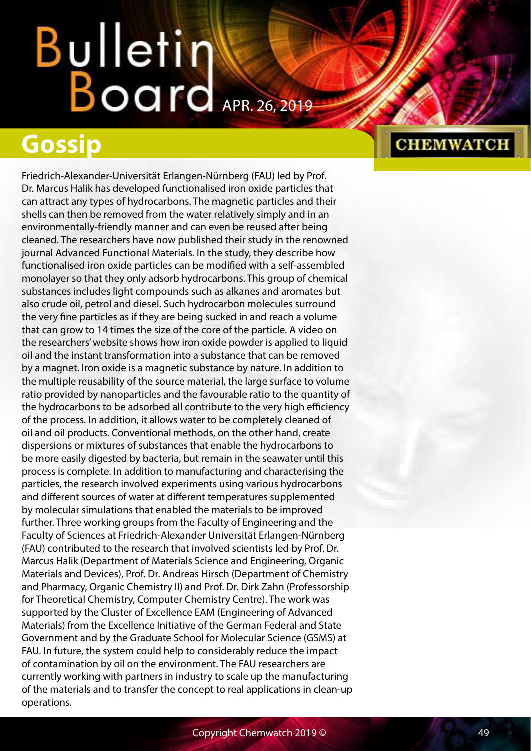## **Gossip**

Friedrich-Alexander-Universität Erlangen-Nürnberg (FAU) led by Prof. Dr. Marcus Halik has developed functionalised iron oxide particles that can attract any types of hydrocarbons. The magnetic particles and their shells can then be removed from the water relatively simply and in an environmentally-friendly manner and can even be reused after being cleaned. The researchers have now published their study in the renowned journal Advanced Functional Materials. In the study, they describe how functionalised iron oxide particles can be modified with a self-assembled monolayer so that they only adsorb hydrocarbons. This group of chemical substances includes light compounds such as alkanes and aromates but also crude oil, petrol and diesel. Such hydrocarbon molecules surround the very fine particles as if they are being sucked in and reach a volume that can grow to 14 times the size of the core of the particle. A video on the researchers' website shows how iron oxide powder is applied to liquid oil and the instant transformation into a substance that can be removed by a magnet. Iron oxide is a magnetic substance by nature. In addition to the multiple reusability of the source material, the large surface to volume ratio provided by nanoparticles and the favourable ratio to the quantity of the hydrocarbons to be adsorbed all contribute to the very high efficiency of the process. In addition, it allows water to be completely cleaned of oil and oil products. Conventional methods, on the other hand, create dispersions or mixtures of substances that enable the hydrocarbons to be more easily digested by bacteria, but remain in the seawater until this process is complete. In addition to manufacturing and characterising the particles, the research involved experiments using various hydrocarbons and different sources of water at different temperatures supplemented by molecular simulations that enabled the materials to be improved further. Three working groups from the Faculty of Engineering and the Faculty of Sciences at Friedrich-Alexander Universität Erlangen-Nürnberg (FAU) contributed to the research that involved scientists led by Prof. Dr. Marcus Halik (Department of Materials Science and Engineering, Organic Materials and Devices), Prof. Dr. Andreas Hirsch (Department of Chemistry and Pharmacy, Organic Chemistry II) and Prof. Dr. Dirk Zahn (Professorship for Theoretical Chemistry, Computer Chemistry Centre). The work was supported by the Cluster of Excellence EAM (Engineering of Advanced Materials) from the Excellence Initiative of the German Federal and State Government and by the Graduate School for Molecular Science (GSMS) at FAU. In future, the system could help to considerably reduce the impact of contamination by oil on the environment. The FAU researchers are currently working with partners in industry to scale up the manufacturing of the materials and to transfer the concept to real applications in clean-up operations.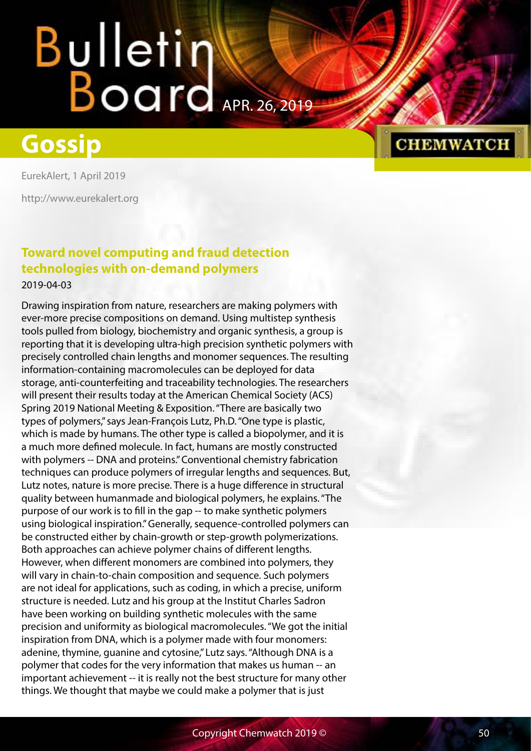## **Gossip**

EurekAlert, 1 April 2019

http://www.eurekalert.org

#### **Toward novel computing and fraud detection technologies with on-demand polymers** 2019-04-03

Drawing inspiration from nature, researchers are making polymers with ever-more precise compositions on demand. Using multistep synthesis tools pulled from biology, biochemistry and organic synthesis, a group is reporting that it is developing ultra-high precision synthetic polymers with precisely controlled chain lengths and monomer sequences. The resulting information-containing macromolecules can be deployed for data storage, anti-counterfeiting and traceability technologies. The researchers will present their results today at the American Chemical Society (ACS) Spring 2019 National Meeting & Exposition. "There are basically two types of polymers," says Jean-François Lutz, Ph.D. "One type is plastic, which is made by humans. The other type is called a biopolymer, and it is a much more defined molecule. In fact, humans are mostly constructed with polymers -- DNA and proteins." Conventional chemistry fabrication techniques can produce polymers of irregular lengths and sequences. But, Lutz notes, nature is more precise. There is a huge difference in structural quality between humanmade and biological polymers, he explains. "The purpose of our work is to fill in the gap -- to make synthetic polymers using biological inspiration." Generally, sequence-controlled polymers can be constructed either by chain-growth or step-growth polymerizations. Both approaches can achieve polymer chains of different lengths. However, when different monomers are combined into polymers, they will vary in chain-to-chain composition and sequence. Such polymers are not ideal for applications, such as coding, in which a precise, uniform structure is needed. Lutz and his group at the Institut Charles Sadron have been working on building synthetic molecules with the same precision and uniformity as biological macromolecules. "We got the initial inspiration from DNA, which is a polymer made with four monomers: adenine, thymine, guanine and cytosine," Lutz says. "Although DNA is a polymer that codes for the very information that makes us human -- an important achievement -- it is really not the best structure for many other things. We thought that maybe we could make a polymer that is just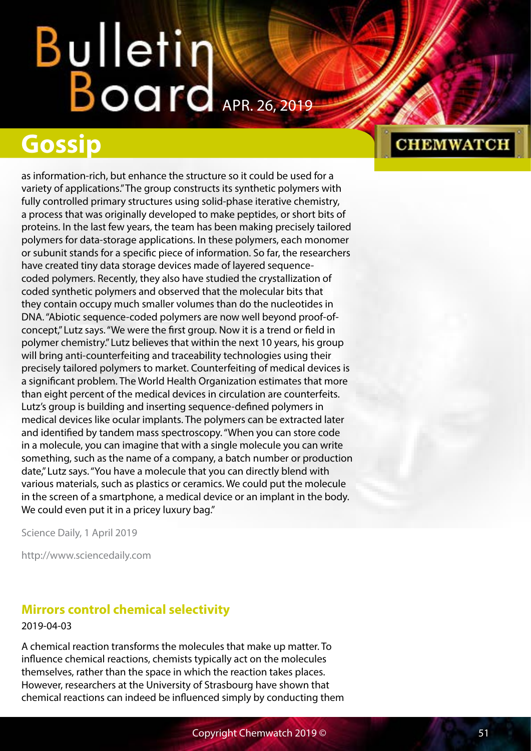## **Gossip**

as information-rich, but enhance the structure so it could be used for a variety of applications." The group constructs its synthetic polymers with fully controlled primary structures using solid-phase iterative chemistry, a process that was originally developed to make peptides, or short bits of proteins. In the last few years, the team has been making precisely tailored polymers for data-storage applications. In these polymers, each monomer or subunit stands for a specific piece of information. So far, the researchers have created tiny data storage devices made of layered sequencecoded polymers. Recently, they also have studied the crystallization of coded synthetic polymers and observed that the molecular bits that they contain occupy much smaller volumes than do the nucleotides in DNA. "Abiotic sequence-coded polymers are now well beyond proof-ofconcept," Lutz says. "We were the first group. Now it is a trend or field in polymer chemistry." Lutz believes that within the next 10 years, his group will bring anti-counterfeiting and traceability technologies using their precisely tailored polymers to market. Counterfeiting of medical devices is a significant problem. The World Health Organization estimates that more than eight percent of the medical devices in circulation are counterfeits. Lutz's group is building and inserting sequence-defined polymers in medical devices like ocular implants. The polymers can be extracted later and identified by tandem mass spectroscopy. "When you can store code in a molecule, you can imagine that with a single molecule you can write something, such as the name of a company, a batch number or production date," Lutz says. "You have a molecule that you can directly blend with various materials, such as plastics or ceramics. We could put the molecule in the screen of a smartphone, a medical device or an implant in the body. We could even put it in a pricey luxury bag."

Science Daily, 1 April 2019

http://www.sciencedaily.com

#### **Mirrors control chemical selectivity**

#### 2019-04-03

A chemical reaction transforms the molecules that make up matter. To influence chemical reactions, chemists typically act on the molecules themselves, rather than the space in which the reaction takes places. However, researchers at the University of Strasbourg have shown that chemical reactions can indeed be influenced simply by conducting them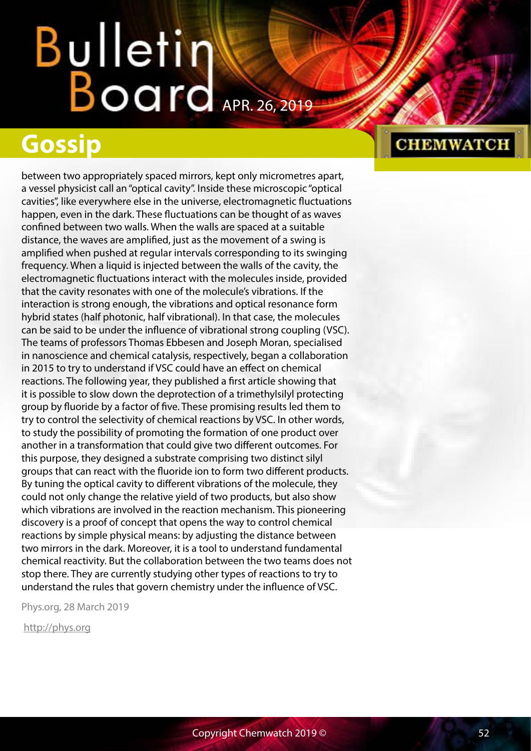## **Gossip**

between two appropriately spaced mirrors, kept only micrometres apart, a vessel physicist call an "optical cavity". Inside these microscopic "optical cavities", like everywhere else in the universe, electromagnetic fluctuations happen, even in the dark. These fluctuations can be thought of as waves confined between two walls. When the walls are spaced at a suitable distance, the waves are amplified, just as the movement of a swing is amplified when pushed at regular intervals corresponding to its swinging frequency. When a liquid is injected between the walls of the cavity, the electromagnetic fluctuations interact with the molecules inside, provided that the cavity resonates with one of the molecule's vibrations. If the interaction is strong enough, the vibrations and optical resonance form hybrid states (half photonic, half vibrational). In that case, the molecules can be said to be under the influence of vibrational strong coupling (VSC). The teams of professors Thomas Ebbesen and Joseph Moran, specialised in nanoscience and chemical catalysis, respectively, began a collaboration in 2015 to try to understand if VSC could have an effect on chemical reactions. The following year, they published a first article showing that it is possible to slow down the deprotection of a trimethylsilyl protecting group by fluoride by a factor of five. These promising results led them to try to control the selectivity of chemical reactions by VSC. In other words, to study the possibility of promoting the formation of one product over another in a transformation that could give two different outcomes. For this purpose, they designed a substrate comprising two distinct silyl groups that can react with the fluoride ion to form two different products. By tuning the optical cavity to different vibrations of the molecule, they could not only change the relative yield of two products, but also show which vibrations are involved in the reaction mechanism. This pioneering discovery is a proof of concept that opens the way to control chemical reactions by simple physical means: by adjusting the distance between two mirrors in the dark. Moreover, it is a tool to understand fundamental chemical reactivity. But the collaboration between the two teams does not stop there. They are currently studying other types of reactions to try to understand the rules that govern chemistry under the influence of VSC.

Phys.org, 28 March 2019

<http://phys.org>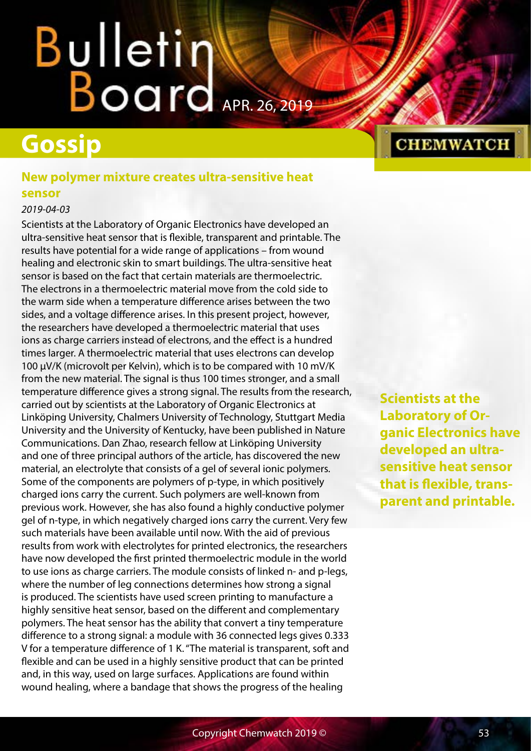## **Gossip**

#### **New polymer mixture creates ultra-sensitive heat sensor**

#### *2019-04-03*

Scientists at the Laboratory of Organic Electronics have developed an ultra-sensitive heat sensor that is flexible, transparent and printable. The results have potential for a wide range of applications – from wound healing and electronic skin to smart buildings. The ultra-sensitive heat sensor is based on the fact that certain materials are thermoelectric. The electrons in a thermoelectric material move from the cold side to the warm side when a temperature difference arises between the two sides, and a voltage difference arises. In this present project, however, the researchers have developed a thermoelectric material that uses ions as charge carriers instead of electrons, and the effect is a hundred times larger. A thermoelectric material that uses electrons can develop 100 µV/K (microvolt per Kelvin), which is to be compared with 10 mV/K from the new material. The signal is thus 100 times stronger, and a small temperature difference gives a strong signal. The results from the research, carried out by scientists at the Laboratory of Organic Electronics at Linköping University, Chalmers University of Technology, Stuttgart Media University and the University of Kentucky, have been published in Nature Communications. Dan Zhao, research fellow at Linköping University and one of three principal authors of the article, has discovered the new material, an electrolyte that consists of a gel of several ionic polymers. Some of the components are polymers of p-type, in which positively charged ions carry the current. Such polymers are well-known from previous work. However, she has also found a highly conductive polymer gel of n-type, in which negatively charged ions carry the current. Very few such materials have been available until now. With the aid of previous results from work with electrolytes for printed electronics, the researchers have now developed the first printed thermoelectric module in the world to use ions as charge carriers. The module consists of linked n- and p-legs, where the number of leg connections determines how strong a signal is produced. The scientists have used screen printing to manufacture a highly sensitive heat sensor, based on the different and complementary polymers. The heat sensor has the ability that convert a tiny temperature difference to a strong signal: a module with 36 connected legs gives 0.333 V for a temperature difference of 1 K. "The material is transparent, soft and flexible and can be used in a highly sensitive product that can be printed and, in this way, used on large surfaces. Applications are found within wound healing, where a bandage that shows the progress of the healing

**CHEMWATCH** 

**Scientists at the Laboratory of Organic Electronics have developed an ultrasensitive heat sensor that is flexible, transparent and printable.**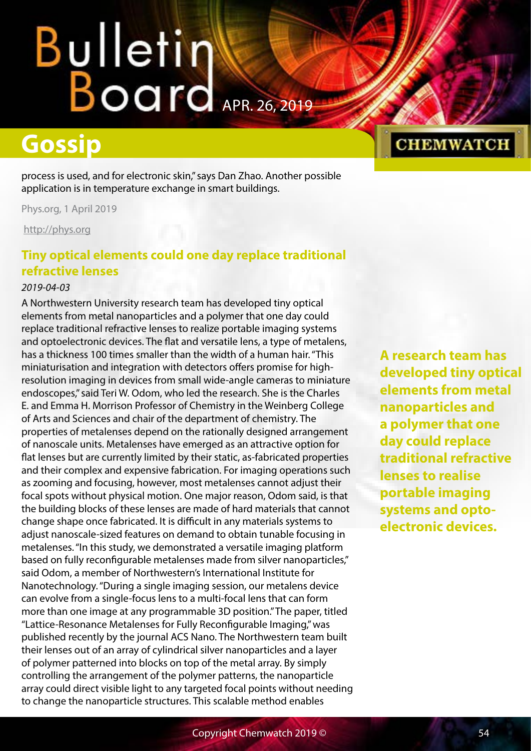## **Gossip**

process is used, and for electronic skin," says Dan Zhao. Another possible application is in temperature exchange in smart buildings.

Phys.org, 1 April 2019

<http://phys.org>

### **Tiny optical elements could one day replace traditional refractive lenses**

#### *2019-04-03*

A Northwestern University research team has developed tiny optical elements from metal nanoparticles and a polymer that one day could replace traditional refractive lenses to realize portable imaging systems and optoelectronic devices. The flat and versatile lens, a type of metalens, has a thickness 100 times smaller than the width of a human hair. "This miniaturisation and integration with detectors offers promise for highresolution imaging in devices from small wide-angle cameras to miniature endoscopes," said Teri W. Odom, who led the research. She is the Charles E. and Emma H. Morrison Professor of Chemistry in the Weinberg College of Arts and Sciences and chair of the department of chemistry. The properties of metalenses depend on the rationally designed arrangement of nanoscale units. Metalenses have emerged as an attractive option for flat lenses but are currently limited by their static, as-fabricated properties and their complex and expensive fabrication. For imaging operations such as zooming and focusing, however, most metalenses cannot adjust their focal spots without physical motion. One major reason, Odom said, is that the building blocks of these lenses are made of hard materials that cannot change shape once fabricated. It is difficult in any materials systems to adjust nanoscale-sized features on demand to obtain tunable focusing in metalenses. "In this study, we demonstrated a versatile imaging platform based on fully reconfigurable metalenses made from silver nanoparticles," said Odom, a member of Northwestern's International Institute for Nanotechnology. "During a single imaging session, our metalens device can evolve from a single-focus lens to a multi-focal lens that can form more than one image at any programmable 3D position." The paper, titled "Lattice-Resonance Metalenses for Fully Reconfigurable Imaging," was published recently by the journal ACS Nano. The Northwestern team built their lenses out of an array of cylindrical silver nanoparticles and a layer of polymer patterned into blocks on top of the metal array. By simply controlling the arrangement of the polymer patterns, the nanoparticle array could direct visible light to any targeted focal points without needing to change the nanoparticle structures. This scalable method enables

**A research team has developed tiny optical elements from metal nanoparticles and a polymer that one day could replace traditional refractive lenses to realise portable imaging systems and optoelectronic devices.**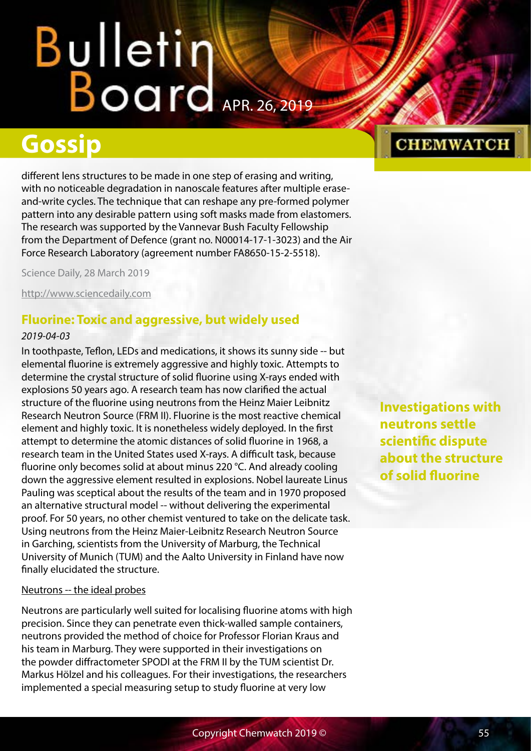## **Gossip**

different lens structures to be made in one step of erasing and writing, with no noticeable degradation in nanoscale features after multiple eraseand-write cycles. The technique that can reshape any pre-formed polymer pattern into any desirable pattern using soft masks made from elastomers. The research was supported by the Vannevar Bush Faculty Fellowship from the Department of Defence (grant no. N00014-17-1-3023) and the Air Force Research Laboratory (agreement number FA8650-15-2-5518).

Science Daily, 28 March 2019

<http://www.sciencedaily.com>

#### **Fluorine: Toxic and aggressive, but widely used**

#### *2019-04-03*

In toothpaste, Teflon, LEDs and medications, it shows its sunny side -- but elemental fluorine is extremely aggressive and highly toxic. Attempts to determine the crystal structure of solid fluorine using X-rays ended with explosions 50 years ago. A research team has now clarified the actual structure of the fluorine using neutrons from the Heinz Maier Leibnitz Research Neutron Source (FRM II). Fluorine is the most reactive chemical element and highly toxic. It is nonetheless widely deployed. In the first attempt to determine the atomic distances of solid fluorine in 1968, a research team in the United States used X-rays. A difficult task, because fluorine only becomes solid at about minus 220 °C. And already cooling down the aggressive element resulted in explosions. Nobel laureate Linus Pauling was sceptical about the results of the team and in 1970 proposed an alternative structural model -- without delivering the experimental proof. For 50 years, no other chemist ventured to take on the delicate task. Using neutrons from the Heinz Maier-Leibnitz Research Neutron Source in Garching, scientists from the University of Marburg, the Technical University of Munich (TUM) and the Aalto University in Finland have now finally elucidated the structure.

#### Neutrons -- the ideal probes

Neutrons are particularly well suited for localising fluorine atoms with high precision. Since they can penetrate even thick-walled sample containers, neutrons provided the method of choice for Professor Florian Kraus and his team in Marburg. They were supported in their investigations on the powder diffractometer SPODI at the FRM II by the TUM scientist Dr. Markus Hölzel and his colleagues. For their investigations, the researchers implemented a special measuring setup to study fluorine at very low

**Investigations with neutrons settle scientific dispute about the structure of solid fluorine**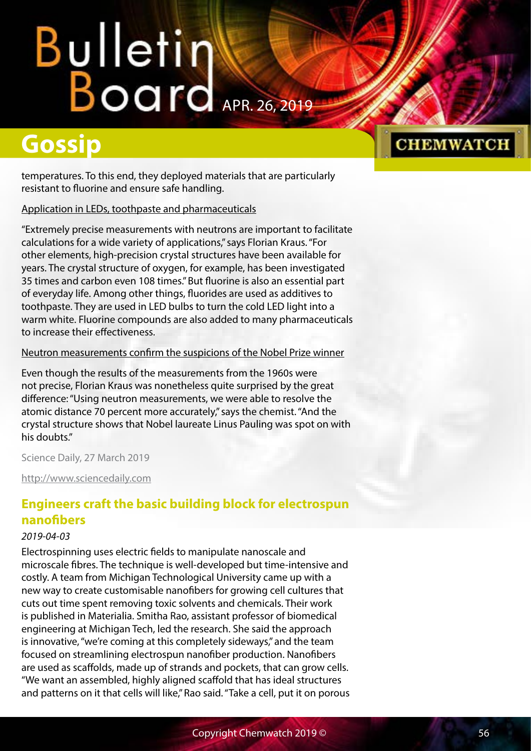# **Bulletintendents**

## **Gossip**

temperatures. To this end, they deployed materials that are particularly resistant to fluorine and ensure safe handling.

#### Application in LEDs, toothpaste and pharmaceuticals

"Extremely precise measurements with neutrons are important to facilitate calculations for a wide variety of applications," says Florian Kraus. "For other elements, high-precision crystal structures have been available for years. The crystal structure of oxygen, for example, has been investigated 35 times and carbon even 108 times." But fluorine is also an essential part of everyday life. Among other things, fluorides are used as additives to toothpaste. They are used in LED bulbs to turn the cold LED light into a warm white. Fluorine compounds are also added to many pharmaceuticals to increase their effectiveness.

#### Neutron measurements confirm the suspicions of the Nobel Prize winner

Even though the results of the measurements from the 1960s were not precise, Florian Kraus was nonetheless quite surprised by the great difference: "Using neutron measurements, we were able to resolve the atomic distance 70 percent more accurately," says the chemist. "And the crystal structure shows that Nobel laureate Linus Pauling was spot on with his doubts"

Science Daily, 27 March 2019

<http://www.sciencedaily.com>

### **Engineers craft the basic building block for electrospun nanofibers**

#### *2019-04-03*

Electrospinning uses electric fields to manipulate nanoscale and microscale fibres. The technique is well-developed but time-intensive and costly. A team from Michigan Technological University came up with a new way to create customisable nanofibers for growing cell cultures that cuts out time spent removing toxic solvents and chemicals. Their work is published in Materialia. Smitha Rao, assistant professor of biomedical engineering at Michigan Tech, led the research. She said the approach is innovative, "we're coming at this completely sideways," and the team focused on streamlining electrospun nanofiber production. Nanofibers are used as scaffolds, made up of strands and pockets, that can grow cells. "We want an assembled, highly aligned scaffold that has ideal structures and patterns on it that cells will like," Rao said. "Take a cell, put it on porous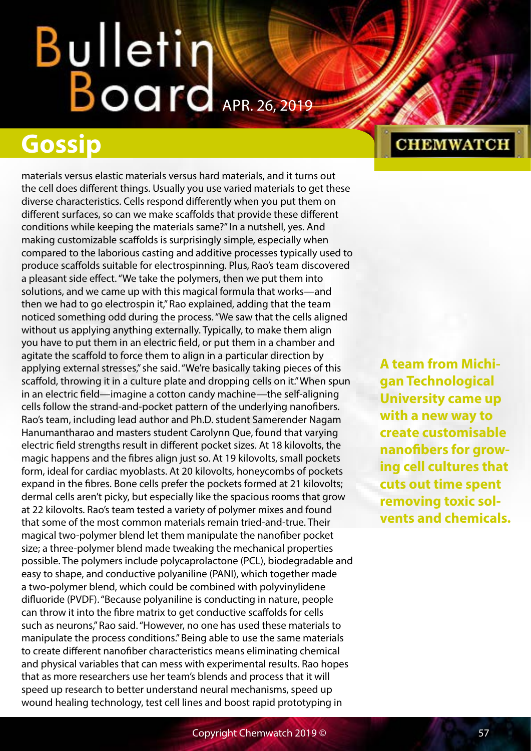# Bulletin Board APR. 26, 2019

## **Gossip**

materials versus elastic materials versus hard materials, and it turns out the cell does different things. Usually you use varied materials to get these diverse characteristics. Cells respond differently when you put them on different surfaces, so can we make scaffolds that provide these different conditions while keeping the materials same?" In a nutshell, yes. And making customizable scaffolds is surprisingly simple, especially when compared to the laborious casting and additive processes typically used to produce scaffolds suitable for electrospinning. Plus, Rao's team discovered a pleasant side effect. "We take the polymers, then we put them into solutions, and we came up with this magical formula that works—and then we had to go electrospin it," Rao explained, adding that the team noticed something odd during the process. "We saw that the cells aligned without us applying anything externally. Typically, to make them align you have to put them in an electric field, or put them in a chamber and agitate the scaffold to force them to align in a particular direction by applying external stresses," she said. "We're basically taking pieces of this scaffold, throwing it in a culture plate and dropping cells on it." When spun in an electric field—imagine a cotton candy machine—the self-aligning cells follow the strand-and-pocket pattern of the underlying nanofibers. Rao's team, including lead author and Ph.D. student Samerender Nagam Hanumantharao and masters student Carolynn Que, found that varying electric field strengths result in different pocket sizes. At 18 kilovolts, the magic happens and the fibres align just so. At 19 kilovolts, small pockets form, ideal for cardiac myoblasts. At 20 kilovolts, honeycombs of pockets expand in the fibres. Bone cells prefer the pockets formed at 21 kilovolts; dermal cells aren't picky, but especially like the spacious rooms that grow at 22 kilovolts. Rao's team tested a variety of polymer mixes and found that some of the most common materials remain tried-and-true. Their magical two-polymer blend let them manipulate the nanofiber pocket size; a three-polymer blend made tweaking the mechanical properties possible. The polymers include polycaprolactone (PCL), biodegradable and easy to shape, and conductive polyaniline (PANI), which together made a two-polymer blend, which could be combined with polyvinylidene difluoride (PVDF). "Because polyaniline is conducting in nature, people can throw it into the fibre matrix to get conductive scaffolds for cells such as neurons," Rao said. "However, no one has used these materials to manipulate the process conditions." Being able to use the same materials to create different nanofiber characteristics means eliminating chemical and physical variables that can mess with experimental results. Rao hopes that as more researchers use her team's blends and process that it will speed up research to better understand neural mechanisms, speed up wound healing technology, test cell lines and boost rapid prototyping in

### **CHEMWATCH**

**A team from Michigan Technological University came up with a new way to create customisable nanofibers for growing cell cultures that cuts out time spent removing toxic solvents and chemicals.**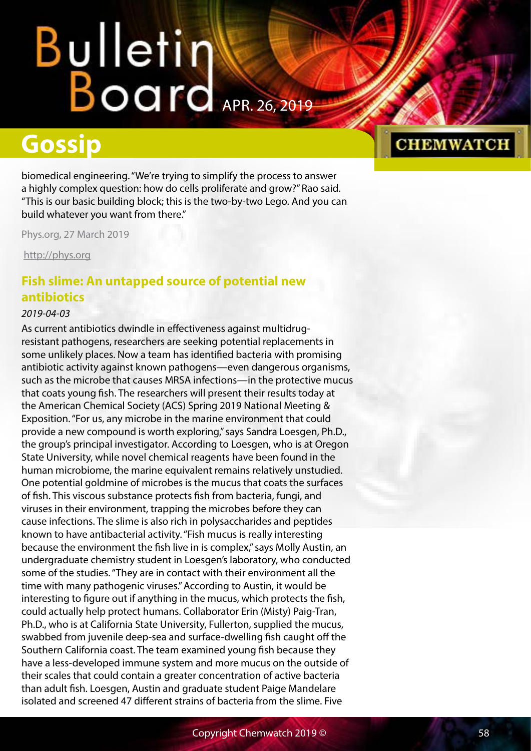## **Gossip**

biomedical engineering. "We're trying to simplify the process to answer a highly complex question: how do cells proliferate and grow?" Rao said. "This is our basic building block; this is the two-by-two Lego. And you can build whatever you want from there."

Phys.org, 27 March 2019

<http://phys.org>

### **Fish slime: An untapped source of potential new antibiotics**

#### *2019-04-03*

As current antibiotics dwindle in effectiveness against multidrugresistant pathogens, researchers are seeking potential replacements in some unlikely places. Now a team has identified bacteria with promising antibiotic activity against known pathogens—even dangerous organisms, such as the microbe that causes MRSA infections—in the protective mucus that coats young fish. The researchers will present their results today at the American Chemical Society (ACS) Spring 2019 National Meeting & Exposition. "For us, any microbe in the marine environment that could provide a new compound is worth exploring," says Sandra Loesgen, Ph.D., the group's principal investigator. According to Loesgen, who is at Oregon State University, while novel chemical reagents have been found in the human microbiome, the marine equivalent remains relatively unstudied. One potential goldmine of microbes is the mucus that coats the surfaces of fish. This viscous substance protects fish from bacteria, fungi, and viruses in their environment, trapping the microbes before they can cause infections. The slime is also rich in polysaccharides and peptides known to have antibacterial activity. "Fish mucus is really interesting because the environment the fish live in is complex," says Molly Austin, an undergraduate chemistry student in Loesgen's laboratory, who conducted some of the studies. "They are in contact with their environment all the time with many pathogenic viruses." According to Austin, it would be interesting to figure out if anything in the mucus, which protects the fish, could actually help protect humans. Collaborator Erin (Misty) Paig-Tran, Ph.D., who is at California State University, Fullerton, supplied the mucus, swabbed from juvenile deep-sea and surface-dwelling fish caught off the Southern California coast. The team examined young fish because they have a less-developed immune system and more mucus on the outside of their scales that could contain a greater concentration of active bacteria than adult fish. Loesgen, Austin and graduate student Paige Mandelare isolated and screened 47 different strains of bacteria from the slime. Five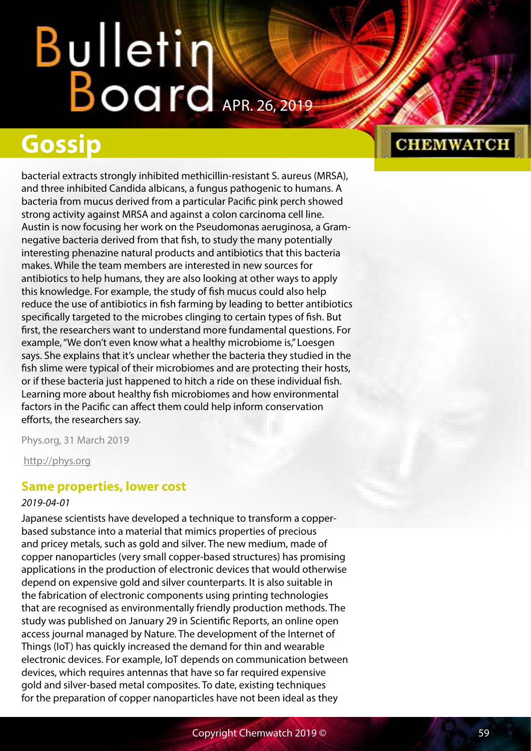## **Gossip**

bacterial extracts strongly inhibited methicillin-resistant S. aureus (MRSA), and three inhibited Candida albicans, a fungus pathogenic to humans. A bacteria from mucus derived from a particular Pacific pink perch showed strong activity against MRSA and against a colon carcinoma cell line. Austin is now focusing her work on the Pseudomonas aeruginosa, a Gramnegative bacteria derived from that fish, to study the many potentially interesting phenazine natural products and antibiotics that this bacteria makes. While the team members are interested in new sources for antibiotics to help humans, they are also looking at other ways to apply this knowledge. For example, the study of fish mucus could also help reduce the use of antibiotics in fish farming by leading to better antibiotics specifically targeted to the microbes clinging to certain types of fish. But first, the researchers want to understand more fundamental questions. For example, "We don't even know what a healthy microbiome is," Loesgen says. She explains that it's unclear whether the bacteria they studied in the fish slime were typical of their microbiomes and are protecting their hosts, or if these bacteria just happened to hitch a ride on these individual fish. Learning more about healthy fish microbiomes and how environmental factors in the Pacific can affect them could help inform conservation efforts, the researchers say.

Phys.org, 31 March 2019

<http://phys.org>

#### **Same properties, lower cost**

#### *2019-04-01*

Japanese scientists have developed a technique to transform a copperbased substance into a material that mimics properties of precious and pricey metals, such as gold and silver. The new medium, made of copper nanoparticles (very small copper-based structures) has promising applications in the production of electronic devices that would otherwise depend on expensive gold and silver counterparts. It is also suitable in the fabrication of electronic components using printing technologies that are recognised as environmentally friendly production methods. The study was published on January 29 in Scientific Reports, an online open access journal managed by Nature. The development of the Internet of Things (IoT) has quickly increased the demand for thin and wearable electronic devices. For example, IoT depends on communication between devices, which requires antennas that have so far required expensive gold and silver-based metal composites. To date, existing techniques for the preparation of copper nanoparticles have not been ideal as they

#### Copyright Chemwatch 2019 © 59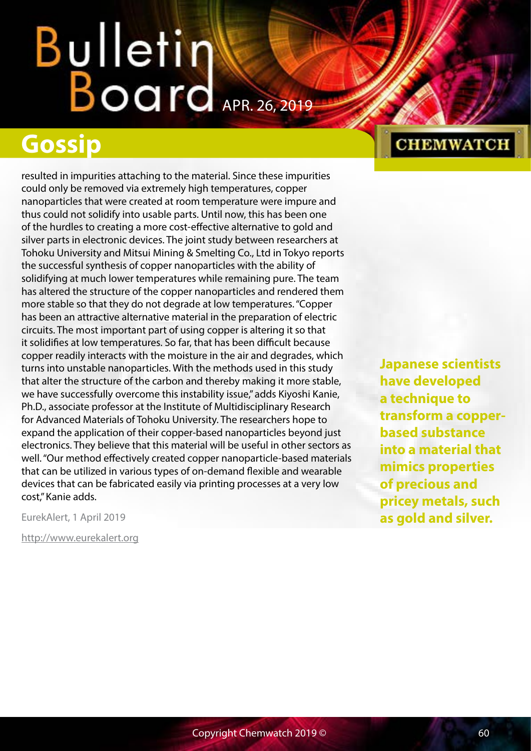## **Gossip**

resulted in impurities attaching to the material. Since these impurities could only be removed via extremely high temperatures, copper nanoparticles that were created at room temperature were impure and thus could not solidify into usable parts. Until now, this has been one of the hurdles to creating a more cost-effective alternative to gold and silver parts in electronic devices. The joint study between researchers at Tohoku University and Mitsui Mining & Smelting Co., Ltd in Tokyo reports the successful synthesis of copper nanoparticles with the ability of solidifying at much lower temperatures while remaining pure. The team has altered the structure of the copper nanoparticles and rendered them more stable so that they do not degrade at low temperatures. "Copper has been an attractive alternative material in the preparation of electric circuits. The most important part of using copper is altering it so that it solidifies at low temperatures. So far, that has been difficult because copper readily interacts with the moisture in the air and degrades, which turns into unstable nanoparticles. With the methods used in this study that alter the structure of the carbon and thereby making it more stable, we have successfully overcome this instability issue," adds Kiyoshi Kanie, Ph.D., associate professor at the Institute of Multidisciplinary Research for Advanced Materials of Tohoku University. The researchers hope to expand the application of their copper-based nanoparticles beyond just electronics. They believe that this material will be useful in other sectors as well. "Our method effectively created copper nanoparticle-based materials that can be utilized in various types of on-demand flexible and wearable devices that can be fabricated easily via printing processes at a very low cost," Kanie adds.

EurekAlert, 1 April 2019

<http://www.eurekalert.org>

### **CHEMWATCH**

**Japanese scientists have developed a technique to transform a copperbased substance into a material that mimics properties of precious and pricey metals, such as gold and silver.**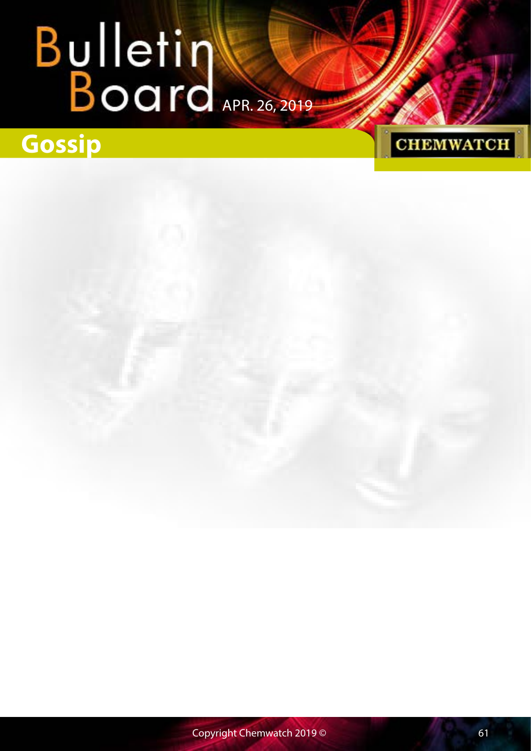# **Bulletings**

## **Gossip**



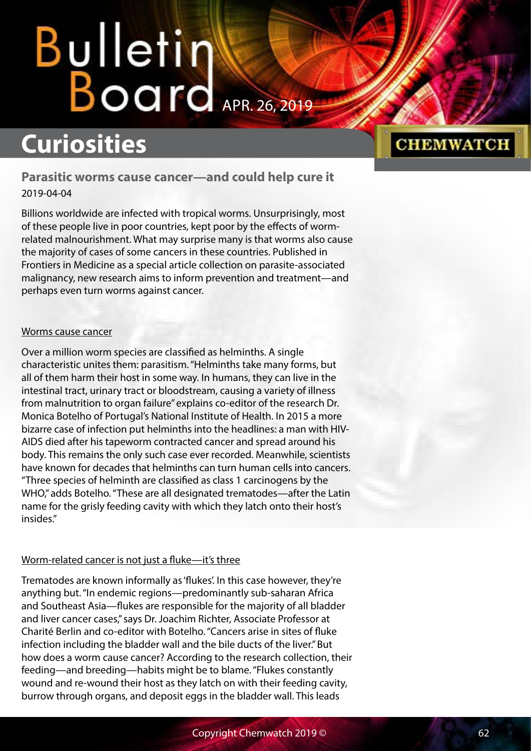## **Curiosities**

#### **Parasitic worms cause cancer—and could help cure it** 2019-04-04

Billions worldwide are infected with tropical worms. Unsurprisingly, most of these people live in poor countries, kept poor by the effects of wormrelated malnourishment. What may surprise many is that worms also cause the majority of cases of some cancers in these countries. Published in Frontiers in Medicine as a special article collection on parasite-associated malignancy, new research aims to inform prevention and treatment—and perhaps even turn worms against cancer.

#### Worms cause cancer

Over a million worm species are classified as helminths. A single characteristic unites them: parasitism. "Helminths take many forms, but all of them harm their host in some way. In humans, they can live in the intestinal tract, urinary tract or bloodstream, causing a variety of illness from malnutrition to organ failure" explains co-editor of the research Dr. Monica Botelho of Portugal's National Institute of Health. In 2015 a more bizarre case of infection put helminths into the headlines: a man with HIV-AIDS died after his tapeworm contracted cancer and spread around his body. This remains the only such case ever recorded. Meanwhile, scientists have known for decades that helminths can turn human cells into cancers. "Three species of helminth are classified as class 1 carcinogens by the WHO," adds Botelho. "These are all designated trematodes—after the Latin name for the grisly feeding cavity with which they latch onto their host's insides."

#### Worm-related cancer is not just a fluke—it's three

Trematodes are known informally as 'flukes'. In this case however, they're anything but. "In endemic regions—predominantly sub-saharan Africa and Southeast Asia—flukes are responsible for the majority of all bladder and liver cancer cases," says Dr. Joachim Richter, Associate Professor at Charité Berlin and co-editor with Botelho. "Cancers arise in sites of fluke infection including the bladder wall and the bile ducts of the liver." But how does a worm cause cancer? According to the research collection, their feeding—and breeding—habits might be to blame. "Flukes constantly wound and re-wound their host as they latch on with their feeding cavity, burrow through organs, and deposit eggs in the bladder wall. This leads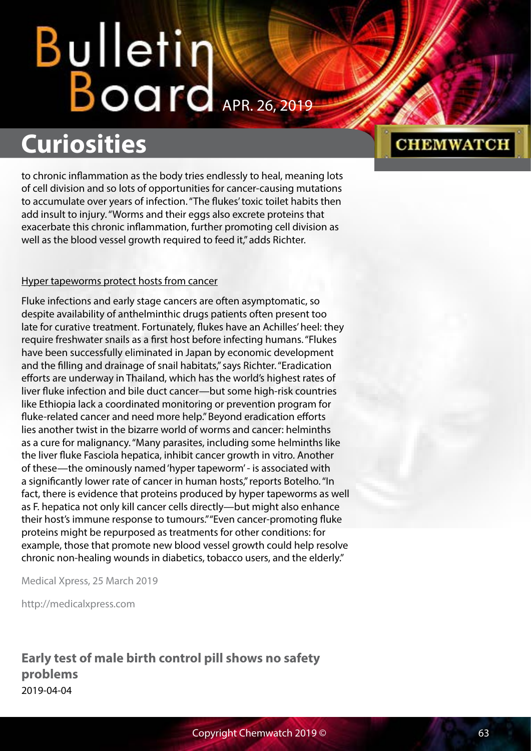# **Bulletintendents**

## **Curiosities**

to chronic inflammation as the body tries endlessly to heal, meaning lots of cell division and so lots of opportunities for cancer-causing mutations to accumulate over years of infection. "The flukes' toxic toilet habits then add insult to injury. "Worms and their eggs also excrete proteins that exacerbate this chronic inflammation, further promoting cell division as well as the blood vessel growth required to feed it," adds Richter.

#### Hyper tapeworms protect hosts from cancer

Fluke infections and early stage cancers are often asymptomatic, so despite availability of anthelminthic drugs patients often present too late for curative treatment. Fortunately, flukes have an Achilles' heel: they require freshwater snails as a first host before infecting humans. "Flukes have been successfully eliminated in Japan by economic development and the filling and drainage of snail habitats," says Richter. "Eradication efforts are underway in Thailand, which has the world's highest rates of liver fluke infection and bile duct cancer—but some high-risk countries like Ethiopia lack a coordinated monitoring or prevention program for fluke-related cancer and need more help." Beyond eradication efforts lies another twist in the bizarre world of worms and cancer: helminths as a cure for malignancy. "Many parasites, including some helminths like the liver fluke Fasciola hepatica, inhibit cancer growth in vitro. Another of these—the ominously named 'hyper tapeworm' - is associated with a significantly lower rate of cancer in human hosts," reports Botelho. "In fact, there is evidence that proteins produced by hyper tapeworms as well as F. hepatica not only kill cancer cells directly—but might also enhance their host's immune response to tumours." "Even cancer-promoting fluke proteins might be repurposed as treatments for other conditions: for example, those that promote new blood vessel growth could help resolve chronic non-healing wounds in diabetics, tobacco users, and the elderly."

Medical Xpress, 25 March 2019

http://medicalxpress.com

### **Early test of male birth control pill shows no safety problems** 2019-04-04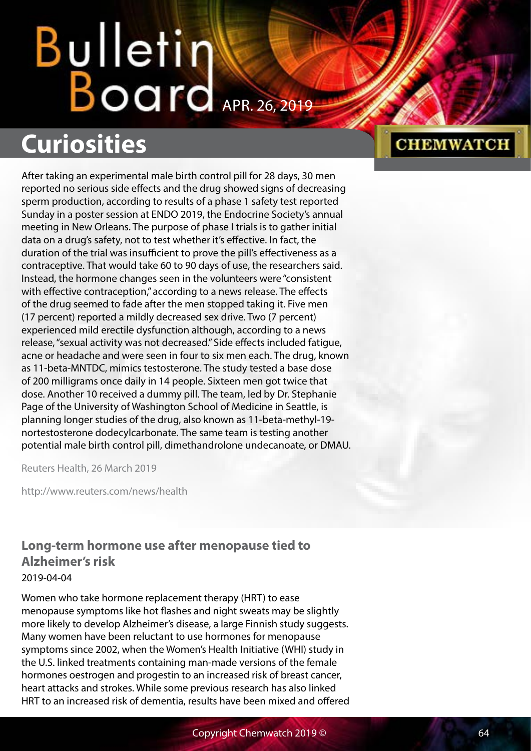# **Curiosities**

After taking an experimental male birth control pill for 28 days, 30 men reported no serious side effects and the drug showed signs of decreasing sperm production, according to results of a phase 1 safety test reported Sunday in a poster session at ENDO 2019, the Endocrine Society's annual meeting in New Orleans. The purpose of phase I trials is to gather initial data on a drug's safety, not to test whether it's effective. In fact, the duration of the trial was insufficient to prove the pill's effectiveness as a contraceptive. That would take 60 to 90 days of use, the researchers said. Instead, the hormone changes seen in the volunteers were "consistent with effective contraception," according to a news release. The effects of the drug seemed to fade after the men stopped taking it. Five men (17 percent) reported a mildly decreased sex drive. Two (7 percent) experienced mild erectile dysfunction although, according to a news release, "sexual activity was not decreased." Side effects included fatigue, acne or headache and were seen in four to six men each. The drug, known as 11-beta-MNTDC, mimics testosterone. The study tested a base dose of 200 milligrams once daily in 14 people. Sixteen men got twice that dose. Another 10 received a dummy pill. The team, led by Dr. Stephanie Page of the University of Washington School of Medicine in Seattle, is planning longer studies of the drug, also known as 11-beta-methyl-19 nortestosterone dodecylcarbonate. The same team is testing another potential male birth control pill, dimethandrolone undecanoate, or DMAU.

Reuters Health, 26 March 2019

http://www.reuters.com/news/health

#### **Long-term hormone use after menopause tied to Alzheimer's risk** 2019-04-04

Women who take hormone replacement therapy (HRT) to ease menopause symptoms like hot flashes and night sweats may be slightly more likely to develop Alzheimer's disease, a large Finnish study suggests. Many women have been reluctant to use hormones for menopause symptoms since 2002, when the Women's Health Initiative (WHI) study in the U.S. linked treatments containing man-made versions of the female hormones oestrogen and progestin to an increased risk of breast cancer, heart attacks and strokes. While some previous research has also linked HRT to an increased risk of dementia, results have been mixed and offered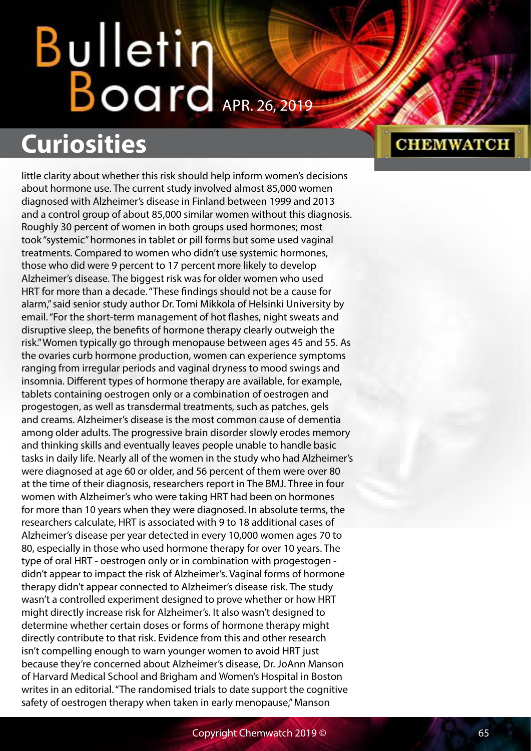# **Curiosities**

little clarity about whether this risk should help inform women's decisions about hormone use. The current study involved almost 85,000 women diagnosed with Alzheimer's disease in Finland between 1999 and 2013 and a control group of about 85,000 similar women without this diagnosis. Roughly 30 percent of women in both groups used hormones; most took "systemic" hormones in tablet or pill forms but some used vaginal treatments. Compared to women who didn't use systemic hormones, those who did were 9 percent to 17 percent more likely to develop Alzheimer's disease. The biggest risk was for older women who used HRT for more than a decade. "These findings should not be a cause for alarm," said senior study author Dr. Tomi Mikkola of Helsinki University by email. "For the short-term management of hot flashes, night sweats and disruptive sleep, the benefits of hormone therapy clearly outweigh the risk." Women typically go through menopause between ages 45 and 55. As the ovaries curb hormone production, women can experience symptoms ranging from irregular periods and vaginal dryness to mood swings and insomnia. Different types of hormone therapy are available, for example, tablets containing oestrogen only or a combination of oestrogen and progestogen, as well as transdermal treatments, such as patches, gels and creams. Alzheimer's disease is the most common cause of dementia among older adults. The progressive brain disorder slowly erodes memory and thinking skills and eventually leaves people unable to handle basic tasks in daily life. Nearly all of the women in the study who had Alzheimer's were diagnosed at age 60 or older, and 56 percent of them were over 80 at the time of their diagnosis, researchers report in The BMJ. Three in four women with Alzheimer's who were taking HRT had been on hormones for more than 10 years when they were diagnosed. In absolute terms, the researchers calculate, HRT is associated with 9 to 18 additional cases of Alzheimer's disease per year detected in every 10,000 women ages 70 to 80, especially in those who used hormone therapy for over 10 years. The type of oral HRT - oestrogen only or in combination with progestogen didn't appear to impact the risk of Alzheimer's. Vaginal forms of hormone therapy didn't appear connected to Alzheimer's disease risk. The study wasn't a controlled experiment designed to prove whether or how HRT might directly increase risk for Alzheimer's. It also wasn't designed to determine whether certain doses or forms of hormone therapy might directly contribute to that risk. Evidence from this and other research isn't compelling enough to warn younger women to avoid HRT just because they're concerned about Alzheimer's disease, Dr. JoAnn Manson of Harvard Medical School and Brigham and Women's Hospital in Boston writes in an editorial. "The randomised trials to date support the cognitive safety of oestrogen therapy when taken in early menopause," Manson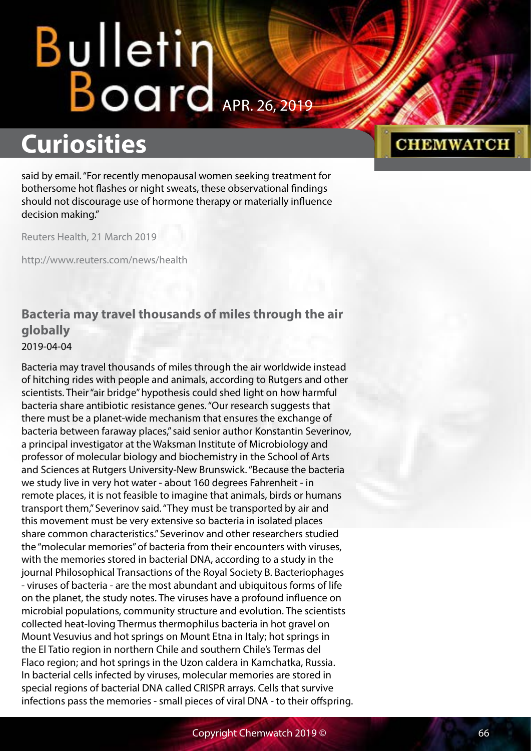## **Curiosities**

### **CHEMWATCH**

said by email. "For recently menopausal women seeking treatment for bothersome hot flashes or night sweats, these observational findings should not discourage use of hormone therapy or materially influence decision making."

Reuters Health, 21 March 2019

http://www.reuters.com/news/health

#### **Bacteria may travel thousands of miles through the air globally** 2019-04-04

Bacteria may travel thousands of miles through the air worldwide instead of hitching rides with people and animals, according to Rutgers and other scientists. Their "air bridge" hypothesis could shed light on how harmful bacteria share antibiotic resistance genes. "Our research suggests that there must be a planet-wide mechanism that ensures the exchange of bacteria between faraway places," said senior author Konstantin Severinov, a principal investigator at the Waksman Institute of Microbiology and professor of molecular biology and biochemistry in the School of Arts and Sciences at Rutgers University-New Brunswick. "Because the bacteria we study live in very hot water - about 160 degrees Fahrenheit - in remote places, it is not feasible to imagine that animals, birds or humans transport them," Severinov said. "They must be transported by air and this movement must be very extensive so bacteria in isolated places share common characteristics." Severinov and other researchers studied the "molecular memories" of bacteria from their encounters with viruses, with the memories stored in bacterial DNA, according to a study in the journal Philosophical Transactions of the Royal Society B. Bacteriophages - viruses of bacteria - are the most abundant and ubiquitous forms of life on the planet, the study notes. The viruses have a profound influence on microbial populations, community structure and evolution. The scientists collected heat-loving Thermus thermophilus bacteria in hot gravel on Mount Vesuvius and hot springs on Mount Etna in Italy; hot springs in the El Tatio region in northern Chile and southern Chile's Termas del Flaco region; and hot springs in the Uzon caldera in Kamchatka, Russia. In bacterial cells infected by viruses, molecular memories are stored in special regions of bacterial DNA called CRISPR arrays. Cells that survive infections pass the memories - small pieces of viral DNA - to their offspring.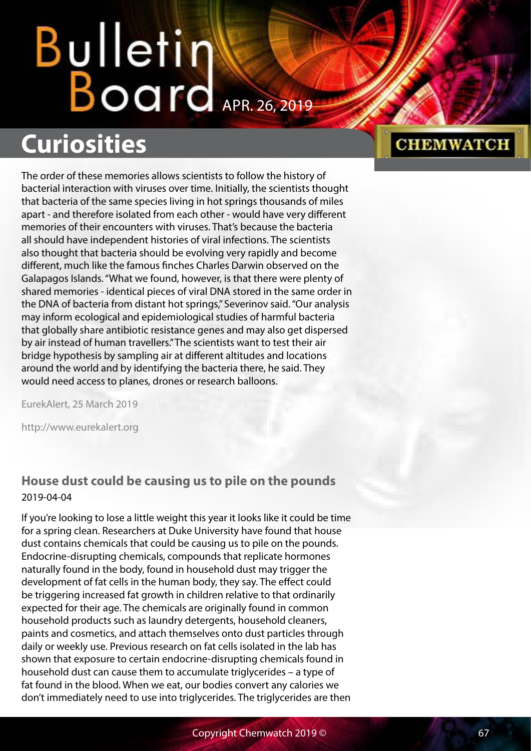# **Curiosities**

### **CHEMWATCH**

The order of these memories allows scientists to follow the history of bacterial interaction with viruses over time. Initially, the scientists thought that bacteria of the same species living in hot springs thousands of miles apart - and therefore isolated from each other - would have very different memories of their encounters with viruses. That's because the bacteria all should have independent histories of viral infections. The scientists also thought that bacteria should be evolving very rapidly and become different, much like the famous finches Charles Darwin observed on the Galapagos Islands. "What we found, however, is that there were plenty of shared memories - identical pieces of viral DNA stored in the same order in the DNA of bacteria from distant hot springs," Severinov said. "Our analysis may inform ecological and epidemiological studies of harmful bacteria that globally share antibiotic resistance genes and may also get dispersed by air instead of human travellers." The scientists want to test their air bridge hypothesis by sampling air at different altitudes and locations around the world and by identifying the bacteria there, he said. They would need access to planes, drones or research balloons.

EurekAlert, 25 March 2019

http://www.eurekalert.org

### **House dust could be causing us to pile on the pounds** 2019-04-04

If you're looking to lose a little weight this year it looks like it could be time for a spring clean. Researchers at Duke University have found that house dust contains chemicals that could be causing us to pile on the pounds. Endocrine-disrupting chemicals, compounds that replicate hormones naturally found in the body, found in household dust may trigger the development of fat cells in the human body, they say. The effect could be triggering increased fat growth in children relative to that ordinarily expected for their age. The chemicals are originally found in common household products such as laundry detergents, household cleaners, paints and cosmetics, and attach themselves onto dust particles through daily or weekly use. Previous research on fat cells isolated in the lab has shown that exposure to certain endocrine-disrupting chemicals found in household dust can cause them to accumulate triglycerides – a type of fat found in the blood. When we eat, our bodies convert any calories we don't immediately need to use into triglycerides. The triglycerides are then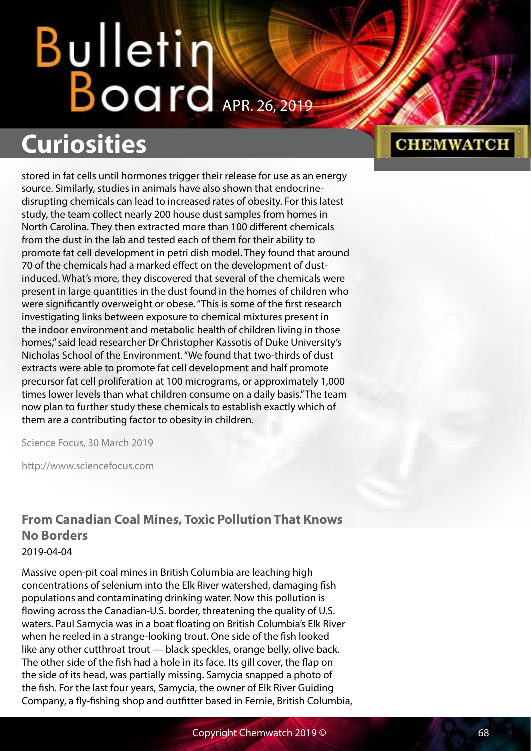# **Curiosities**

stored in fat cells until hormones trigger their release for use as an energy source. Similarly, studies in animals have also shown that endocrinedisrupting chemicals can lead to increased rates of obesity. For this latest study, the team collect nearly 200 house dust samples from homes in North Carolina. They then extracted more than 100 different chemicals from the dust in the lab and tested each of them for their ability to promote fat cell development in petri dish model. They found that around 70 of the chemicals had a marked effect on the development of dustinduced. What's more, they discovered that several of the chemicals were present in large quantities in the dust found in the homes of children who were significantly overweight or obese. "This is some of the first research investigating links between exposure to chemical mixtures present in the indoor environment and metabolic health of children living in those homes," said lead researcher Dr Christopher Kassotis of Duke University's Nicholas School of the Environment. "We found that two-thirds of dust extracts were able to promote fat cell development and half promote precursor fat cell proliferation at 100 micrograms, or approximately 1,000 times lower levels than what children consume on a daily basis." The team now plan to further study these chemicals to establish exactly which of them are a contributing factor to obesity in children.

Science Focus, 30 March 2019

http://www.sciencefocus.com

## **From Canadian Coal Mines, Toxic Pollution That Knows No Borders**

2019-04-04

Massive open-pit coal mines in British Columbia are leaching high concentrations of selenium into the Elk River watershed, damaging fish populations and contaminating drinking water. Now this pollution is flowing across the Canadian-U.S. border, threatening the quality of U.S. waters. Paul Samycia was in a boat floating on British Columbia's Elk River when he reeled in a strange-looking trout. One side of the fish looked like any other cutthroat trout — black speckles, orange belly, olive back. The other side of the fish had a hole in its face. Its gill cover, the flap on the side of its head, was partially missing. Samycia snapped a photo of the fish. For the last four years, Samycia, the owner of Elk River Guiding Company, a fly-fishing shop and outfitter based in Fernie, British Columbia,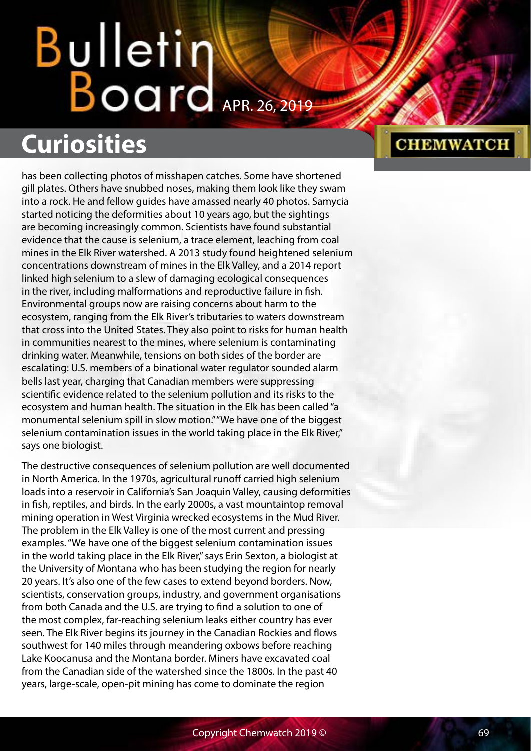# **Curiosities**

has been collecting photos of misshapen catches. Some have shortened gill plates. Others have snubbed noses, making them look like they swam into a rock. He and fellow guides have amassed nearly 40 photos. Samycia started noticing the deformities about 10 years ago, but the sightings are becoming increasingly common. Scientists have found substantial evidence that the cause is selenium, a trace element, leaching from coal mines in the Elk River watershed. A 2013 study found heightened selenium concentrations downstream of mines in the Elk Valley, and a 2014 report linked high selenium to a slew of damaging ecological consequences in the river, including malformations and reproductive failure in fish. Environmental groups now are raising concerns about harm to the ecosystem, ranging from the Elk River's tributaries to waters downstream that cross into the United States. They also point to risks for human health in communities nearest to the mines, where selenium is contaminating drinking water. Meanwhile, tensions on both sides of the border are escalating: U.S. members of a binational water regulator sounded alarm bells last year, charging that Canadian members were suppressing scientific evidence related to the selenium pollution and its risks to the ecosystem and human health. The situation in the Elk has been called "a monumental selenium spill in slow motion." "We have one of the biggest selenium contamination issues in the world taking place in the Elk River," says one biologist.

The destructive consequences of selenium pollution are well documented in North America. In the 1970s, agricultural runoff carried high selenium loads into a reservoir in California's San Joaquin Valley, causing deformities in fish, reptiles, and birds. In the early 2000s, a vast mountaintop removal mining operation in West Virginia wrecked ecosystems in the Mud River. The problem in the Elk Valley is one of the most current and pressing examples. "We have one of the biggest selenium contamination issues in the world taking place in the Elk River," says Erin Sexton, a biologist at the University of Montana who has been studying the region for nearly 20 years. It's also one of the few cases to extend beyond borders. Now, scientists, conservation groups, industry, and government organisations from both Canada and the U.S. are trying to find a solution to one of the most complex, far-reaching selenium leaks either country has ever seen. The Elk River begins its journey in the Canadian Rockies and flows southwest for 140 miles through meandering oxbows before reaching Lake Koocanusa and the Montana border. Miners have excavated coal from the Canadian side of the watershed since the 1800s. In the past 40 years, large-scale, open-pit mining has come to dominate the region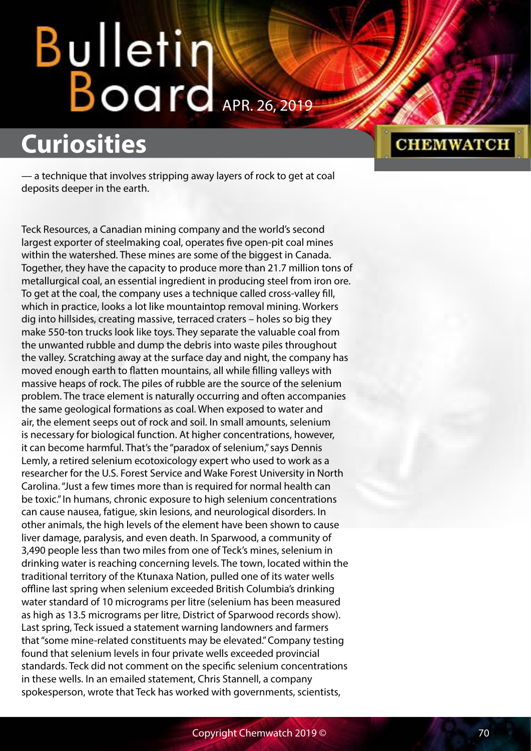## **Curiosities**

— a technique that involves stripping away layers of rock to get at coal deposits deeper in the earth.

Teck Resources, a Canadian mining company and the world's second largest exporter of steelmaking coal, operates five open-pit coal mines within the watershed. These mines are some of the biggest in Canada. Together, they have the capacity to produce more than 21.7 million tons of metallurgical coal, an essential ingredient in producing steel from iron ore. To get at the coal, the company uses a technique called cross-valley fill, which in practice, looks a lot like mountaintop removal mining. Workers dig into hillsides, creating massive, terraced craters – holes so big they make 550-ton trucks look like toys. They separate the valuable coal from the unwanted rubble and dump the debris into waste piles throughout the valley. Scratching away at the surface day and night, the company has moved enough earth to flatten mountains, all while filling valleys with massive heaps of rock. The piles of rubble are the source of the selenium problem. The trace element is naturally occurring and often accompanies the same geological formations as coal. When exposed to water and air, the element seeps out of rock and soil. In small amounts, selenium is necessary for biological function. At higher concentrations, however, it can become harmful. That's the "paradox of selenium," says Dennis Lemly, a retired selenium ecotoxicology expert who used to work as a researcher for the U.S. Forest Service and Wake Forest University in North Carolina. "Just a few times more than is required for normal health can be toxic." In humans, chronic exposure to high selenium concentrations can cause nausea, fatigue, skin lesions, and neurological disorders. In other animals, the high levels of the element have been shown to cause liver damage, paralysis, and even death. In Sparwood, a community of 3,490 people less than two miles from one of Teck's mines, selenium in drinking water is reaching concerning levels. The town, located within the traditional territory of the Ktunaxa Nation, pulled one of its water wells offline last spring when selenium exceeded British Columbia's drinking water standard of 10 micrograms per litre (selenium has been measured as high as 13.5 micrograms per litre, District of Sparwood records show). Last spring, Teck issued a statement warning landowners and farmers that "some mine-related constituents may be elevated." Company testing found that selenium levels in four private wells exceeded provincial standards. Teck did not comment on the specific selenium concentrations in these wells. In an emailed statement, Chris Stannell, a company spokesperson, wrote that Teck has worked with governments, scientists,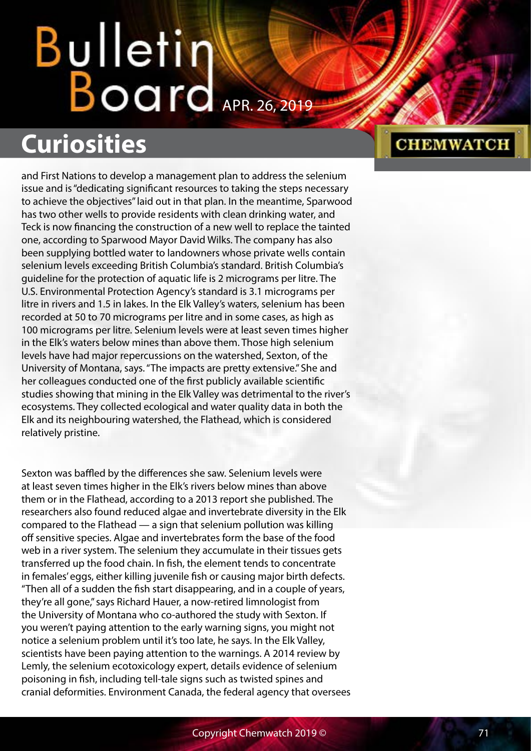# **Curiosities**

and First Nations to develop a management plan to address the selenium issue and is "dedicating significant resources to taking the steps necessary to achieve the objectives" laid out in that plan. In the meantime, Sparwood has two other wells to provide residents with clean drinking water, and Teck is now financing the construction of a new well to replace the tainted one, according to Sparwood Mayor David Wilks. The company has also been supplying bottled water to landowners whose private wells contain selenium levels exceeding British Columbia's standard. British Columbia's guideline for the protection of aquatic life is 2 micrograms per litre. The U.S. Environmental Protection Agency's standard is 3.1 micrograms per litre in rivers and 1.5 in lakes. In the Elk Valley's waters, selenium has been recorded at 50 to 70 micrograms per litre and in some cases, as high as 100 micrograms per litre. Selenium levels were at least seven times higher in the Elk's waters below mines than above them. Those high selenium levels have had major repercussions on the watershed, Sexton, of the University of Montana, says. "The impacts are pretty extensive." She and her colleagues conducted one of the first publicly available scientific studies showing that mining in the Elk Valley was detrimental to the river's ecosystems. They collected ecological and water quality data in both the Elk and its neighbouring watershed, the Flathead, which is considered relatively pristine.

Sexton was baffled by the differences she saw. Selenium levels were at least seven times higher in the Elk's rivers below mines than above them or in the Flathead, according to a 2013 report she published. The researchers also found reduced algae and invertebrate diversity in the Elk compared to the Flathead — a sign that selenium pollution was killing off sensitive species. Algae and invertebrates form the base of the food web in a river system. The selenium they accumulate in their tissues gets transferred up the food chain. In fish, the element tends to concentrate in females' eggs, either killing juvenile fish or causing major birth defects. "Then all of a sudden the fish start disappearing, and in a couple of years, they're all gone," says Richard Hauer, a now-retired limnologist from the University of Montana who co-authored the study with Sexton. If you weren't paying attention to the early warning signs, you might not notice a selenium problem until it's too late, he says. In the Elk Valley, scientists have been paying attention to the warnings. A 2014 review by Lemly, the selenium ecotoxicology expert, details evidence of selenium poisoning in fish, including tell-tale signs such as twisted spines and cranial deformities. Environment Canada, the federal agency that oversees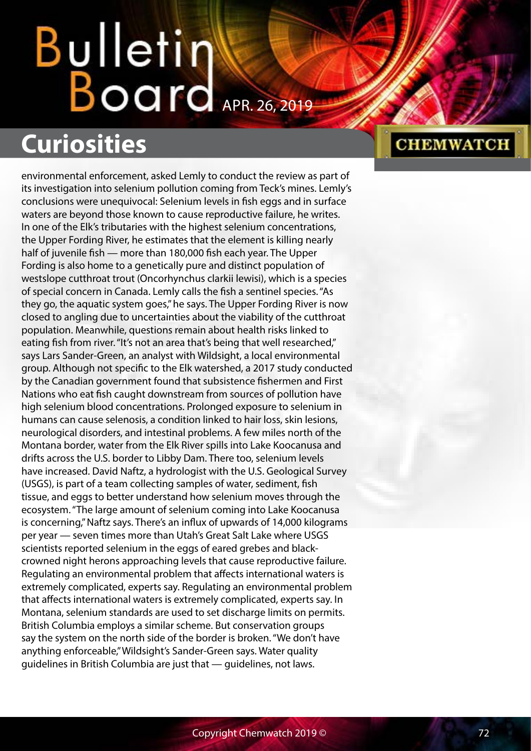# **Curiosities**

environmental enforcement, asked Lemly to conduct the review as part of its investigation into selenium pollution coming from Teck's mines. Lemly's conclusions were unequivocal: Selenium levels in fish eggs and in surface waters are beyond those known to cause reproductive failure, he writes. In one of the Elk's tributaries with the highest selenium concentrations, the Upper Fording River, he estimates that the element is killing nearly half of juvenile fish — more than 180,000 fish each year. The Upper Fording is also home to a genetically pure and distinct population of westslope cutthroat trout (Oncorhynchus clarkii lewisi), which is a species of special concern in Canada. Lemly calls the fish a sentinel species. "As they go, the aquatic system goes," he says. The Upper Fording River is now closed to angling due to uncertainties about the viability of the cutthroat population. Meanwhile, questions remain about health risks linked to eating fish from river. "It's not an area that's being that well researched," says Lars Sander-Green, an analyst with Wildsight, a local environmental group. Although not specific to the Elk watershed, a 2017 study conducted by the Canadian government found that subsistence fishermen and First Nations who eat fish caught downstream from sources of pollution have high selenium blood concentrations. Prolonged exposure to selenium in humans can cause selenosis, a condition linked to hair loss, skin lesions, neurological disorders, and intestinal problems. A few miles north of the Montana border, water from the Elk River spills into Lake Koocanusa and drifts across the U.S. border to Libby Dam. There too, selenium levels have increased. David Naftz, a hydrologist with the U.S. Geological Survey (USGS), is part of a team collecting samples of water, sediment, fish tissue, and eggs to better understand how selenium moves through the ecosystem. "The large amount of selenium coming into Lake Koocanusa is concerning," Naftz says. There's an influx of upwards of 14,000 kilograms per year — seven times more than Utah's Great Salt Lake where USGS scientists reported selenium in the eggs of eared grebes and blackcrowned night herons approaching levels that cause reproductive failure. Regulating an environmental problem that affects international waters is extremely complicated, experts say. Regulating an environmental problem that affects international waters is extremely complicated, experts say. In Montana, selenium standards are used to set discharge limits on permits. British Columbia employs a similar scheme. But conservation groups say the system on the north side of the border is broken. "We don't have anything enforceable," Wildsight's Sander-Green says. Water quality guidelines in British Columbia are just that — guidelines, not laws.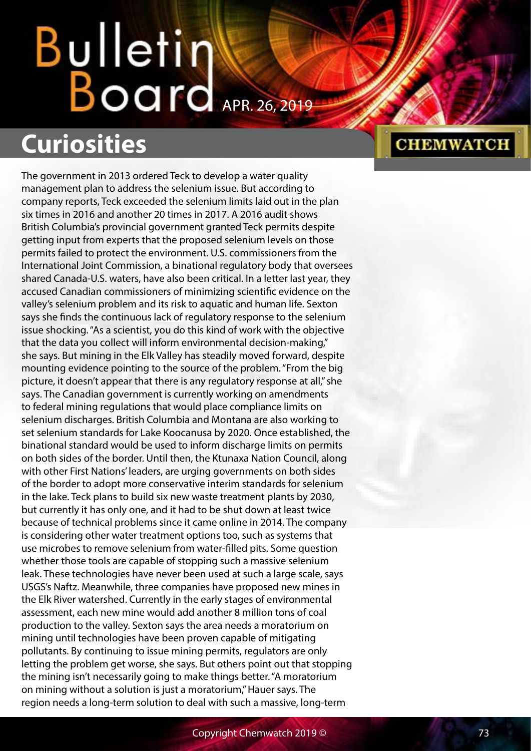## **Curiosities**

The government in 2013 ordered Teck to develop a water quality management plan to address the selenium issue. But according to company reports, Teck exceeded the selenium limits laid out in the plan six times in 2016 and another 20 times in 2017. A 2016 audit shows British Columbia's provincial government granted Teck permits despite getting input from experts that the proposed selenium levels on those permits failed to protect the environment. U.S. commissioners from the International Joint Commission, a binational regulatory body that oversees shared Canada-U.S. waters, have also been critical. In a letter last year, they accused Canadian commissioners of minimizing scientific evidence on the valley's selenium problem and its risk to aquatic and human life. Sexton says she finds the continuous lack of regulatory response to the selenium issue shocking. "As a scientist, you do this kind of work with the objective that the data you collect will inform environmental decision-making," she says. But mining in the Elk Valley has steadily moved forward, despite mounting evidence pointing to the source of the problem. "From the big picture, it doesn't appear that there is any regulatory response at all," she says. The Canadian government is currently working on amendments to federal mining regulations that would place compliance limits on selenium discharges. British Columbia and Montana are also working to set selenium standards for Lake Koocanusa by 2020. Once established, the binational standard would be used to inform discharge limits on permits on both sides of the border. Until then, the Ktunaxa Nation Council, along with other First Nations' leaders, are urging governments on both sides of the border to adopt more conservative interim standards for selenium in the lake. Teck plans to build six new waste treatment plants by 2030, but currently it has only one, and it had to be shut down at least twice because of technical problems since it came online in 2014. The company is considering other water treatment options too, such as systems that use microbes to remove selenium from water-filled pits. Some question whether those tools are capable of stopping such a massive selenium leak. These technologies have never been used at such a large scale, says USGS's Naftz. Meanwhile, three companies have proposed new mines in the Elk River watershed. Currently in the early stages of environmental assessment, each new mine would add another 8 million tons of coal production to the valley. Sexton says the area needs a moratorium on mining until technologies have been proven capable of mitigating pollutants. By continuing to issue mining permits, regulators are only letting the problem get worse, she says. But others point out that stopping the mining isn't necessarily going to make things better. "A moratorium on mining without a solution is just a moratorium," Hauer says. The region needs a long-term solution to deal with such a massive, long-term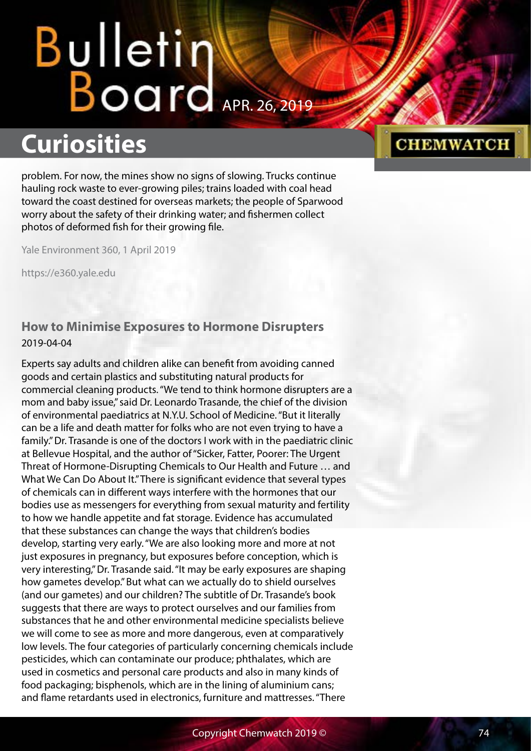### **Curiosities**

#### problem. For now, the mines show no signs of slowing. Trucks continue hauling rock waste to ever-growing piles; trains loaded with coal head toward the coast destined for overseas markets; the people of Sparwood worry about the safety of their drinking water; and fishermen collect photos of deformed fish for their growing file.

Yale Environment 360, 1 April 2019

https://e360.yale.edu

#### **How to Minimise Exposures to Hormone Disrupters** 2019-04-04

Experts say adults and children alike can benefit from avoiding canned goods and certain plastics and substituting natural products for commercial cleaning products. "We tend to think hormone disrupters are a mom and baby issue," said Dr. Leonardo Trasande, the chief of the division of environmental paediatrics at N.Y.U. School of Medicine. "But it literally can be a life and death matter for folks who are not even trying to have a family." Dr. Trasande is one of the doctors I work with in the paediatric clinic at Bellevue Hospital, and the author of "Sicker, Fatter, Poorer: The Urgent Threat of Hormone-Disrupting Chemicals to Our Health and Future … and What We Can Do About It." There is significant evidence that several types of chemicals can in different ways interfere with the hormones that our bodies use as messengers for everything from sexual maturity and fertility to how we handle appetite and fat storage. Evidence has accumulated that these substances can change the ways that children's bodies develop, starting very early. "We are also looking more and more at not just exposures in pregnancy, but exposures before conception, which is very interesting," Dr. Trasande said. "It may be early exposures are shaping how gametes develop." But what can we actually do to shield ourselves (and our gametes) and our children? The subtitle of Dr. Trasande's book suggests that there are ways to protect ourselves and our families from substances that he and other environmental medicine specialists believe we will come to see as more and more dangerous, even at comparatively low levels. The four categories of particularly concerning chemicals include pesticides, which can contaminate our produce; phthalates, which are used in cosmetics and personal care products and also in many kinds of food packaging; bisphenols, which are in the lining of aluminium cans; and flame retardants used in electronics, furniture and mattresses. "There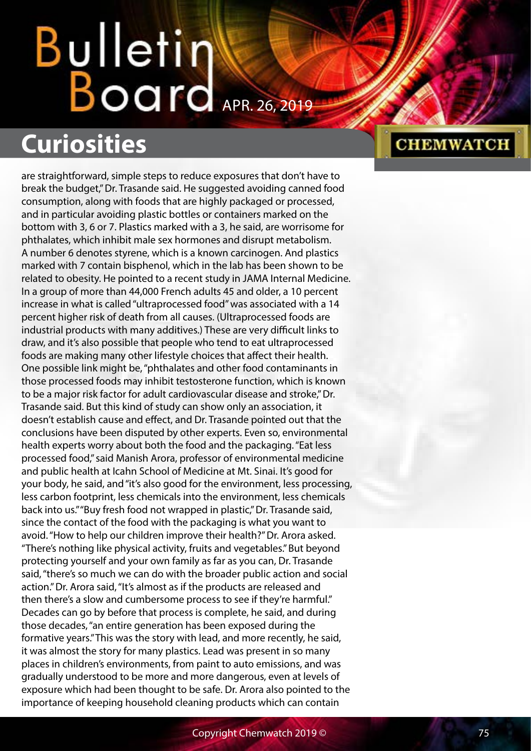## **Curiosities**

are straightforward, simple steps to reduce exposures that don't have to break the budget," Dr. Trasande said. He suggested avoiding canned food consumption, along with foods that are highly packaged or processed, and in particular avoiding plastic bottles or containers marked on the bottom with 3, 6 or 7. Plastics marked with a 3, he said, are worrisome for phthalates, which inhibit male sex hormones and disrupt metabolism. A number 6 denotes styrene, which is a known carcinogen. And plastics marked with 7 contain bisphenol, which in the lab has been shown to be related to obesity. He pointed to a recent study in JAMA Internal Medicine. In a group of more than 44,000 French adults 45 and older, a 10 percent increase in what is called "ultraprocessed food" was associated with a 14 percent higher risk of death from all causes. (Ultraprocessed foods are industrial products with many additives.) These are very difficult links to draw, and it's also possible that people who tend to eat ultraprocessed foods are making many other lifestyle choices that affect their health. One possible link might be, "phthalates and other food contaminants in those processed foods may inhibit testosterone function, which is known to be a major risk factor for adult cardiovascular disease and stroke," Dr. Trasande said. But this kind of study can show only an association, it doesn't establish cause and effect, and Dr. Trasande pointed out that the conclusions have been disputed by other experts. Even so, environmental health experts worry about both the food and the packaging. "Eat less processed food," said Manish Arora, professor of environmental medicine and public health at Icahn School of Medicine at Mt. Sinai. It's good for your body, he said, and "it's also good for the environment, less processing, less carbon footprint, less chemicals into the environment, less chemicals back into us." "Buy fresh food not wrapped in plastic," Dr. Trasande said, since the contact of the food with the packaging is what you want to avoid. "How to help our children improve their health?" Dr. Arora asked. "There's nothing like physical activity, fruits and vegetables." But beyond protecting yourself and your own family as far as you can, Dr. Trasande said, "there's so much we can do with the broader public action and social action." Dr. Arora said, "It's almost as if the products are released and then there's a slow and cumbersome process to see if they're harmful." Decades can go by before that process is complete, he said, and during those decades, "an entire generation has been exposed during the formative years." This was the story with lead, and more recently, he said, it was almost the story for many plastics. Lead was present in so many places in children's environments, from paint to auto emissions, and was gradually understood to be more and more dangerous, even at levels of exposure which had been thought to be safe. Dr. Arora also pointed to the importance of keeping household cleaning products which can contain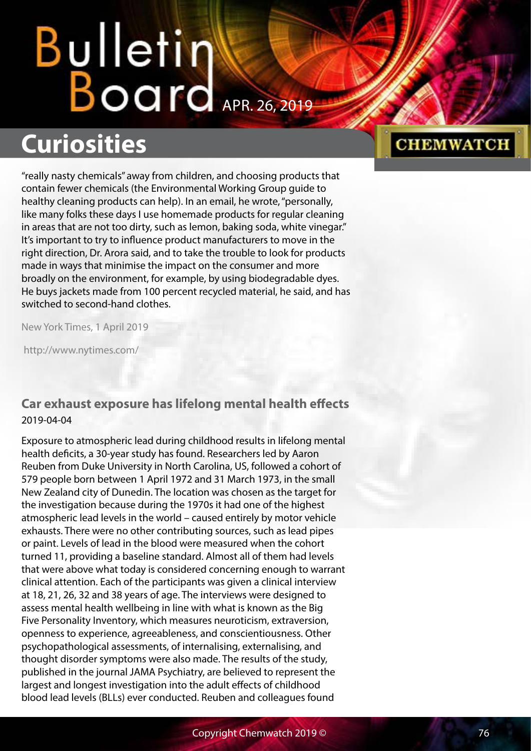### **Curiosities**

"really nasty chemicals" away from children, and choosing products that contain fewer chemicals (the Environmental Working Group guide to healthy cleaning products can help). In an email, he wrote, "personally, like many folks these days I use homemade products for regular cleaning in areas that are not too dirty, such as lemon, baking soda, white vinegar." It's important to try to influence product manufacturers to move in the right direction, Dr. Arora said, and to take the trouble to look for products made in ways that minimise the impact on the consumer and more broadly on the environment, for example, by using biodegradable dyes. He buys jackets made from 100 percent recycled material, he said, and has switched to second-hand clothes.

New York Times, 1 April 2019

http://www.nytimes.com/

#### **Car exhaust exposure has lifelong mental health effects** 2019-04-04

Exposure to atmospheric lead during childhood results in lifelong mental health deficits, a 30-year study has found. Researchers led by Aaron Reuben from Duke University in North Carolina, US, followed a cohort of 579 people born between 1 April 1972 and 31 March 1973, in the small New Zealand city of Dunedin. The location was chosen as the target for the investigation because during the 1970s it had one of the highest atmospheric lead levels in the world – caused entirely by motor vehicle exhausts. There were no other contributing sources, such as lead pipes or paint. Levels of lead in the blood were measured when the cohort turned 11, providing a baseline standard. Almost all of them had levels that were above what today is considered concerning enough to warrant clinical attention. Each of the participants was given a clinical interview at 18, 21, 26, 32 and 38 years of age. The interviews were designed to assess mental health wellbeing in line with what is known as the Big Five Personality Inventory, which measures neuroticism, extraversion, openness to experience, agreeableness, and conscientiousness. Other psychopathological assessments, of internalising, externalising, and thought disorder symptoms were also made. The results of the study, published in the journal JAMA Psychiatry, are believed to represent the largest and longest investigation into the adult effects of childhood blood lead levels (BLLs) ever conducted. Reuben and colleagues found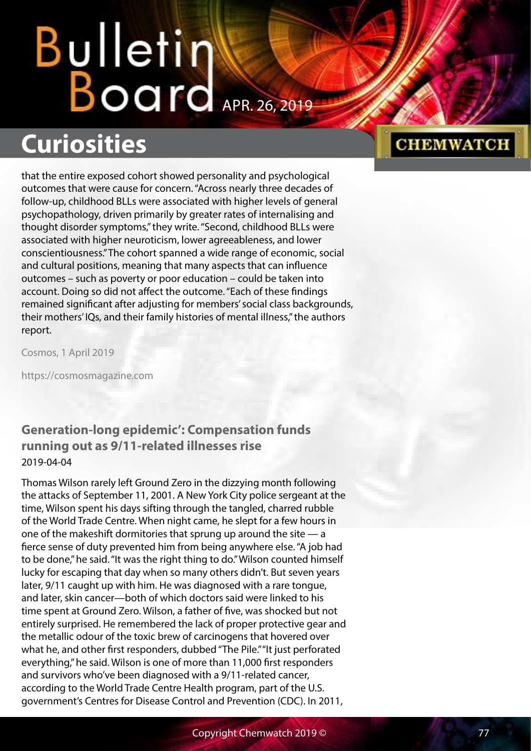### **Curiosities**

that the entire exposed cohort showed personality and psychological outcomes that were cause for concern. "Across nearly three decades of follow-up, childhood BLLs were associated with higher levels of general psychopathology, driven primarily by greater rates of internalising and thought disorder symptoms," they write. "Second, childhood BLLs were associated with higher neuroticism, lower agreeableness, and lower conscientiousness." The cohort spanned a wide range of economic, social and cultural positions, meaning that many aspects that can influence outcomes – such as poverty or poor education – could be taken into account. Doing so did not affect the outcome. "Each of these findings remained significant after adjusting for members' social class backgrounds, their mothers' IQs, and their family histories of mental illness," the authors report.

Cosmos, 1 April 2019

https://cosmosmagazine.com

#### **Generation-long epidemic': Compensation funds running out as 9/11-related illnesses rise** 2019-04-04

Thomas Wilson rarely left Ground Zero in the dizzying month following the attacks of September 11, 2001. A New York City police sergeant at the time, Wilson spent his days sifting through the tangled, charred rubble of the World Trade Centre. When night came, he slept for a few hours in one of the makeshift dormitories that sprung up around the site — a fierce sense of duty prevented him from being anywhere else. "A job had to be done," he said. "It was the right thing to do." Wilson counted himself lucky for escaping that day when so many others didn't. But seven years later, 9/11 caught up with him. He was diagnosed with a rare tongue, and later, skin cancer—both of which doctors said were linked to his time spent at Ground Zero. Wilson, a father of five, was shocked but not entirely surprised. He remembered the lack of proper protective gear and the metallic odour of the toxic brew of carcinogens that hovered over what he, and other first responders, dubbed "The Pile." "It just perforated everything," he said. Wilson is one of more than 11,000 first responders and survivors who've been diagnosed with a 9/11-related cancer, according to the World Trade Centre Health program, part of the U.S. government's Centres for Disease Control and Prevention (CDC). In 2011,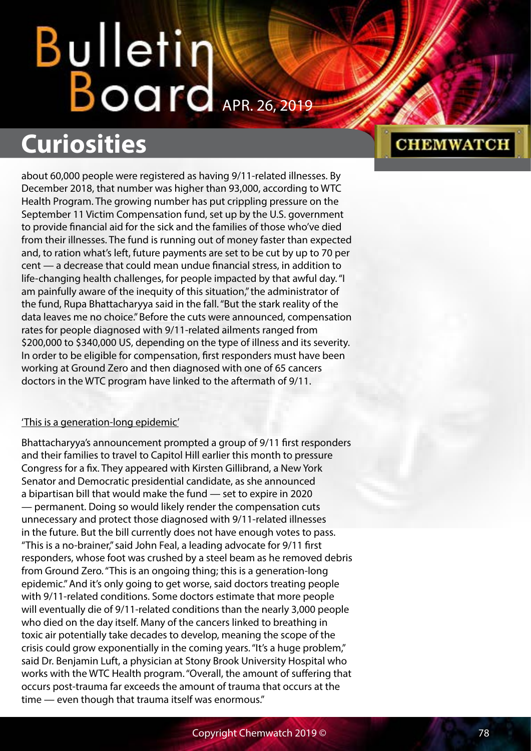## **Curiosities**

about 60,000 people were registered as having 9/11-related illnesses. By December 2018, that number was higher than 93,000, according to WTC Health Program. The growing number has put crippling pressure on the September 11 Victim Compensation fund, set up by the U.S. government to provide financial aid for the sick and the families of those who've died from their illnesses. The fund is running out of money faster than expected and, to ration what's left, future payments are set to be cut by up to 70 per cent — a decrease that could mean undue financial stress, in addition to life-changing health challenges, for people impacted by that awful day. "I am painfully aware of the inequity of this situation," the administrator of the fund, Rupa Bhattacharyya said in the fall. "But the stark reality of the data leaves me no choice." Before the cuts were announced, compensation rates for people diagnosed with 9/11-related ailments ranged from \$200,000 to \$340,000 US, depending on the type of illness and its severity. In order to be eligible for compensation, first responders must have been working at Ground Zero and then diagnosed with one of 65 cancers doctors in the WTC program have linked to the aftermath of 9/11.

#### 'This is a generation-long epidemic'

Bhattacharyya's announcement prompted a group of 9/11 first responders and their families to travel to Capitol Hill earlier this month to pressure Congress for a fix. They appeared with Kirsten Gillibrand, a New York Senator and Democratic presidential candidate, as she announced a bipartisan bill that would make the fund — set to expire in 2020 — permanent. Doing so would likely render the compensation cuts unnecessary and protect those diagnosed with 9/11-related illnesses in the future. But the bill currently does not have enough votes to pass. "This is a no-brainer," said John Feal, a leading advocate for 9/11 first responders, whose foot was crushed by a steel beam as he removed debris from Ground Zero. "This is an ongoing thing; this is a generation-long epidemic." And it's only going to get worse, said doctors treating people with 9/11-related conditions. Some doctors estimate that more people will eventually die of 9/11-related conditions than the nearly 3,000 people who died on the day itself. Many of the cancers linked to breathing in toxic air potentially take decades to develop, meaning the scope of the crisis could grow exponentially in the coming years. "It's a huge problem," said Dr. Benjamin Luft, a physician at Stony Brook University Hospital who works with the WTC Health program. "Overall, the amount of suffering that occurs post-trauma far exceeds the amount of trauma that occurs at the time — even though that trauma itself was enormous."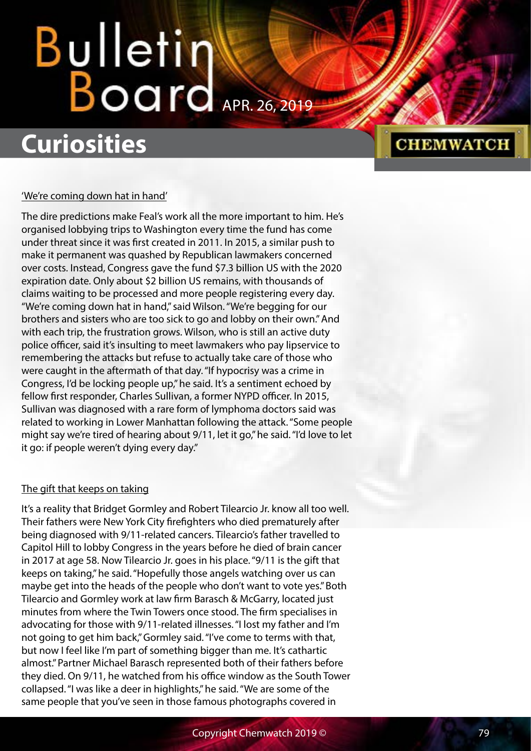### **Curiosities**

#### **CHEMWATCH**

#### 'We're coming down hat in hand'

The dire predictions make Feal's work all the more important to him. He's organised lobbying trips to Washington every time the fund has come under threat since it was first created in 2011. In 2015, a similar push to make it permanent was quashed by Republican lawmakers concerned over costs. Instead, Congress gave the fund \$7.3 billion US with the 2020 expiration date. Only about \$2 billion US remains, with thousands of claims waiting to be processed and more people registering every day. "We're coming down hat in hand," said Wilson. "We're begging for our brothers and sisters who are too sick to go and lobby on their own." And with each trip, the frustration grows. Wilson, who is still an active duty police officer, said it's insulting to meet lawmakers who pay lipservice to remembering the attacks but refuse to actually take care of those who were caught in the aftermath of that day. "If hypocrisy was a crime in Congress, I'd be locking people up," he said. It's a sentiment echoed by fellow first responder, Charles Sullivan, a former NYPD officer. In 2015, Sullivan was diagnosed with a rare form of lymphoma doctors said was related to working in Lower Manhattan following the attack. "Some people might say we're tired of hearing about 9/11, let it go," he said. "I'd love to let it go: if people weren't dying every day."

#### The gift that keeps on taking

It's a reality that Bridget Gormley and Robert Tilearcio Jr. know all too well. Their fathers were New York City firefighters who died prematurely after being diagnosed with 9/11-related cancers. Tilearcio's father travelled to Capitol Hill to lobby Congress in the years before he died of brain cancer in 2017 at age 58. Now Tilearcio Jr. goes in his place. "9/11 is the gift that keeps on taking," he said. "Hopefully those angels watching over us can maybe get into the heads of the people who don't want to vote yes." Both Tilearcio and Gormley work at law firm Barasch & McGarry, located just minutes from where the Twin Towers once stood. The firm specialises in advocating for those with 9/11-related illnesses. "I lost my father and I'm not going to get him back," Gormley said. "I've come to terms with that, but now I feel like I'm part of something bigger than me. It's cathartic almost." Partner Michael Barasch represented both of their fathers before they died. On 9/11, he watched from his office window as the South Tower collapsed. "I was like a deer in highlights," he said. "We are some of the same people that you've seen in those famous photographs covered in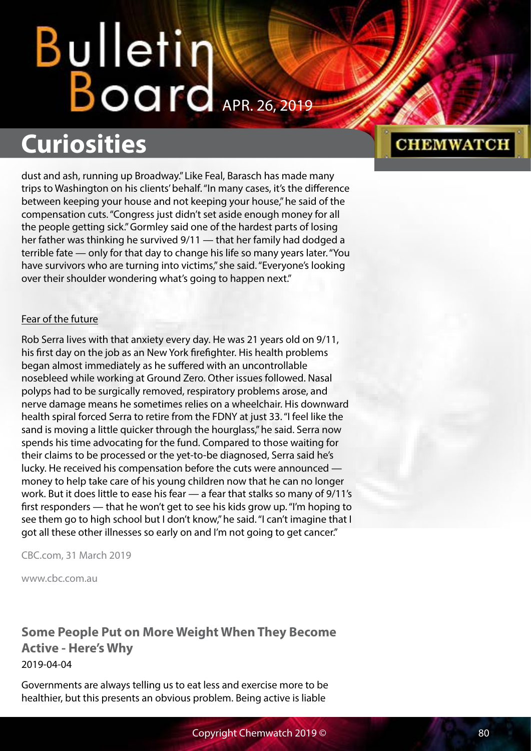### **Curiosities**

dust and ash, running up Broadway." Like Feal, Barasch has made many trips to Washington on his clients' behalf. "In many cases, it's the difference between keeping your house and not keeping your house," he said of the compensation cuts. "Congress just didn't set aside enough money for all the people getting sick." Gormley said one of the hardest parts of losing her father was thinking he survived 9/11 — that her family had dodged a terrible fate — only for that day to change his life so many years later. "You have survivors who are turning into victims," she said. "Everyone's looking over their shoulder wondering what's going to happen next."

#### Fear of the future

Rob Serra lives with that anxiety every day. He was 21 years old on 9/11, his first day on the job as an New York firefighter. His health problems began almost immediately as he suffered with an uncontrollable nosebleed while working at Ground Zero. Other issues followed. Nasal polyps had to be surgically removed, respiratory problems arose, and nerve damage means he sometimes relies on a wheelchair. His downward health spiral forced Serra to retire from the FDNY at just 33. "I feel like the sand is moving a little quicker through the hourglass," he said. Serra now spends his time advocating for the fund. Compared to those waiting for their claims to be processed or the yet-to-be diagnosed, Serra said he's lucky. He received his compensation before the cuts were announced money to help take care of his young children now that he can no longer work. But it does little to ease his fear — a fear that stalks so many of 9/11's first responders — that he won't get to see his kids grow up. "I'm hoping to see them go to high school but I don't know," he said. "I can't imagine that I got all these other illnesses so early on and I'm not going to get cancer."

CBC.com, 31 March 2019

www.cbc.com.au

#### **Some People Put on More Weight When They Become Active - Here's Why** 2019-04-04

Governments are always telling us to eat less and exercise more to be healthier, but this presents an obvious problem. Being active is liable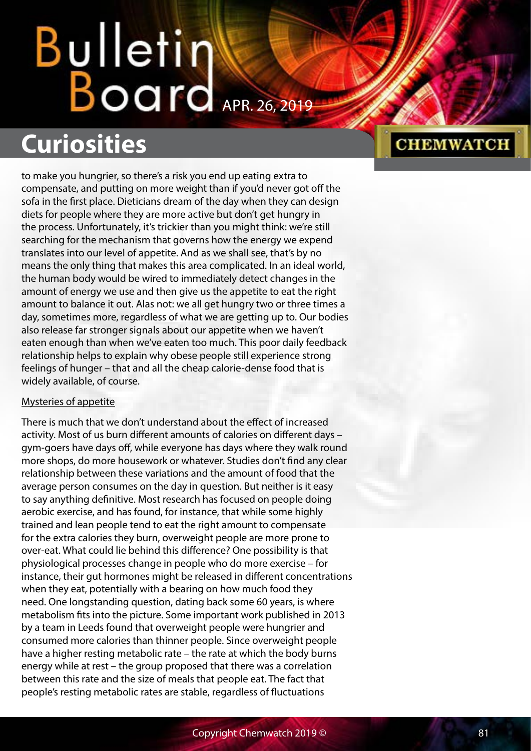## **Curiosities**

to make you hungrier, so there's a risk you end up eating extra to compensate, and putting on more weight than if you'd never got off the sofa in the first place. Dieticians dream of the day when they can design diets for people where they are more active but don't get hungry in the process. Unfortunately, it's trickier than you might think: we're still searching for the mechanism that governs how the energy we expend translates into our level of appetite. And as we shall see, that's by no means the only thing that makes this area complicated. In an ideal world, the human body would be wired to immediately detect changes in the amount of energy we use and then give us the appetite to eat the right amount to balance it out. Alas not: we all get hungry two or three times a day, sometimes more, regardless of what we are getting up to. Our bodies also release far stronger signals about our appetite when we haven't eaten enough than when we've eaten too much. This poor daily feedback relationship helps to explain why obese people still experience strong feelings of hunger – that and all the cheap calorie-dense food that is widely available, of course.

#### Mysteries of appetite

There is much that we don't understand about the effect of increased activity. Most of us burn different amounts of calories on different days – gym-goers have days off, while everyone has days where they walk round more shops, do more housework or whatever. Studies don't find any clear relationship between these variations and the amount of food that the average person consumes on the day in question. But neither is it easy to say anything definitive. Most research has focused on people doing aerobic exercise, and has found, for instance, that while some highly trained and lean people tend to eat the right amount to compensate for the extra calories they burn, overweight people are more prone to over-eat. What could lie behind this difference? One possibility is that physiological processes change in people who do more exercise – for instance, their gut hormones might be released in different concentrations when they eat, potentially with a bearing on how much food they need. One longstanding question, dating back some 60 years, is where metabolism fits into the picture. Some important work published in 2013 by a team in Leeds found that overweight people were hungrier and consumed more calories than thinner people. Since overweight people have a higher resting metabolic rate – the rate at which the body burns energy while at rest – the group proposed that there was a correlation between this rate and the size of meals that people eat. The fact that people's resting metabolic rates are stable, regardless of fluctuations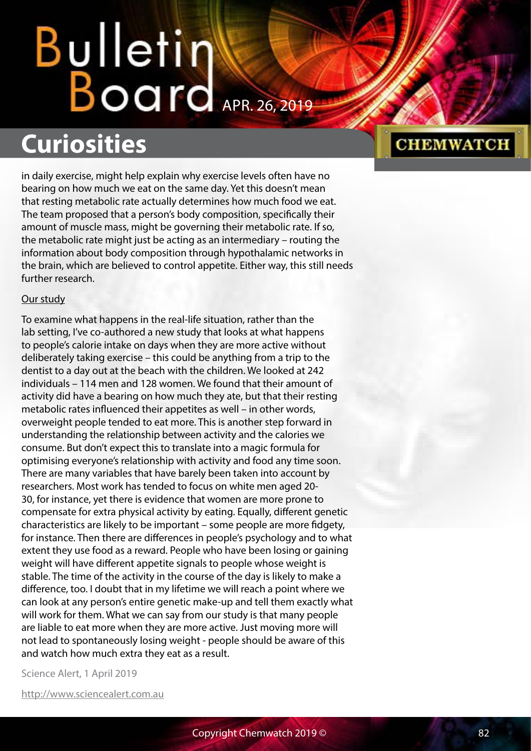### **Curiosities**

in daily exercise, might help explain why exercise levels often have no bearing on how much we eat on the same day. Yet this doesn't mean that resting metabolic rate actually determines how much food we eat. The team proposed that a person's body composition, specifically their amount of muscle mass, might be governing their metabolic rate. If so, the metabolic rate might just be acting as an intermediary – routing the information about body composition through hypothalamic networks in the brain, which are believed to control appetite. Either way, this still needs further research.

#### Our study

To examine what happens in the real-life situation, rather than the lab setting, I've co-authored a new study that looks at what happens to people's calorie intake on days when they are more active without deliberately taking exercise – this could be anything from a trip to the dentist to a day out at the beach with the children. We looked at 242 individuals – 114 men and 128 women. We found that their amount of activity did have a bearing on how much they ate, but that their resting metabolic rates influenced their appetites as well – in other words, overweight people tended to eat more. This is another step forward in understanding the relationship between activity and the calories we consume. But don't expect this to translate into a magic formula for optimising everyone's relationship with activity and food any time soon. There are many variables that have barely been taken into account by researchers. Most work has tended to focus on white men aged 20- 30, for instance, yet there is evidence that women are more prone to compensate for extra physical activity by eating. Equally, different genetic characteristics are likely to be important – some people are more fidgety, for instance. Then there are differences in people's psychology and to what extent they use food as a reward. People who have been losing or gaining weight will have different appetite signals to people whose weight is stable. The time of the activity in the course of the day is likely to make a difference, too. I doubt that in my lifetime we will reach a point where we can look at any person's entire genetic make-up and tell them exactly what will work for them. What we can say from our study is that many people are liable to eat more when they are more active. Just moving more will not lead to spontaneously losing weight - people should be aware of this and watch how much extra they eat as a result.

Science Alert, 1 April 2019

<http://www.sciencealert.com.au>

#### Copyright Chemwatch 2019 © 82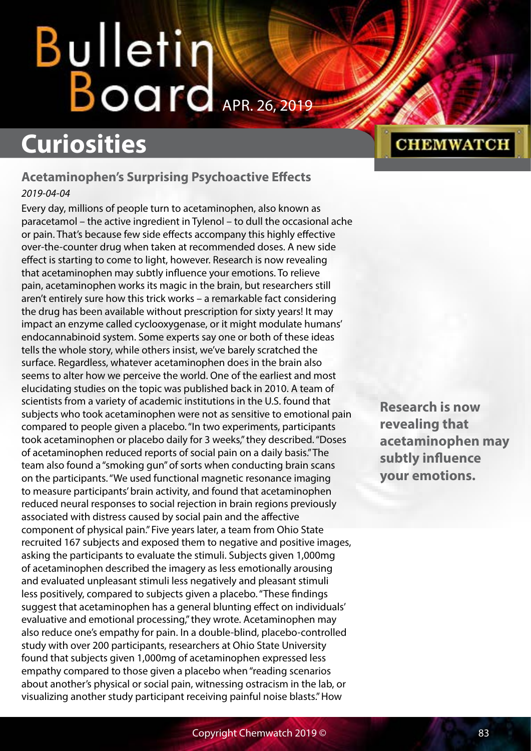### **Curiosities**

#### **Acetaminophen's Surprising Psychoactive Effects** *2019-04-04*

Every day, millions of people turn to acetaminophen, also known as paracetamol – the active ingredient in Tylenol – to dull the occasional ache or pain. That's because few side effects accompany this highly effective over-the-counter drug when taken at recommended doses. A new side effect is starting to come to light, however. Research is now revealing that acetaminophen may subtly influence your emotions. To relieve pain, acetaminophen works its magic in the brain, but researchers still aren't entirely sure how this trick works – a remarkable fact considering the drug has been available without prescription for sixty years! It may impact an enzyme called cyclooxygenase, or it might modulate humans' endocannabinoid system. Some experts say one or both of these ideas tells the whole story, while others insist, we've barely scratched the surface. Regardless, whatever acetaminophen does in the brain also seems to alter how we perceive the world. One of the earliest and most elucidating studies on the topic was published back in 2010. A team of scientists from a variety of academic institutions in the U.S. found that subjects who took acetaminophen were not as sensitive to emotional pain compared to people given a placebo. "In two experiments, participants took acetaminophen or placebo daily for 3 weeks," they described. "Doses of acetaminophen reduced reports of social pain on a daily basis." The team also found a "smoking gun" of sorts when conducting brain scans on the participants. "We used functional magnetic resonance imaging to measure participants' brain activity, and found that acetaminophen reduced neural responses to social rejection in brain regions previously associated with distress caused by social pain and the affective component of physical pain." Five years later, a team from Ohio State recruited 167 subjects and exposed them to negative and positive images, asking the participants to evaluate the stimuli. Subjects given 1,000mg of acetaminophen described the imagery as less emotionally arousing and evaluated unpleasant stimuli less negatively and pleasant stimuli less positively, compared to subjects given a placebo. "These findings suggest that acetaminophen has a general blunting effect on individuals' evaluative and emotional processing," they wrote. Acetaminophen may also reduce one's empathy for pain. In a double-blind, placebo-controlled study with over 200 participants, researchers at Ohio State University found that subjects given 1,000mg of acetaminophen expressed less empathy compared to those given a placebo when "reading scenarios about another's physical or social pain, witnessing ostracism in the lab, or visualizing another study participant receiving painful noise blasts." How

#### **CHEMWATCH**

**Research is now revealing that acetaminophen may subtly influence your emotions.**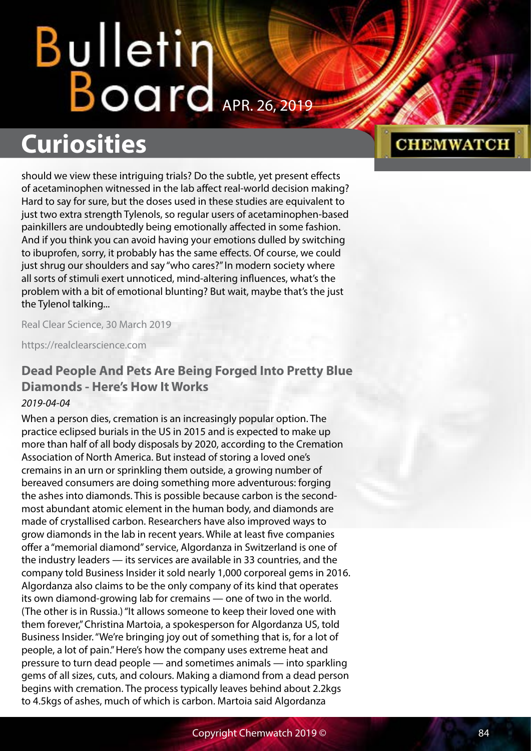### **Curiosities**

should we view these intriguing trials? Do the subtle, yet present effects of acetaminophen witnessed in the lab affect real-world decision making? Hard to say for sure, but the doses used in these studies are equivalent to just two extra strength Tylenols, so regular users of acetaminophen-based painkillers are undoubtedly being emotionally affected in some fashion. And if you think you can avoid having your emotions dulled by switching to ibuprofen, sorry, it probably has the same effects. Of course, we could just shrug our shoulders and say "who cares?" In modern society where all sorts of stimuli exert unnoticed, mind-altering influences, what's the problem with a bit of emotional blunting? But wait, maybe that's the just the Tylenol talking...

Real Clear Science, 30 March 2019

https://realclearscience.com

#### **Dead People And Pets Are Being Forged Into Pretty Blue Diamonds - Here's How It Works**

#### *2019-04-04*

When a person dies, cremation is an increasingly popular option. The practice eclipsed burials in the US in 2015 and is expected to make up more than half of all body disposals by 2020, according to the Cremation Association of North America. But instead of storing a loved one's cremains in an urn or sprinkling them outside, a growing number of bereaved consumers are doing something more adventurous: forging the ashes into diamonds. This is possible because carbon is the secondmost abundant atomic element in the human body, and diamonds are made of crystallised carbon. Researchers have also improved ways to grow diamonds in the lab in recent years. While at least five companies offer a "memorial diamond" service, Algordanza in Switzerland is one of the industry leaders — its services are available in 33 countries, and the company told Business Insider it sold nearly 1,000 corporeal gems in 2016. Algordanza also claims to be the only company of its kind that operates its own diamond-growing lab for cremains — one of two in the world. (The other is in Russia.) "It allows someone to keep their loved one with them forever," Christina Martoia, a spokesperson for Algordanza US, told Business Insider. "We're bringing joy out of something that is, for a lot of people, a lot of pain." Here's how the company uses extreme heat and pressure to turn dead people — and sometimes animals — into sparkling gems of all sizes, cuts, and colours. Making a diamond from a dead person begins with cremation. The process typically leaves behind about 2.2kgs to 4.5kgs of ashes, much of which is carbon. Martoia said Algordanza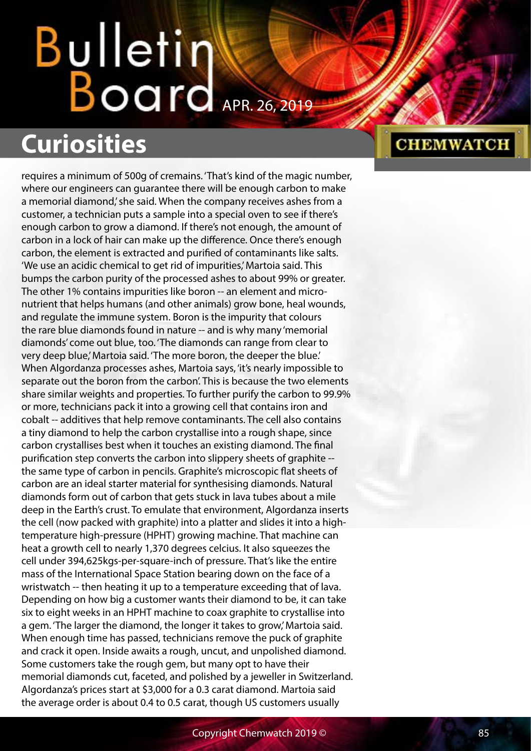## **Curiosities**

requires a minimum of 500g of cremains. 'That's kind of the magic number, where our engineers can guarantee there will be enough carbon to make a memorial diamond,' she said. When the company receives ashes from a customer, a technician puts a sample into a special oven to see if there's enough carbon to grow a diamond. If there's not enough, the amount of carbon in a lock of hair can make up the difference. Once there's enough carbon, the element is extracted and purified of contaminants like salts. 'We use an acidic chemical to get rid of impurities,' Martoia said. This bumps the carbon purity of the processed ashes to about 99% or greater. The other 1% contains impurities like boron -- an element and micronutrient that helps humans (and other animals) grow bone, heal wounds, and regulate the immune system. Boron is the impurity that colours the rare blue diamonds found in nature -- and is why many 'memorial diamonds' come out blue, too. 'The diamonds can range from clear to very deep blue,' Martoia said. 'The more boron, the deeper the blue.' When Algordanza processes ashes, Martoia says, 'it's nearly impossible to separate out the boron from the carbon'. This is because the two elements share similar weights and properties. To further purify the carbon to 99.9% or more, technicians pack it into a growing cell that contains iron and cobalt -- additives that help remove contaminants. The cell also contains a tiny diamond to help the carbon crystallise into a rough shape, since carbon crystallises best when it touches an existing diamond. The final purification step converts the carbon into slippery sheets of graphite - the same type of carbon in pencils. Graphite's microscopic flat sheets of carbon are an ideal starter material for synthesising diamonds. Natural diamonds form out of carbon that gets stuck in lava tubes about a mile deep in the Earth's crust. To emulate that environment, Algordanza inserts the cell (now packed with graphite) into a platter and slides it into a hightemperature high-pressure (HPHT) growing machine. That machine can heat a growth cell to nearly 1,370 degrees celcius. It also squeezes the cell under 394,625kgs-per-square-inch of pressure. That's like the entire mass of the International Space Station bearing down on the face of a wristwatch -- then heating it up to a temperature exceeding that of lava. Depending on how big a customer wants their diamond to be, it can take six to eight weeks in an HPHT machine to coax graphite to crystallise into a gem. 'The larger the diamond, the longer it takes to grow,' Martoia said. When enough time has passed, technicians remove the puck of graphite and crack it open. Inside awaits a rough, uncut, and unpolished diamond. Some customers take the rough gem, but many opt to have their memorial diamonds cut, faceted, and polished by a jeweller in Switzerland. Algordanza's prices start at \$3,000 for a 0.3 carat diamond. Martoia said the average order is about 0.4 to 0.5 carat, though US customers usually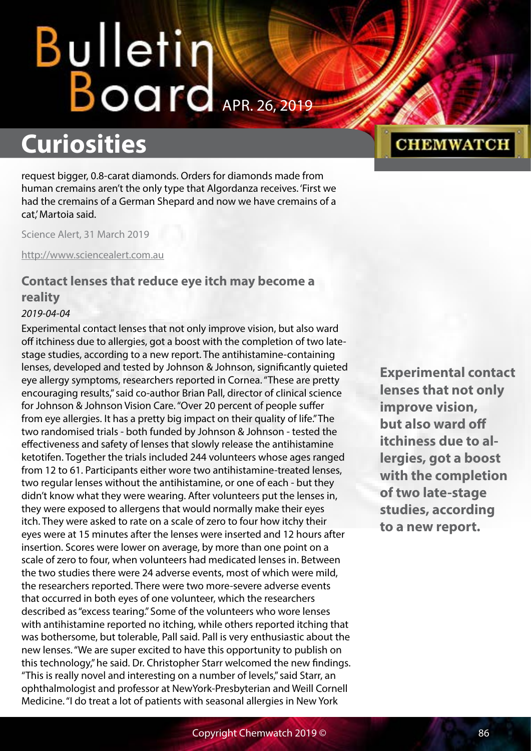## Bulletin Board APR. 26, 2019

### **Curiosities**

request bigger, 0.8-carat diamonds. Orders for diamonds made from human cremains aren't the only type that Algordanza receives. 'First we had the cremains of a German Shepard and now we have cremains of a cat,' Martoia said.

Science Alert, 31 March 2019

<http://www.sciencealert.com.au>

#### **Contact lenses that reduce eye itch may become a reality**

#### *2019-04-04*

Experimental contact lenses that not only improve vision, but also ward off itchiness due to allergies, got a boost with the completion of two latestage studies, according to a new report. The antihistamine-containing lenses, developed and tested by Johnson & Johnson, significantly quieted eye allergy symptoms, researchers reported in Cornea. "These are pretty encouraging results," said co-author Brian Pall, director of clinical science for Johnson & Johnson Vision Care. "Over 20 percent of people suffer from eye allergies. It has a pretty big impact on their quality of life." The two randomised trials - both funded by Johnson & Johnson - tested the effectiveness and safety of lenses that slowly release the antihistamine ketotifen. Together the trials included 244 volunteers whose ages ranged from 12 to 61. Participants either wore two antihistamine-treated lenses, two regular lenses without the antihistamine, or one of each - but they didn't know what they were wearing. After volunteers put the lenses in, they were exposed to allergens that would normally make their eyes itch. They were asked to rate on a scale of zero to four how itchy their eyes were at 15 minutes after the lenses were inserted and 12 hours after insertion. Scores were lower on average, by more than one point on a scale of zero to four, when volunteers had medicated lenses in. Between the two studies there were 24 adverse events, most of which were mild, the researchers reported. There were two more-severe adverse events that occurred in both eyes of one volunteer, which the researchers described as "excess tearing." Some of the volunteers who wore lenses with antihistamine reported no itching, while others reported itching that was bothersome, but tolerable, Pall said. Pall is very enthusiastic about the new lenses. "We are super excited to have this opportunity to publish on this technology," he said. Dr. Christopher Starr welcomed the new findings. "This is really novel and interesting on a number of levels," said Starr, an ophthalmologist and professor at NewYork-Presbyterian and Weill Cornell Medicine. "I do treat a lot of patients with seasonal allergies in New York

#### **CHEMWATCH**

**Experimental contact lenses that not only improve vision, but also ward off itchiness due to allergies, got a boost with the completion of two late-stage studies, according to a new report.**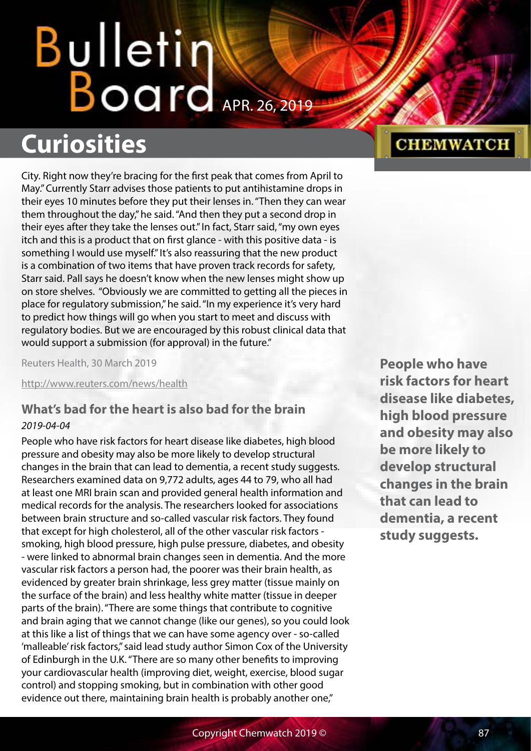## **Bulletin Board** APR. 26, 2019

### **Curiosities**

City. Right now they're bracing for the first peak that comes from April to May." Currently Starr advises those patients to put antihistamine drops in their eyes 10 minutes before they put their lenses in. "Then they can wear them throughout the day," he said. "And then they put a second drop in their eyes after they take the lenses out." In fact, Starr said, "my own eyes itch and this is a product that on first glance - with this positive data - is something I would use myself." It's also reassuring that the new product is a combination of two items that have proven track records for safety, Starr said. Pall says he doesn't know when the new lenses might show up on store shelves. "Obviously we are committed to getting all the pieces in place for regulatory submission," he said. "In my experience it's very hard to predict how things will go when you start to meet and discuss with regulatory bodies. But we are encouraged by this robust clinical data that would support a submission (for approval) in the future."

Reuters Health, 30 March 2019

<http://www.reuters.com/news/health>

#### **What's bad for the heart is also bad for the brain** *2019-04-04*

People who have risk factors for heart disease like diabetes, high blood pressure and obesity may also be more likely to develop structural changes in the brain that can lead to dementia, a recent study suggests. Researchers examined data on 9,772 adults, ages 44 to 79, who all had at least one MRI brain scan and provided general health information and medical records for the analysis. The researchers looked for associations between brain structure and so-called vascular risk factors. They found that except for high cholesterol, all of the other vascular risk factors smoking, high blood pressure, high pulse pressure, diabetes, and obesity - were linked to abnormal brain changes seen in dementia. And the more vascular risk factors a person had, the poorer was their brain health, as evidenced by greater brain shrinkage, less grey matter (tissue mainly on the surface of the brain) and less healthy white matter (tissue in deeper parts of the brain). "There are some things that contribute to cognitive and brain aging that we cannot change (like our genes), so you could look at this like a list of things that we can have some agency over - so-called 'malleable' risk factors," said lead study author Simon Cox of the University of Edinburgh in the U.K. "There are so many other benefits to improving your cardiovascular health (improving diet, weight, exercise, blood sugar control) and stopping smoking, but in combination with other good evidence out there, maintaining brain health is probably another one."

**People who have risk factors for heart disease like diabetes, high blood pressure and obesity may also be more likely to develop structural changes in the brain that can lead to dementia, a recent study suggests.**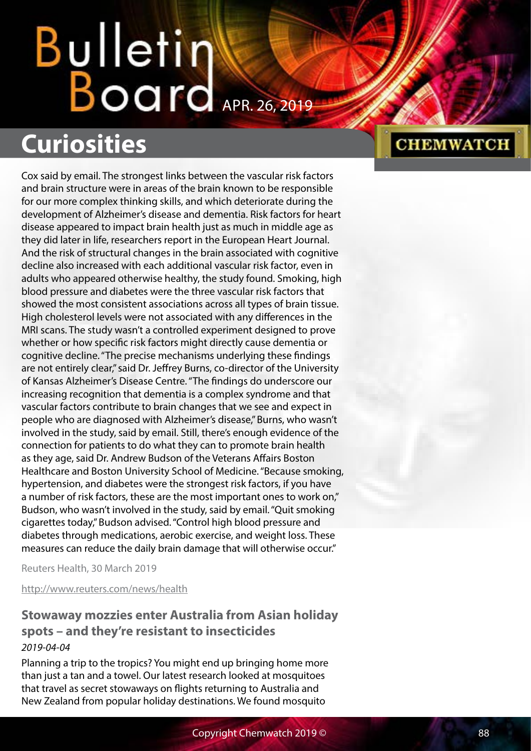## **Curiosities**

Cox said by email. The strongest links between the vascular risk factors and brain structure were in areas of the brain known to be responsible for our more complex thinking skills, and which deteriorate during the development of Alzheimer's disease and dementia. Risk factors for heart disease appeared to impact brain health just as much in middle age as they did later in life, researchers report in the European Heart Journal. And the risk of structural changes in the brain associated with cognitive decline also increased with each additional vascular risk factor, even in adults who appeared otherwise healthy, the study found. Smoking, high blood pressure and diabetes were the three vascular risk factors that showed the most consistent associations across all types of brain tissue. High cholesterol levels were not associated with any differences in the MRI scans. The study wasn't a controlled experiment designed to prove whether or how specific risk factors might directly cause dementia or cognitive decline. "The precise mechanisms underlying these findings are not entirely clear," said Dr. Jeffrey Burns, co-director of the University of Kansas Alzheimer's Disease Centre. "The findings do underscore our increasing recognition that dementia is a complex syndrome and that vascular factors contribute to brain changes that we see and expect in people who are diagnosed with Alzheimer's disease," Burns, who wasn't involved in the study, said by email. Still, there's enough evidence of the connection for patients to do what they can to promote brain health as they age, said Dr. Andrew Budson of the Veterans Affairs Boston Healthcare and Boston University School of Medicine. "Because smoking, hypertension, and diabetes were the strongest risk factors, if you have a number of risk factors, these are the most important ones to work on," Budson, who wasn't involved in the study, said by email. "Quit smoking cigarettes today," Budson advised. "Control high blood pressure and diabetes through medications, aerobic exercise, and weight loss. These measures can reduce the daily brain damage that will otherwise occur."

Reuters Health, 30 March 2019

<http://www.reuters.com/news/health>

#### **Stowaway mozzies enter Australia from Asian holiday spots – and they're resistant to insecticides** *2019-04-04*

Planning a trip to the tropics? You might end up bringing home more than just a tan and a towel. Our latest research looked at mosquitoes that travel as secret stowaways on flights returning to Australia and New Zealand from popular holiday destinations. We found mosquito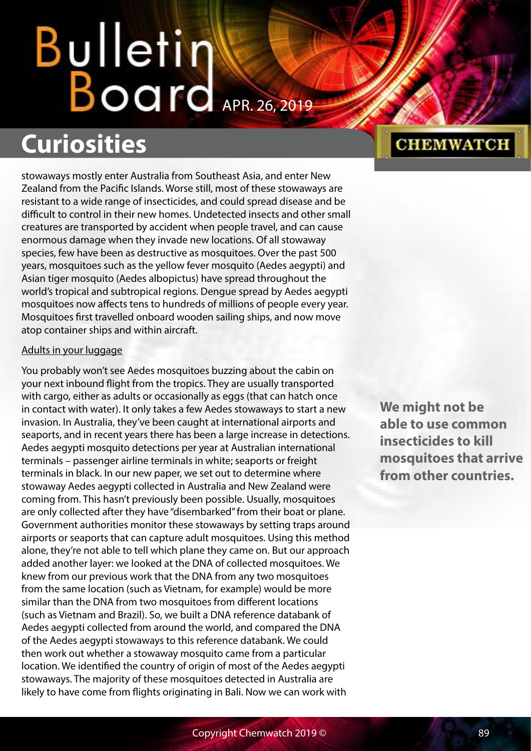### **Curiosities**

stowaways mostly enter Australia from Southeast Asia, and enter New Zealand from the Pacific Islands. Worse still, most of these stowaways are resistant to a wide range of insecticides, and could spread disease and be difficult to control in their new homes. Undetected insects and other small creatures are transported by accident when people travel, and can cause enormous damage when they invade new locations. Of all stowaway species, few have been as destructive as mosquitoes. Over the past 500 years, mosquitoes such as the yellow fever mosquito (Aedes aegypti) and Asian tiger mosquito (Aedes albopictus) have spread throughout the world's tropical and subtropical regions. Dengue spread by Aedes aegypti mosquitoes now affects tens to hundreds of millions of people every year. Mosquitoes first travelled onboard wooden sailing ships, and now move atop container ships and within aircraft.

#### Adults in your luggage

You probably won't see Aedes mosquitoes buzzing about the cabin on your next inbound flight from the tropics. They are usually transported with cargo, either as adults or occasionally as eggs (that can hatch once in contact with water). It only takes a few Aedes stowaways to start a new invasion. In Australia, they've been caught at international airports and seaports, and in recent years there has been a large increase in detections. Aedes aegypti mosquito detections per year at Australian international terminals – passenger airline terminals in white; seaports or freight terminals in black. In our new paper, we set out to determine where stowaway Aedes aegypti collected in Australia and New Zealand were coming from. This hasn't previously been possible. Usually, mosquitoes are only collected after they have "disembarked" from their boat or plane. Government authorities monitor these stowaways by setting traps around airports or seaports that can capture adult mosquitoes. Using this method alone, they're not able to tell which plane they came on. But our approach added another layer: we looked at the DNA of collected mosquitoes. We knew from our previous work that the DNA from any two mosquitoes from the same location (such as Vietnam, for example) would be more similar than the DNA from two mosquitoes from different locations (such as Vietnam and Brazil). So, we built a DNA reference databank of Aedes aegypti collected from around the world, and compared the DNA of the Aedes aegypti stowaways to this reference databank. We could then work out whether a stowaway mosquito came from a particular location. We identified the country of origin of most of the Aedes aegypti stowaways. The majority of these mosquitoes detected in Australia are likely to have come from flights originating in Bali. Now we can work with

#### **CHEMWATCH**

**We might not be able to use common insecticides to kill mosquitoes that arrive from other countries.**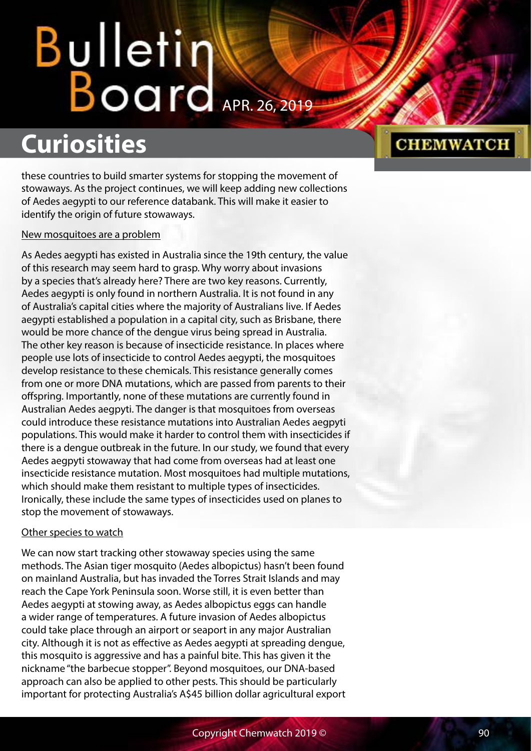### **Curiosities**

these countries to build smarter systems for stopping the movement of stowaways. As the project continues, we will keep adding new collections of Aedes aegypti to our reference databank. This will make it easier to identify the origin of future stowaways.

#### New mosquitoes are a problem

As Aedes aegypti has existed in Australia since the 19th century, the value of this research may seem hard to grasp. Why worry about invasions by a species that's already here? There are two key reasons. Currently, Aedes aegypti is only found in northern Australia. It is not found in any of Australia's capital cities where the majority of Australians live. If Aedes aegypti established a population in a capital city, such as Brisbane, there would be more chance of the dengue virus being spread in Australia. The other key reason is because of insecticide resistance. In places where people use lots of insecticide to control Aedes aegypti, the mosquitoes develop resistance to these chemicals. This resistance generally comes from one or more DNA mutations, which are passed from parents to their offspring. Importantly, none of these mutations are currently found in Australian Aedes aegpyti. The danger is that mosquitoes from overseas could introduce these resistance mutations into Australian Aedes aegpyti populations. This would make it harder to control them with insecticides if there is a dengue outbreak in the future. In our study, we found that every Aedes aegpyti stowaway that had come from overseas had at least one insecticide resistance mutation. Most mosquitoes had multiple mutations, which should make them resistant to multiple types of insecticides. Ironically, these include the same types of insecticides used on planes to stop the movement of stowaways.

#### Other species to watch

We can now start tracking other stowaway species using the same methods. The Asian tiger mosquito (Aedes albopictus) hasn't been found on mainland Australia, but has invaded the Torres Strait Islands and may reach the Cape York Peninsula soon. Worse still, it is even better than Aedes aegypti at stowing away, as Aedes albopictus eggs can handle a wider range of temperatures. A future invasion of Aedes albopictus could take place through an airport or seaport in any major Australian city. Although it is not as effective as Aedes aegypti at spreading dengue, this mosquito is aggressive and has a painful bite. This has given it the nickname "the barbecue stopper". Beyond mosquitoes, our DNA-based approach can also be applied to other pests. This should be particularly important for protecting Australia's A\$45 billion dollar agricultural export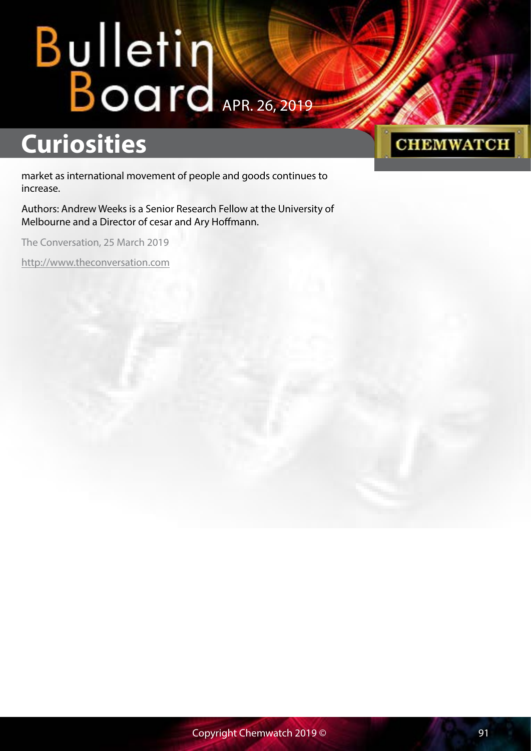### **Curiosities**

market as international movement of people and goods continues to increase.

Authors: Andrew Weeks is a Senior Research Fellow at the University of Melbourne and a Director of cesar and Ary Hoffmann.

The Conversation, 25 March 2019

<http://www.theconversation.com>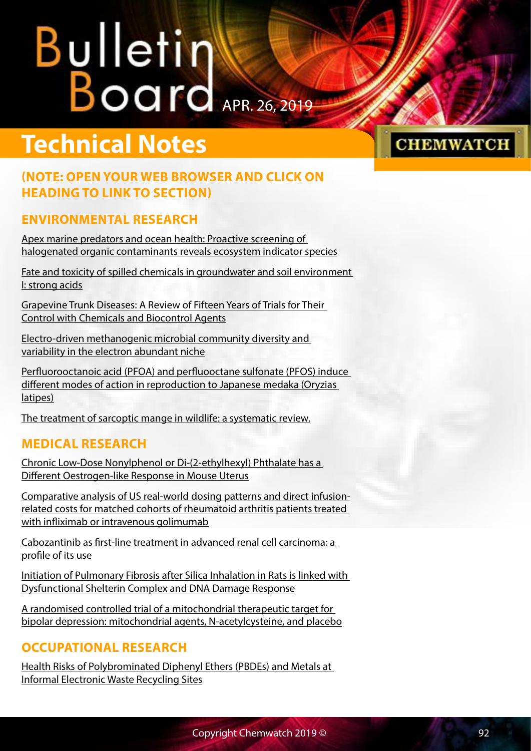### **Technical Notes**

#### **(NOTE: OPEN YOUR WEB BROWSER AND CLICK ON HEADING TO LINK TO SECTION)**

#### **ENVIRONMENTAL RESEARCH**

[Apex marine predators and ocean health: Proactive screening of](ftp://ftp.chemwatch.net/pub/chemwatch/Bulletin/2019/04/260419/190426-Technical.pdf)  [halogenated organic contaminants reveals ecosystem indicator species](ftp://ftp.chemwatch.net/pub/chemwatch/Bulletin/2019/04/260419/190426-Technical.pdf)

[Fate and toxicity of spilled chemicals in groundwater and soil environment](ftp://ftp.chemwatch.net/pub/chemwatch/Bulletin/2019/04/260419/190426-Technical.pdf)  [I: strong acids](ftp://ftp.chemwatch.net/pub/chemwatch/Bulletin/2019/04/260419/190426-Technical.pdf)

[Grapevine Trunk Diseases: A Review of Fifteen Years of Trials for Their](ftp://ftp.chemwatch.net/pub/chemwatch/Bulletin/2019/04/260419/190426-Technical.pdf)  [Control with Chemicals and Biocontrol Agents](ftp://ftp.chemwatch.net/pub/chemwatch/Bulletin/2019/04/260419/190426-Technical.pdf)

[Electro-driven methanogenic microbial community diversity and](ftp://ftp.chemwatch.net/pub/chemwatch/Bulletin/2019/04/260419/190426-Technical.pdf)  [variability in the electron abundant niche](ftp://ftp.chemwatch.net/pub/chemwatch/Bulletin/2019/04/260419/190426-Technical.pdf)

[Perfluorooctanoic acid \(PFOA\) and perfluooctane sulfonate \(PFOS\) induce](ftp://ftp.chemwatch.net/pub/chemwatch/Bulletin/2019/04/260419/190426-Technical.pdf)  [different modes of action in reproduction to Japanese medaka \(Oryzias](ftp://ftp.chemwatch.net/pub/chemwatch/Bulletin/2019/04/260419/190426-Technical.pdf)  [latipes\)](ftp://ftp.chemwatch.net/pub/chemwatch/Bulletin/2019/04/260419/190426-Technical.pdf)

[The treatment of sarcoptic mange in wildlife: a systematic review.](ftp://ftp.chemwatch.net/pub/chemwatch/Bulletin/2019/04/260419/190426-Technical.pdf)

#### **MEDICAL RESEARCH**

[Chronic Low-Dose Nonylphenol or Di-\(2-ethylhexyl\) Phthalate has a](ftp://ftp.chemwatch.net/pub/chemwatch/Bulletin/2019/04/260419/190426-Technical.pdf)  [Different Oestrogen-like Response in Mouse Uterus](ftp://ftp.chemwatch.net/pub/chemwatch/Bulletin/2019/04/260419/190426-Technical.pdf)

[Comparative analysis of US real-world dosing patterns and direct infusion](ftp://ftp.chemwatch.net/pub/chemwatch/Bulletin/2019/04/260419/190426-Technical.pdf)[related costs for matched cohorts of rheumatoid arthritis patients treated](ftp://ftp.chemwatch.net/pub/chemwatch/Bulletin/2019/04/260419/190426-Technical.pdf)  [with infliximab or intravenous golimumab](ftp://ftp.chemwatch.net/pub/chemwatch/Bulletin/2019/04/260419/190426-Technical.pdf)

[Cabozantinib as first-line treatment in advanced renal cell carcinoma: a](ftp://ftp.chemwatch.net/pub/chemwatch/Bulletin/2019/04/260419/190426-Technical.pdf)  [profile of its use](ftp://ftp.chemwatch.net/pub/chemwatch/Bulletin/2019/04/260419/190426-Technical.pdf)

[Initiation of Pulmonary Fibrosis after Silica Inhalation in Rats is linked with](ftp://ftp.chemwatch.net/pub/chemwatch/Bulletin/2019/04/260419/190426-Technical.pdf)  [Dysfunctional Shelterin Complex and DNA Damage Response](ftp://ftp.chemwatch.net/pub/chemwatch/Bulletin/2019/04/260419/190426-Technical.pdf)

[A randomised controlled trial of a mitochondrial therapeutic target for](ftp://ftp.chemwatch.net/pub/chemwatch/Bulletin/2019/04/260419/190426-Technical.pdf)  [bipolar depression: mitochondrial agents, N-acetylcysteine, and placebo](ftp://ftp.chemwatch.net/pub/chemwatch/Bulletin/2019/04/260419/190426-Technical.pdf)

#### **OCCUPATIONAL RESEARCH**

[Health Risks of Polybrominated Diphenyl Ethers \(PBDEs\) and Metals at](ftp://ftp.chemwatch.net/pub/chemwatch/Bulletin/2019/04/260419/190426-Technical.pdf)  [Informal Electronic Waste Recycling Sites](ftp://ftp.chemwatch.net/pub/chemwatch/Bulletin/2019/04/260419/190426-Technical.pdf)